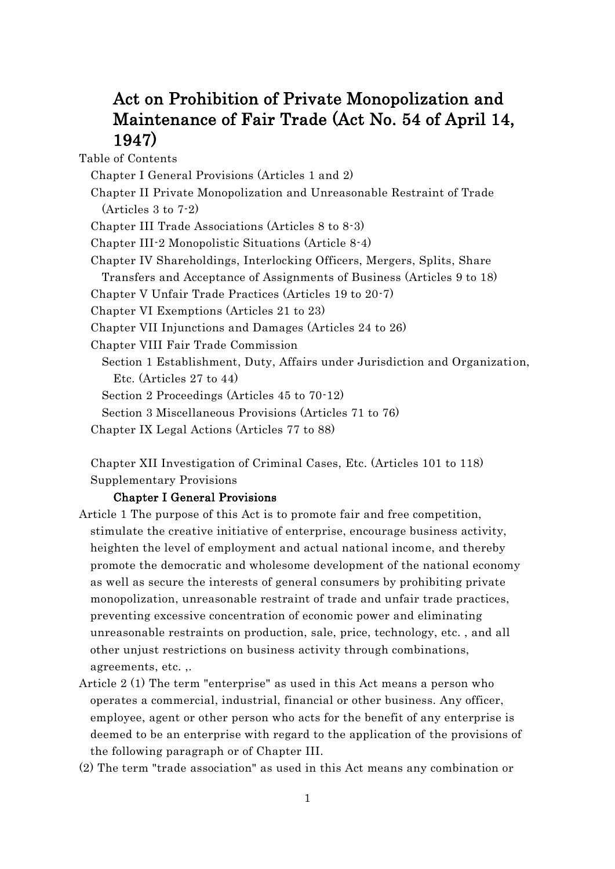# Act on Prohibition of Private Monopolization and Maintenance of Fair Trade (Act No. 54 of April 14, 1947)

Table of Contents

Chapter I General Provisions (Articles 1 and 2)

Chapter II Private Monopolization and Unreasonable Restraint of Trade (Articles 3 to 7-2)

Chapter III Trade Associations (Articles 8 to 8-3)

Chapter III-2 Monopolistic Situations (Article 8-4)

Chapter IV Shareholdings, Interlocking Officers, Mergers, Splits, Share

Transfers and Acceptance of Assignments of Business (Articles 9 to 18)

Chapter V Unfair Trade Practices (Articles 19 to 20-7)

Chapter VI Exemptions (Articles 21 to 23)

Chapter VII Injunctions and Damages (Articles 24 to 26)

Chapter VIII Fair Trade Commission

Section 1 Establishment, Duty, Affairs under Jurisdiction and Organization, Etc. (Articles 27 to 44)

Section 2 Proceedings (Articles 45 to 70-12)

Section 3 Miscellaneous Provisions (Articles 71 to 76)

Chapter IX Legal Actions (Articles 77 to 88)

Chapter XII Investigation of Criminal Cases, Etc. (Articles 101 to 118) Supplementary Provisions

## Chapter I General Provisions

- Article 1 The purpose of this Act is to promote fair and free competition, stimulate the creative initiative of enterprise, encourage business activity, heighten the level of employment and actual national income, and thereby promote the democratic and wholesome development of the national economy as well as secure the interests of general consumers by prohibiting private monopolization, unreasonable restraint of trade and unfair trade practices, preventing excessive concentration of economic power and eliminating unreasonable restraints on production, sale, price, technology, etc. , and all other unjust restrictions on business activity through combinations, agreements, etc. ,.
- Article 2 (1) The term "enterprise" as used in this Act means a person who operates a commercial, industrial, financial or other business. Any officer, employee, agent or other person who acts for the benefit of any enterprise is deemed to be an enterprise with regard to the application of the provisions of the following paragraph or of Chapter III.

(2) The term "trade association" as used in this Act means any combination or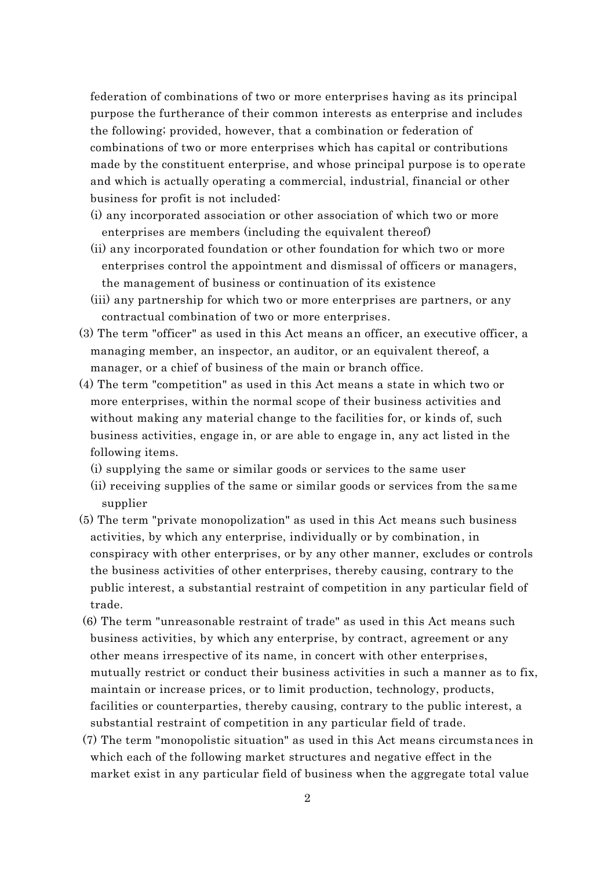federation of combinations of two or more enterprises having as its principal purpose the furtherance of their common interests as enterprise and includes the following; provided, however, that a combination or federation of combinations of two or more enterprises which has capital or contributions made by the constituent enterprise, and whose principal purpose is to operate and which is actually operating a commercial, industrial, financial or other business for profit is not included:

- (i) any incorporated association or other association of which two or more enterprises are members (including the equivalent thereof)
- (ii) any incorporated foundation or other foundation for which two or more enterprises control the appointment and dismissal of officers or managers, the management of business or continuation of its existence
- (iii) any partnership for which two or more enterprises are partners, or any contractual combination of two or more enterprises.
- (3) The term "officer" as used in this Act means an officer, an executive officer, a managing member, an inspector, an auditor, or an equivalent thereof, a manager, or a chief of business of the main or branch office.
- (4) The term "competition" as used in this Act means a state in which two or more enterprises, within the normal scope of their business activities and without making any material change to the facilities for, or kinds of, such business activities, engage in, or are able to engage in, any act listed in the following items.
	- (i) supplying the same or similar goods or services to the same user
	- (ii) receiving supplies of the same or similar goods or services from the same supplier
- (5) The term "private monopolization" as used in this Act means such business activities, by which any enterprise, individually or by combination, in conspiracy with other enterprises, or by any other manner, excludes or controls the business activities of other enterprises, thereby causing, contrary to the public interest, a substantial restraint of competition in any particular field of trade.
- (6) The term "unreasonable restraint of trade" as used in this Act means such business activities, by which any enterprise, by contract, agreement or any other means irrespective of its name, in concert with other enterprises, mutually restrict or conduct their business activities in such a manner as to fix, maintain or increase prices, or to limit production, technology, products, facilities or counterparties, thereby causing, contrary to the public interest, a substantial restraint of competition in any particular field of trade.
- (7) The term "monopolistic situation" as used in this Act means circumstances in which each of the following market structures and negative effect in the market exist in any particular field of business when the aggregate total value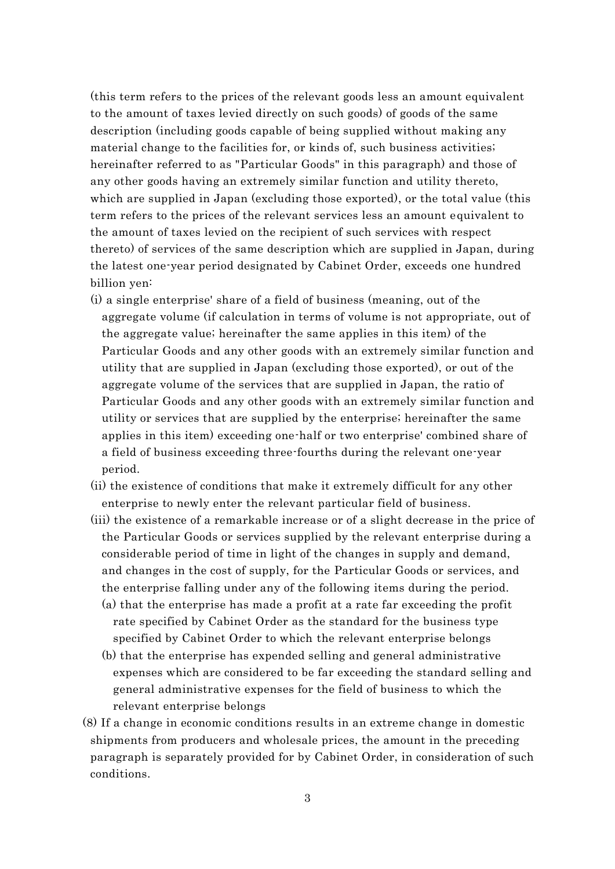(this term refers to the prices of the relevant goods less an amount equivalent to the amount of taxes levied directly on such goods) of goods of the same description (including goods capable of being supplied without making any material change to the facilities for, or kinds of, such business activities; hereinafter referred to as "Particular Goods" in this paragraph) and those of any other goods having an extremely similar function and utility thereto, which are supplied in Japan (excluding those exported), or the total value (this term refers to the prices of the relevant services less an amount equivalent to the amount of taxes levied on the recipient of such services with respect thereto) of services of the same description which are supplied in Japan, during the latest one-year period designated by Cabinet Order, exceeds one hundred billion yen:

- (i) a single enterprise' share of a field of business (meaning, out of the aggregate volume (if calculation in terms of volume is not appropriate, out of the aggregate value; hereinafter the same applies in this item) of the Particular Goods and any other goods with an extremely similar function and utility that are supplied in Japan (excluding those exported), or out of the aggregate volume of the services that are supplied in Japan, the ratio of Particular Goods and any other goods with an extremely similar function and utility or services that are supplied by the enterprise; hereinafter the same applies in this item) exceeding one-half or two enterprise' combined share of a field of business exceeding three-fourths during the relevant one-year period.
- (ii) the existence of conditions that make it extremely difficult for any other enterprise to newly enter the relevant particular field of business.
- (iii) the existence of a remarkable increase or of a slight decrease in the price of the Particular Goods or services supplied by the relevant enterprise during a considerable period of time in light of the changes in supply and demand, and changes in the cost of supply, for the Particular Goods or services, and the enterprise falling under any of the following items during the period.
	- (a) that the enterprise has made a profit at a rate far exceeding the profit rate specified by Cabinet Order as the standard for the business type specified by Cabinet Order to which the relevant enterprise belongs
	- (b) that the enterprise has expended selling and general administrative expenses which are considered to be far exceeding the standard selling and general administrative expenses for the field of business to which the relevant enterprise belongs
- (8) If a change in economic conditions results in an extreme change in domestic shipments from producers and wholesale prices, the amount in the preceding paragraph is separately provided for by Cabinet Order, in consideration of such conditions.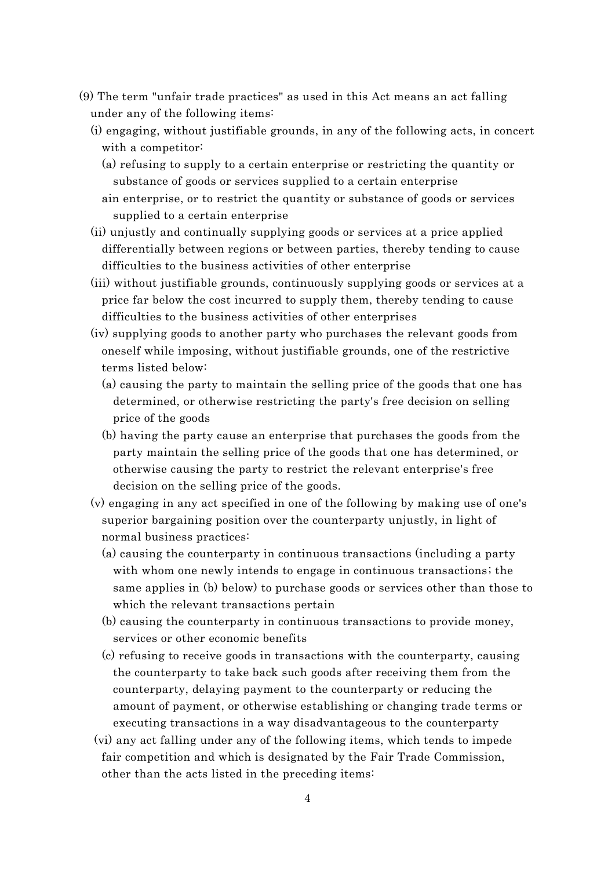- (9) The term "unfair trade practices" as used in this Act means an act falling under any of the following items:
	- (i) engaging, without justifiable grounds, in any of the following acts, in concert with a competitor:
		- (a) refusing to supply to a certain enterprise or restricting the quantity or substance of goods or services supplied to a certain enterprise
		- ain enterprise, or to restrict the quantity or substance of goods or services supplied to a certain enterprise
	- (ii) unjustly and continually supplying goods or services at a price applied differentially between regions or between parties, thereby tending to cause difficulties to the business activities of other enterprise
	- (iii) without justifiable grounds, continuously supplying goods or services at a price far below the cost incurred to supply them, thereby tending to cause difficulties to the business activities of other enterprises
	- (iv) supplying goods to another party who purchases the relevant goods from oneself while imposing, without justifiable grounds, one of the restrictive terms listed below:
		- (a) causing the party to maintain the selling price of the goods that one has determined, or otherwise restricting the party's free decision on selling price of the goods
		- (b) having the party cause an enterprise that purchases the goods from the party maintain the selling price of the goods that one has determined, or otherwise causing the party to restrict the relevant enterprise's free decision on the selling price of the goods.
	- (v) engaging in any act specified in one of the following by making use of one's superior bargaining position over the counterparty unjustly, in light of normal business practices:
		- (a) causing the counterparty in continuous transactions (including a party with whom one newly intends to engage in continuous transactions; the same applies in (b) below) to purchase goods or services other than those to which the relevant transactions pertain
		- (b) causing the counterparty in continuous transactions to provide money, services or other economic benefits
		- (c) refusing to receive goods in transactions with the counterparty, causing the counterparty to take back such goods after receiving them from the counterparty, delaying payment to the counterparty or reducing the amount of payment, or otherwise establishing or changing trade terms or executing transactions in a way disadvantageous to the counterparty
	- (vi) any act falling under any of the following items, which tends to impede fair competition and which is designated by the Fair Trade Commission, other than the acts listed in the preceding items: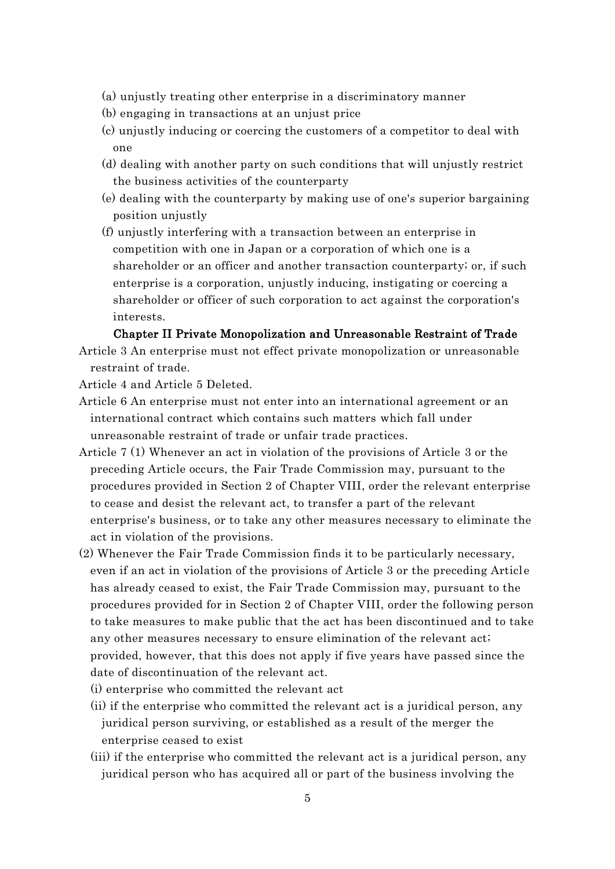- (a) unjustly treating other enterprise in a discriminatory manner
- (b) engaging in transactions at an unjust price
- (c) unjustly inducing or coercing the customers of a competitor to deal with one
- (d) dealing with another party on such conditions that will unjustly restrict the business activities of the counterparty
- (e) dealing with the counterparty by making use of one's superior bargaining position unjustly
- (f) unjustly interfering with a transaction between an enterprise in competition with one in Japan or a corporation of which one is a shareholder or an officer and another transaction counterparty; or, if such enterprise is a corporation, unjustly inducing, instigating or coercing a shareholder or officer of such corporation to act against the corporation's interests.

#### Chapter II Private Monopolization and Unreasonable Restraint of Trade

Article 3 An enterprise must not effect private monopolization or unreasonable restraint of trade.

Article 4 and Article 5 Deleted.

- Article 6 An enterprise must not enter into an international agreement or an international contract which contains such matters which fall under unreasonable restraint of trade or unfair trade practices.
- Article 7 (1) Whenever an act in violation of the provisions of Article 3 or the preceding Article occurs, the Fair Trade Commission may, pursuant to the procedures provided in Section 2 of Chapter VIII, order the relevant enterprise to cease and desist the relevant act, to transfer a part of the relevant enterprise's business, or to take any other measures necessary to eliminate the act in violation of the provisions.
- (2) Whenever the Fair Trade Commission finds it to be particularly necessary, even if an act in violation of the provisions of Article 3 or the preceding Article has already ceased to exist, the Fair Trade Commission may, pursuant to the procedures provided for in Section 2 of Chapter VIII, order the following person to take measures to make public that the act has been discontinued and to take any other measures necessary to ensure elimination of the relevant act; provided, however, that this does not apply if five years have passed since the date of discontinuation of the relevant act.
	- (i) enterprise who committed the relevant act
	- (ii) if the enterprise who committed the relevant act is a juridical person, any juridical person surviving, or established as a result of the merger the enterprise ceased to exist
	- (iii) if the enterprise who committed the relevant act is a juridical person, any juridical person who has acquired all or part of the business involving the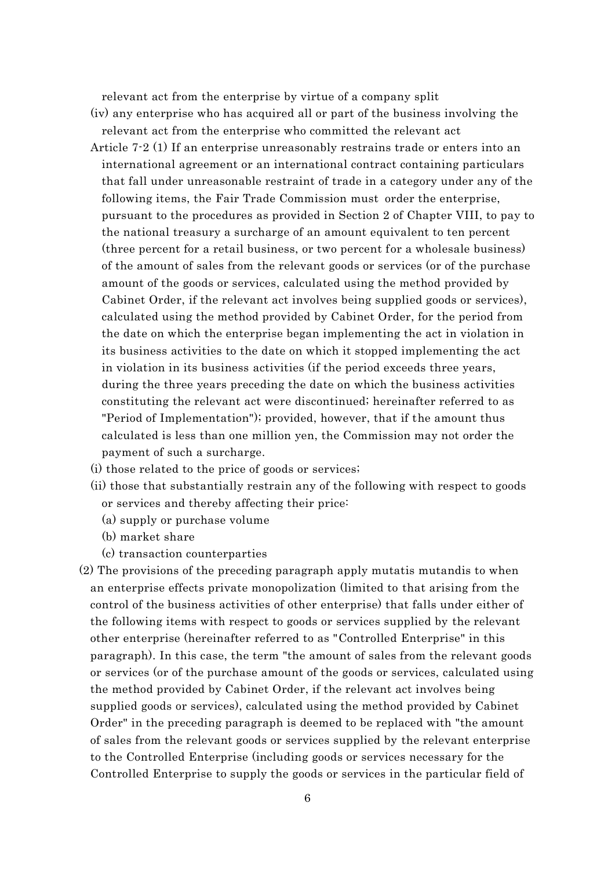relevant act from the enterprise by virtue of a company split

- (iv) any enterprise who has acquired all or part of the business involving the relevant act from the enterprise who committed the relevant act
- Article 7-2 (1) If an enterprise unreasonably restrains trade or enters into an international agreement or an international contract containing particulars that fall under unreasonable restraint of trade in a category under any of the following items, the Fair Trade Commission must order the enterprise, pursuant to the procedures as provided in Section 2 of Chapter VIII, to pay to the national treasury a surcharge of an amount equivalent to ten percent (three percent for a retail business, or two percent for a wholesale business) of the amount of sales from the relevant goods or services (or of the purchase amount of the goods or services, calculated using the method provided by Cabinet Order, if the relevant act involves being supplied goods or services), calculated using the method provided by Cabinet Order, for the period from the date on which the enterprise began implementing the act in violation in its business activities to the date on which it stopped implementing the act in violation in its business activities (if the period exceeds three years, during the three years preceding the date on which the business activities constituting the relevant act were discontinued; hereinafter referred to as "Period of Implementation"); provided, however, that if the amount thus calculated is less than one million yen, the Commission may not order the payment of such a surcharge.
- (i) those related to the price of goods or services;
- (ii) those that substantially restrain any of the following with respect to goods or services and thereby affecting their price:
	- (a) supply or purchase volume
	- (b) market share
	- (c) transaction counterparties
- (2) The provisions of the preceding paragraph apply mutatis mutandis to when an enterprise effects private monopolization (limited to that arising from the control of the business activities of other enterprise) that falls under either of the following items with respect to goods or services supplied by the relevant other enterprise (hereinafter referred to as "Controlled Enterprise" in this paragraph). In this case, the term "the amount of sales from the relevant goods or services (or of the purchase amount of the goods or services, calculated using the method provided by Cabinet Order, if the relevant act involves being supplied goods or services), calculated using the method provided by Cabinet Order" in the preceding paragraph is deemed to be replaced with "the amount of sales from the relevant goods or services supplied by the relevant enterprise to the Controlled Enterprise (including goods or services necessary for the Controlled Enterprise to supply the goods or services in the particular field of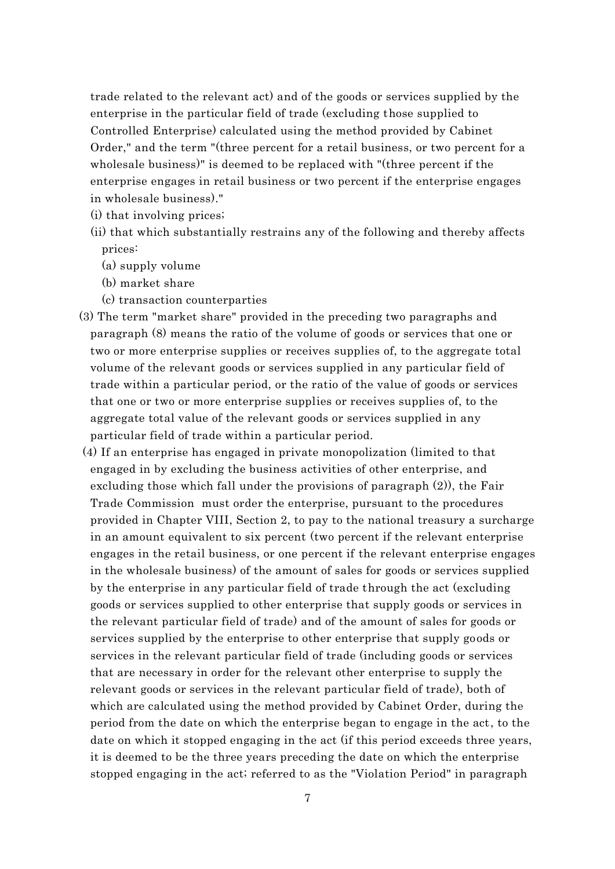trade related to the relevant act) and of the goods or services supplied by the enterprise in the particular field of trade (excluding those supplied to Controlled Enterprise) calculated using the method provided by Cabinet Order," and the term "(three percent for a retail business, or two percent for a wholesale business)" is deemed to be replaced with "(three percent if the enterprise engages in retail business or two percent if the enterprise engages in wholesale business)."

- (i) that involving prices;
- (ii) that which substantially restrains any of the following and thereby affects prices:
	- (a) supply volume
	- (b) market share
	- (c) transaction counterparties
- (3) The term "market share" provided in the preceding two paragraphs and paragraph (8) means the ratio of the volume of goods or services that one or two or more enterprise supplies or receives supplies of, to the aggregate total volume of the relevant goods or services supplied in any particular field of trade within a particular period, or the ratio of the value of goods or services that one or two or more enterprise supplies or receives supplies of, to the aggregate total value of the relevant goods or services supplied in any particular field of trade within a particular period.
- (4) If an enterprise has engaged in private monopolization (limited to that engaged in by excluding the business activities of other enterprise, and excluding those which fall under the provisions of paragraph (2)), the Fair Trade Commission must order the enterprise, pursuant to the procedures provided in Chapter VIII, Section 2, to pay to the national treasury a surcharge in an amount equivalent to six percent (two percent if the relevant enterprise engages in the retail business, or one percent if the relevant enterprise engages in the wholesale business) of the amount of sales for goods or services supplied by the enterprise in any particular field of trade through the act (excluding goods or services supplied to other enterprise that supply goods or services in the relevant particular field of trade) and of the amount of sales for goods or services supplied by the enterprise to other enterprise that supply goods or services in the relevant particular field of trade (including goods or services that are necessary in order for the relevant other enterprise to supply the relevant goods or services in the relevant particular field of trade), both of which are calculated using the method provided by Cabinet Order, during the period from the date on which the enterprise began to engage in the act, to the date on which it stopped engaging in the act (if this period exceeds three years, it is deemed to be the three years preceding the date on which the enterprise stopped engaging in the act; referred to as the "Violation Period" in paragraph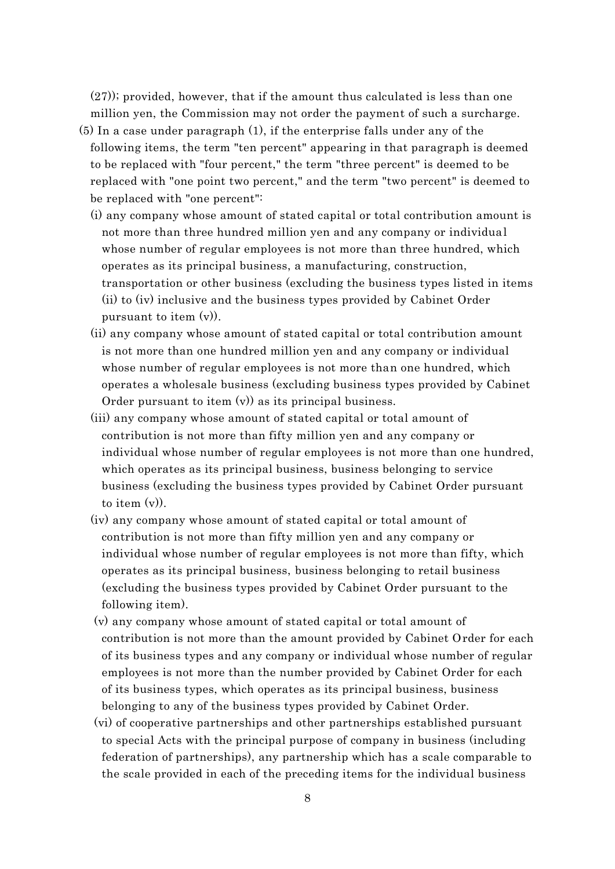(27)); provided, however, that if the amount thus calculated is less than one million yen, the Commission may not order the payment of such a surcharge.

- (5) In a case under paragraph (1), if the enterprise falls under any of the following items, the term "ten percent" appearing in that paragraph is deemed to be replaced with "four percent," the term "three percent" is deemed to be replaced with "one point two percent," and the term "two percent" is deemed to be replaced with "one percent":
	- (i) any company whose amount of stated capital or total contribution amount is not more than three hundred million yen and any company or individual whose number of regular employees is not more than three hundred, which operates as its principal business, a manufacturing, construction, transportation or other business (excluding the business types listed in items (ii) to (iv) inclusive and the business types provided by Cabinet Order pursuant to item (v)).
	- (ii) any company whose amount of stated capital or total contribution amount is not more than one hundred million yen and any company or individual whose number of regular employees is not more than one hundred, which operates a wholesale business (excluding business types provided by Cabinet Order pursuant to item (v)) as its principal business.
	- (iii) any company whose amount of stated capital or total amount of contribution is not more than fifty million yen and any company or individual whose number of regular employees is not more than one hundred, which operates as its principal business, business belonging to service business (excluding the business types provided by Cabinet Order pursuant to item (v)).
	- (iv) any company whose amount of stated capital or total amount of contribution is not more than fifty million yen and any company or individual whose number of regular employees is not more than fifty, which operates as its principal business, business belonging to retail business (excluding the business types provided by Cabinet Order pursuant to the following item).
	- (v) any company whose amount of stated capital or total amount of contribution is not more than the amount provided by Cabinet Order for each of its business types and any company or individual whose number of regular employees is not more than the number provided by Cabinet Order for each of its business types, which operates as its principal business, business belonging to any of the business types provided by Cabinet Order.
	- (vi) of cooperative partnerships and other partnerships established pursuant to special Acts with the principal purpose of company in business (including federation of partnerships), any partnership which has a scale comparable to the scale provided in each of the preceding items for the individual business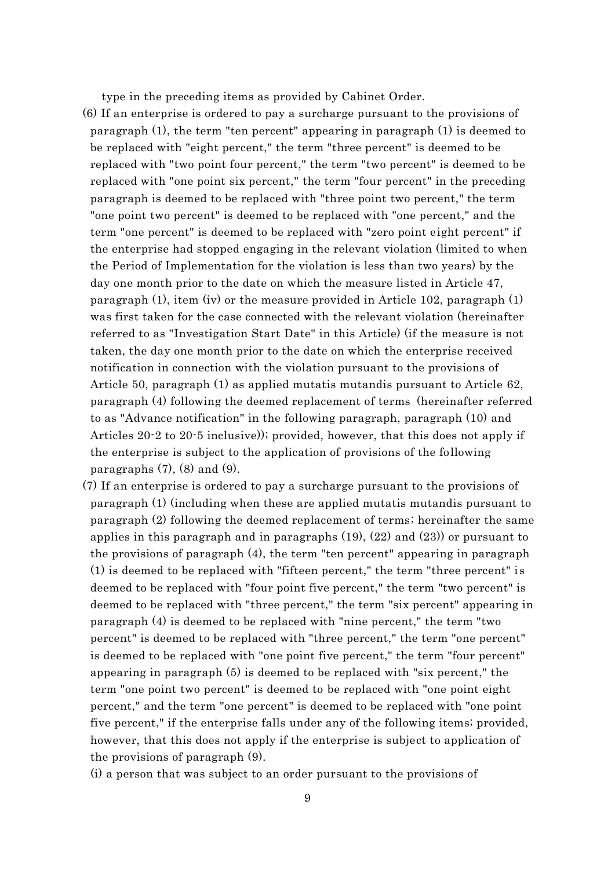type in the preceding items as provided by Cabinet Order.

- (6) If an enterprise is ordered to pay a surcharge pursuant to the provisions of paragraph (1), the term "ten percent" appearing in paragraph (1) is deemed to be replaced with "eight percent," the term "three percent" is deemed to be replaced with "two point four percent," the term "two percent" is deemed to be replaced with "one point six percent," the term "four percent" in the preceding paragraph is deemed to be replaced with "three point two percent," the term "one point two percent" is deemed to be replaced with "one percent," and the term "one percent" is deemed to be replaced with "zero point eight percent" if the enterprise had stopped engaging in the relevant violation (limited to when the Period of Implementation for the violation is less than two years) by the day one month prior to the date on which the measure listed in Article 47, paragraph (1), item (iv) or the measure provided in Article 102, paragraph (1) was first taken for the case connected with the relevant violation (hereinafter referred to as "Investigation Start Date" in this Article) (if the measure is not taken, the day one month prior to the date on which the enterprise received notification in connection with the violation pursuant to the provisions of Article 50, paragraph (1) as applied mutatis mutandis pursuant to Article 62, paragraph (4) following the deemed replacement of terms (hereinafter referred to as "Advance notification" in the following paragraph, paragraph (10) and Articles 20-2 to 20-5 inclusive)); provided, however, that this does not apply if the enterprise is subject to the application of provisions of the following paragraphs  $(7)$ ,  $(8)$  and  $(9)$ .
- (7) If an enterprise is ordered to pay a surcharge pursuant to the provisions of paragraph (1) (including when these are applied mutatis mutandis pursuant to paragraph (2) following the deemed replacement of terms; hereinafter the same applies in this paragraph and in paragraphs (19), (22) and (23)) or pursuant to the provisions of paragraph (4), the term "ten percent" appearing in paragraph (1) is deemed to be replaced with "fifteen percent," the term "three percent" is deemed to be replaced with "four point five percent," the term "two percent" is deemed to be replaced with "three percent," the term "six percent" appearing in paragraph (4) is deemed to be replaced with "nine percent," the term "two percent" is deemed to be replaced with "three percent," the term "one percent" is deemed to be replaced with "one point five percent," the term "four percent" appearing in paragraph (5) is deemed to be replaced with "six percent," the term "one point two percent" is deemed to be replaced with "one point eight percent," and the term "one percent" is deemed to be replaced with "one point five percent," if the enterprise falls under any of the following items; provided, however, that this does not apply if the enterprise is subject to application of the provisions of paragraph (9).

(i) a person that was subject to an order pursuant to the provisions of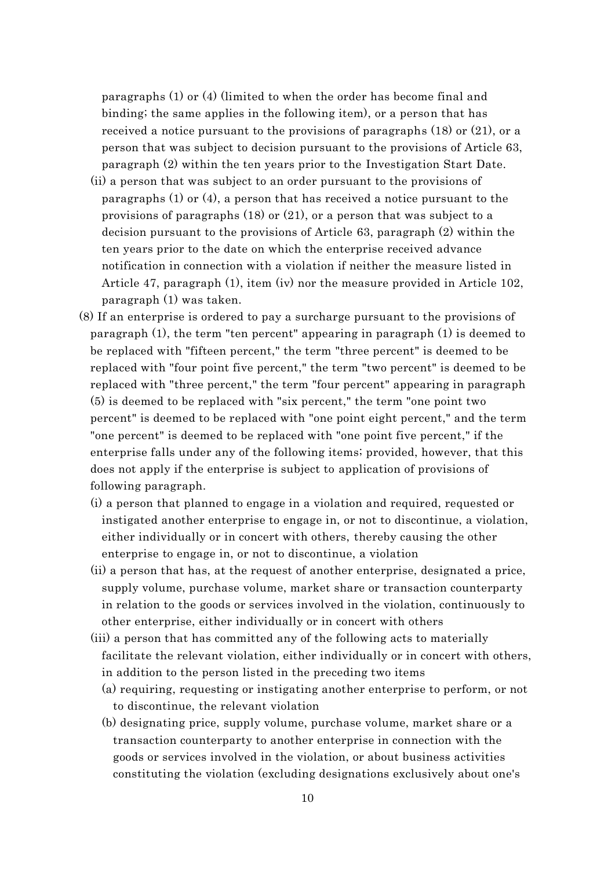paragraphs (1) or (4) (limited to when the order has become final and binding; the same applies in the following item), or a person that has received a notice pursuant to the provisions of paragraphs  $(18)$  or  $(21)$ , or a person that was subject to decision pursuant to the provisions of Article 63, paragraph (2) within the ten years prior to the Investigation Start Date.

- (ii) a person that was subject to an order pursuant to the provisions of paragraphs (1) or (4), a person that has received a notice pursuant to the provisions of paragraphs (18) or (21), or a person that was subject to a decision pursuant to the provisions of Article 63, paragraph (2) within the ten years prior to the date on which the enterprise received advance notification in connection with a violation if neither the measure listed in Article 47, paragraph (1), item (iv) nor the measure provided in Article 102, paragraph (1) was taken.
- (8) If an enterprise is ordered to pay a surcharge pursuant to the provisions of paragraph (1), the term "ten percent" appearing in paragraph (1) is deemed to be replaced with "fifteen percent," the term "three percent" is deemed to be replaced with "four point five percent," the term "two percent" is deemed to be replaced with "three percent," the term "four percent" appearing in paragraph (5) is deemed to be replaced with "six percent," the term "one point two percent" is deemed to be replaced with "one point eight percent," and the term "one percent" is deemed to be replaced with "one point five percent," if the enterprise falls under any of the following items; provided, however, that this does not apply if the enterprise is subject to application of provisions of following paragraph.
	- (i) a person that planned to engage in a violation and required, requested or instigated another enterprise to engage in, or not to discontinue, a violation, either individually or in concert with others, thereby causing the other enterprise to engage in, or not to discontinue, a violation
	- (ii) a person that has, at the request of another enterprise, designated a price, supply volume, purchase volume, market share or transaction counterparty in relation to the goods or services involved in the violation, continuously to other enterprise, either individually or in concert with others
	- (iii) a person that has committed any of the following acts to materially facilitate the relevant violation, either individually or in concert with others, in addition to the person listed in the preceding two items
		- (a) requiring, requesting or instigating another enterprise to perform, or not to discontinue, the relevant violation
		- (b) designating price, supply volume, purchase volume, market share or a transaction counterparty to another enterprise in connection with the goods or services involved in the violation, or about business activities constituting the violation (excluding designations exclusively about one's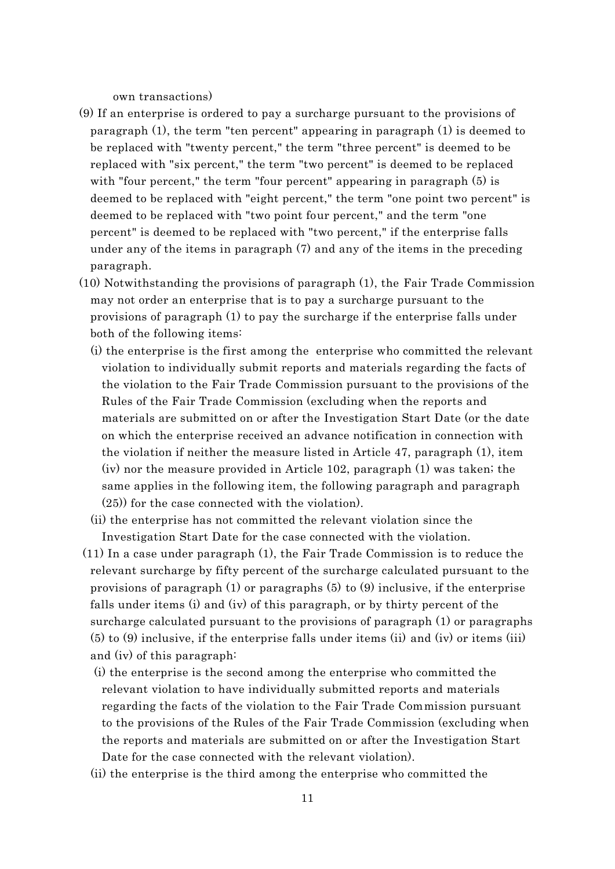own transactions)

- (9) If an enterprise is ordered to pay a surcharge pursuant to the provisions of paragraph (1), the term "ten percent" appearing in paragraph (1) is deemed to be replaced with "twenty percent," the term "three percent" is deemed to be replaced with "six percent," the term "two percent" is deemed to be replaced with "four percent," the term "four percent" appearing in paragraph (5) is deemed to be replaced with "eight percent," the term "one point two percent" is deemed to be replaced with "two point four percent," and the term "one percent" is deemed to be replaced with "two percent," if the enterprise falls under any of the items in paragraph (7) and any of the items in the preceding paragraph.
- (10) Notwithstanding the provisions of paragraph (1), the Fair Trade Commission may not order an enterprise that is to pay a surcharge pursuant to the provisions of paragraph (1) to pay the surcharge if the enterprise falls under both of the following items:
	- (i) the enterprise is the first among the enterprise who committed the relevant violation to individually submit reports and materials regarding the facts of the violation to the Fair Trade Commission pursuant to the provisions of the Rules of the Fair Trade Commission (excluding when the reports and materials are submitted on or after the Investigation Start Date (or the date on which the enterprise received an advance notification in connection with the violation if neither the measure listed in Article 47, paragraph (1), item (iv) nor the measure provided in Article 102, paragraph (1) was taken; the same applies in the following item, the following paragraph and paragraph (25)) for the case connected with the violation).
	- (ii) the enterprise has not committed the relevant violation since the Investigation Start Date for the case connected with the violation.
- (11) In a case under paragraph (1), the Fair Trade Commission is to reduce the relevant surcharge by fifty percent of the surcharge calculated pursuant to the provisions of paragraph (1) or paragraphs (5) to (9) inclusive, if the enterprise falls under items (i) and (iv) of this paragraph, or by thirty percent of the surcharge calculated pursuant to the provisions of paragraph (1) or paragraphs (5) to (9) inclusive, if the enterprise falls under items (ii) and (iv) or items (iii) and (iv) of this paragraph:
	- (i) the enterprise is the second among the enterprise who committed the relevant violation to have individually submitted reports and materials regarding the facts of the violation to the Fair Trade Commission pursuant to the provisions of the Rules of the Fair Trade Commission (excluding when the reports and materials are submitted on or after the Investigation Start Date for the case connected with the relevant violation).
	- (ii) the enterprise is the third among the enterprise who committed the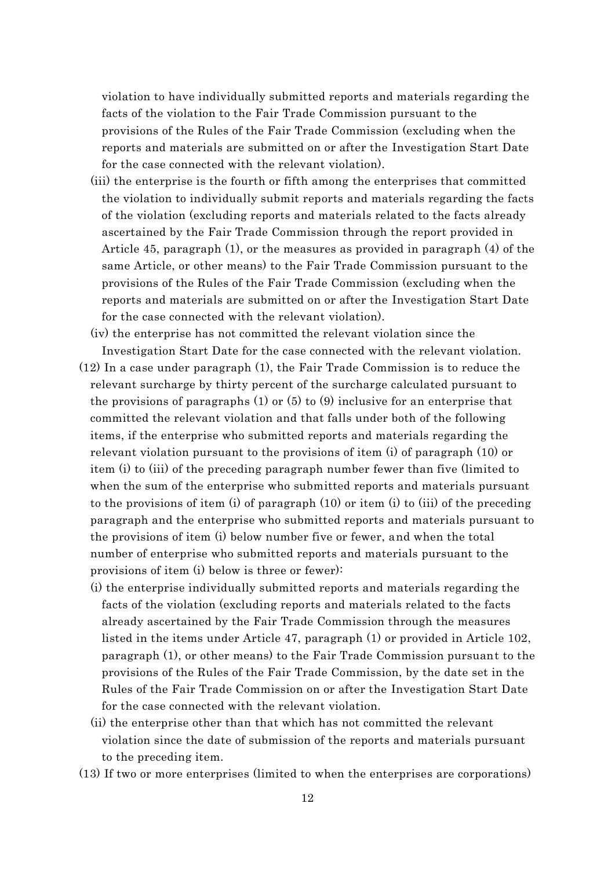violation to have individually submitted reports and materials regarding the facts of the violation to the Fair Trade Commission pursuant to the provisions of the Rules of the Fair Trade Commission (excluding when the reports and materials are submitted on or after the Investigation Start Date for the case connected with the relevant violation).

- (iii) the enterprise is the fourth or fifth among the enterprises that committed the violation to individually submit reports and materials regarding the facts of the violation (excluding reports and materials related to the facts already ascertained by the Fair Trade Commission through the report provided in Article 45, paragraph (1), or the measures as provided in paragraph (4) of the same Article, or other means) to the Fair Trade Commission pursuant to the provisions of the Rules of the Fair Trade Commission (excluding when the reports and materials are submitted on or after the Investigation Start Date for the case connected with the relevant violation).
- (iv) the enterprise has not committed the relevant violation since the Investigation Start Date for the case connected with the relevant violation.
- (12) In a case under paragraph (1), the Fair Trade Commission is to reduce the relevant surcharge by thirty percent of the surcharge calculated pursuant to the provisions of paragraphs  $(1)$  or  $(5)$  to  $(9)$  inclusive for an enterprise that committed the relevant violation and that falls under both of the following items, if the enterprise who submitted reports and materials regarding the relevant violation pursuant to the provisions of item (i) of paragraph (10) or item (i) to (iii) of the preceding paragraph number fewer than five (limited to when the sum of the enterprise who submitted reports and materials pursuant to the provisions of item (i) of paragraph  $(10)$  or item (i) to (iii) of the preceding paragraph and the enterprise who submitted reports and materials pursuant to the provisions of item (i) below number five or fewer, and when the total number of enterprise who submitted reports and materials pursuant to the provisions of item (i) below is three or fewer):
	- (i) the enterprise individually submitted reports and materials regarding the facts of the violation (excluding reports and materials related to the facts already ascertained by the Fair Trade Commission through the measures listed in the items under Article 47, paragraph (1) or provided in Article 102, paragraph (1), or other means) to the Fair Trade Commission pursuant to the provisions of the Rules of the Fair Trade Commission, by the date set in the Rules of the Fair Trade Commission on or after the Investigation Start Date for the case connected with the relevant violation.
	- (ii) the enterprise other than that which has not committed the relevant violation since the date of submission of the reports and materials pursuant to the preceding item.
- (13) If two or more enterprises (limited to when the enterprises are corporations)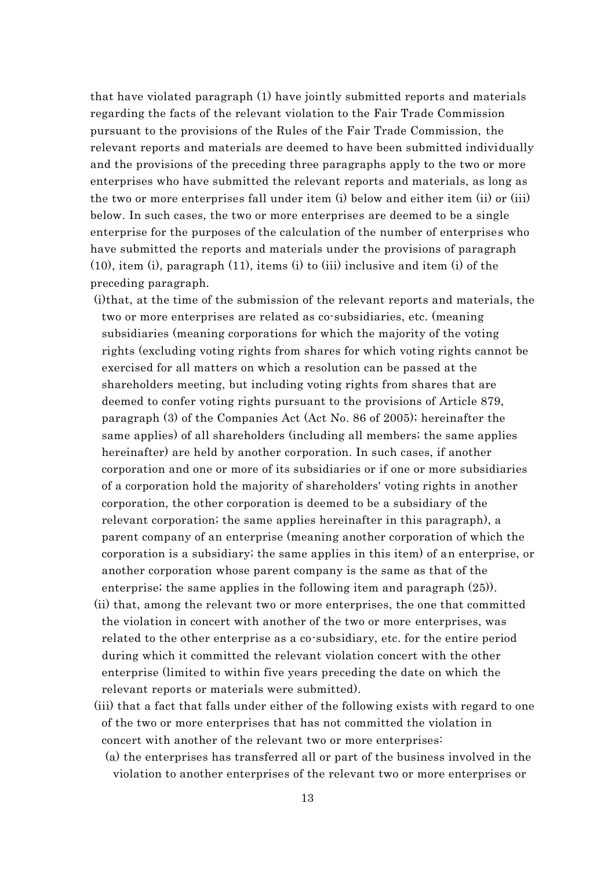that have violated paragraph (1) have jointly submitted reports and materials regarding the facts of the relevant violation to the Fair Trade Commission pursuant to the provisions of the Rules of the Fair Trade Commission, the relevant reports and materials are deemed to have been submitted individually and the provisions of the preceding three paragraphs apply to the two or more enterprises who have submitted the relevant reports and materials, as long as the two or more enterprises fall under item (i) below and either item (ii) or (iii) below. In such cases, the two or more enterprises are deemed to be a single enterprise for the purposes of the calculation of the number of enterprises who have submitted the reports and materials under the provisions of paragraph  $(10)$ , item (i), paragraph  $(11)$ , items (i) to (iii) inclusive and item (i) of the preceding paragraph.

- (i)that, at the time of the submission of the relevant reports and materials, the two or more enterprises are related as co-subsidiaries, etc. (meaning subsidiaries (meaning corporations for which the majority of the voting rights (excluding voting rights from shares for which voting rights cannot be exercised for all matters on which a resolution can be passed at the shareholders meeting, but including voting rights from shares that are deemed to confer voting rights pursuant to the provisions of Article 879, paragraph (3) of the Companies Act (Act No. 86 of 2005); hereinafter the same applies) of all shareholders (including all members; the same applies hereinafter) are held by another corporation. In such cases, if another corporation and one or more of its subsidiaries or if one or more subsidiaries of a corporation hold the majority of shareholders' voting rights in another corporation, the other corporation is deemed to be a subsidiary of the relevant corporation; the same applies hereinafter in this paragraph), a parent company of an enterprise (meaning another corporation of which the corporation is a subsidiary; the same applies in this item) of an enterprise, or another corporation whose parent company is the same as that of the enterprise; the same applies in the following item and paragraph (25)).
- (ii) that, among the relevant two or more enterprises, the one that committed the violation in concert with another of the two or more enterprises, was related to the other enterprise as a co-subsidiary, etc. for the entire period during which it committed the relevant violation concert with the other enterprise (limited to within five years preceding the date on which the relevant reports or materials were submitted).
- (iii) that a fact that falls under either of the following exists with regard to one of the two or more enterprises that has not committed the violation in concert with another of the relevant two or more enterprises:
	- (a) the enterprises has transferred all or part of the business involved in the violation to another enterprises of the relevant two or more enterprises or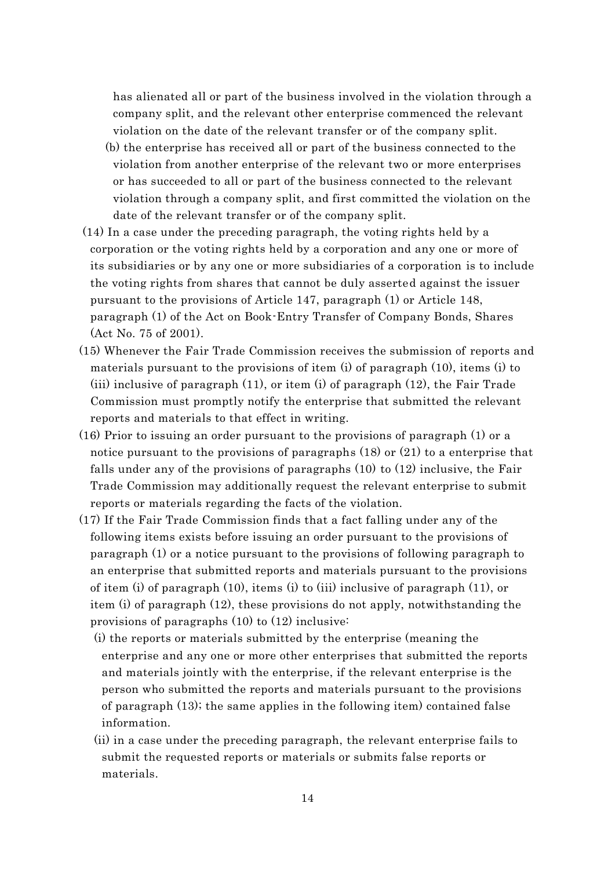has alienated all or part of the business involved in the violation through a company split, and the relevant other enterprise commenced the relevant violation on the date of the relevant transfer or of the company split.

- (b) the enterprise has received all or part of the business connected to the violation from another enterprise of the relevant two or more enterprises or has succeeded to all or part of the business connected to the relevant violation through a company split, and first committed the violation on the date of the relevant transfer or of the company split.
- (14) In a case under the preceding paragraph, the voting rights held by a corporation or the voting rights held by a corporation and any one or more of its subsidiaries or by any one or more subsidiaries of a corporation is to include the voting rights from shares that cannot be duly asserted against the issuer pursuant to the provisions of Article 147, paragraph (1) or Article 148, paragraph (1) of the Act on Book-Entry Transfer of Company Bonds, Shares (Act No. 75 of 2001).
- (15) Whenever the Fair Trade Commission receives the submission of reports and materials pursuant to the provisions of item (i) of paragraph (10), items (i) to (iii) inclusive of paragraph (11), or item (i) of paragraph (12), the Fair Trade Commission must promptly notify the enterprise that submitted the relevant reports and materials to that effect in writing.
- (16) Prior to issuing an order pursuant to the provisions of paragraph (1) or a notice pursuant to the provisions of paragraphs (18) or (21) to a enterprise that falls under any of the provisions of paragraphs (10) to (12) inclusive, the Fair Trade Commission may additionally request the relevant enterprise to submit reports or materials regarding the facts of the violation.
- (17) If the Fair Trade Commission finds that a fact falling under any of the following items exists before issuing an order pursuant to the provisions of paragraph (1) or a notice pursuant to the provisions of following paragraph to an enterprise that submitted reports and materials pursuant to the provisions of item (i) of paragraph (10), items (i) to (iii) inclusive of paragraph (11), or item (i) of paragraph (12), these provisions do not apply, notwithstanding the provisions of paragraphs (10) to (12) inclusive:
	- (i) the reports or materials submitted by the enterprise (meaning the enterprise and any one or more other enterprises that submitted the reports and materials jointly with the enterprise, if the relevant enterprise is the person who submitted the reports and materials pursuant to the provisions of paragraph (13); the same applies in the following item) contained false information.
	- (ii) in a case under the preceding paragraph, the relevant enterprise fails to submit the requested reports or materials or submits false reports or materials.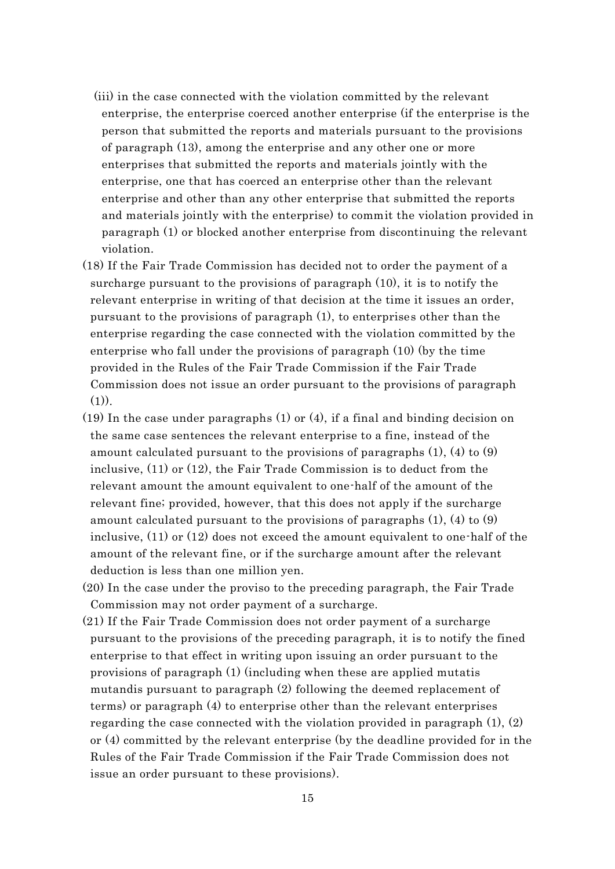- (iii) in the case connected with the violation committed by the relevant enterprise, the enterprise coerced another enterprise (if the enterprise is the person that submitted the reports and materials pursuant to the provisions of paragraph (13), among the enterprise and any other one or more enterprises that submitted the reports and materials jointly with the enterprise, one that has coerced an enterprise other than the relevant enterprise and other than any other enterprise that submitted the reports and materials jointly with the enterprise) to commit the violation provided in paragraph (1) or blocked another enterprise from discontinuing the relevant violation.
- (18) If the Fair Trade Commission has decided not to order the payment of a surcharge pursuant to the provisions of paragraph (10), it is to notify the relevant enterprise in writing of that decision at the time it issues an order, pursuant to the provisions of paragraph (1), to enterprises other than the enterprise regarding the case connected with the violation committed by the enterprise who fall under the provisions of paragraph (10) (by the time provided in the Rules of the Fair Trade Commission if the Fair Trade Commission does not issue an order pursuant to the provisions of paragraph  $(1)$ ).
- (19) In the case under paragraphs (1) or (4), if a final and binding decision on the same case sentences the relevant enterprise to a fine, instead of the amount calculated pursuant to the provisions of paragraphs (1), (4) to (9) inclusive, (11) or (12), the Fair Trade Commission is to deduct from the relevant amount the amount equivalent to one-half of the amount of the relevant fine; provided, however, that this does not apply if the surcharge amount calculated pursuant to the provisions of paragraphs  $(1)$ ,  $(4)$  to  $(9)$ inclusive, (11) or (12) does not exceed the amount equivalent to one-half of the amount of the relevant fine, or if the surcharge amount after the relevant deduction is less than one million yen.
- (20) In the case under the proviso to the preceding paragraph, the Fair Trade Commission may not order payment of a surcharge.
- (21) If the Fair Trade Commission does not order payment of a surcharge pursuant to the provisions of the preceding paragraph, it is to notify the fined enterprise to that effect in writing upon issuing an order pursuant to the provisions of paragraph (1) (including when these are applied mutatis mutandis pursuant to paragraph (2) following the deemed replacement of terms) or paragraph (4) to enterprise other than the relevant enterprises regarding the case connected with the violation provided in paragraph  $(1), (2)$ or (4) committed by the relevant enterprise (by the deadline provided for in the Rules of the Fair Trade Commission if the Fair Trade Commission does not issue an order pursuant to these provisions).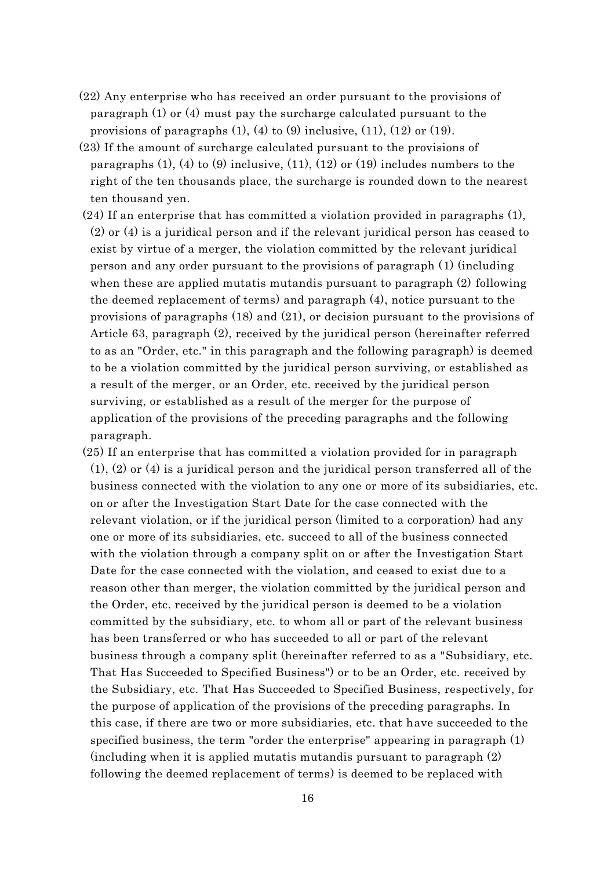- (22) Any enterprise who has received an order pursuant to the provisions of paragraph (1) or (4) must pay the surcharge calculated pursuant to the provisions of paragraphs  $(1)$ ,  $(4)$  to  $(9)$  inclusive,  $(11)$ ,  $(12)$  or  $(19)$ .
- (23) If the amount of surcharge calculated pursuant to the provisions of paragraphs  $(1)$ ,  $(4)$  to  $(9)$  inclusive,  $(11)$ ,  $(12)$  or  $(19)$  includes numbers to the right of the ten thousands place, the surcharge is rounded down to the nearest ten thousand yen.
- (24) If an enterprise that has committed a violation provided in paragraphs (1), (2) or (4) is a juridical person and if the relevant juridical person has ceased to exist by virtue of a merger, the violation committed by the relevant juridical person and any order pursuant to the provisions of paragraph (1) (including when these are applied mutatis mutandis pursuant to paragraph (2) following the deemed replacement of terms) and paragraph (4), notice pursuant to the provisions of paragraphs (18) and (21), or decision pursuant to the provisions of Article 63, paragraph (2), received by the juridical person (hereinafter referred to as an "Order, etc." in this paragraph and the following paragraph) is deemed to be a violation committed by the juridical person surviving, or established as a result of the merger, or an Order, etc. received by the juridical person surviving, or established as a result of the merger for the purpose of application of the provisions of the preceding paragraphs and the following paragraph.
- (25) If an enterprise that has committed a violation provided for in paragraph (1), (2) or (4) is a juridical person and the juridical person transferred all of the business connected with the violation to any one or more of its subsidiaries, etc. on or after the Investigation Start Date for the case connected with the relevant violation, or if the juridical person (limited to a corporation) had any one or more of its subsidiaries, etc. succeed to all of the business connected with the violation through a company split on or after the Investigation Start Date for the case connected with the violation, and ceased to exist due to a reason other than merger, the violation committed by the juridical person and the Order, etc. received by the juridical person is deemed to be a violation committed by the subsidiary, etc. to whom all or part of the relevant business has been transferred or who has succeeded to all or part of the relevant business through a company split (hereinafter referred to as a "Subsidiary, etc. That Has Succeeded to Specified Business") or to be an Order, etc. received by the Subsidiary, etc. That Has Succeeded to Specified Business, respectively, for the purpose of application of the provisions of the preceding paragraphs. In this case, if there are two or more subsidiaries, etc. that have succeeded to the specified business, the term "order the enterprise" appearing in paragraph (1) (including when it is applied mutatis mutandis pursuant to paragraph (2) following the deemed replacement of terms) is deemed to be replaced with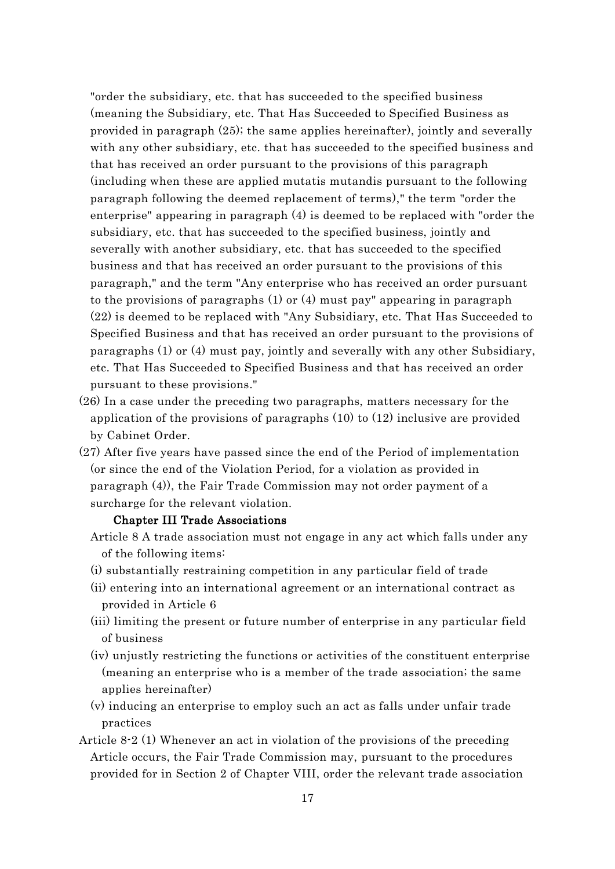"order the subsidiary, etc. that has succeeded to the specified business (meaning the Subsidiary, etc. That Has Succeeded to Specified Business as provided in paragraph (25); the same applies hereinafter), jointly and severally with any other subsidiary, etc. that has succeeded to the specified business and that has received an order pursuant to the provisions of this paragraph (including when these are applied mutatis mutandis pursuant to the following paragraph following the deemed replacement of terms)," the term "order the enterprise" appearing in paragraph (4) is deemed to be replaced with "order the subsidiary, etc. that has succeeded to the specified business, jointly and severally with another subsidiary, etc. that has succeeded to the specified business and that has received an order pursuant to the provisions of this paragraph," and the term "Any enterprise who has received an order pursuant to the provisions of paragraphs (1) or (4) must pay" appearing in paragraph (22) is deemed to be replaced with "Any Subsidiary, etc. That Has Succeeded to Specified Business and that has received an order pursuant to the provisions of paragraphs (1) or (4) must pay, jointly and severally with any other Subsidiary, etc. That Has Succeeded to Specified Business and that has received an order pursuant to these provisions."

- (26) In a case under the preceding two paragraphs, matters necessary for the application of the provisions of paragraphs (10) to (12) inclusive are provided by Cabinet Order.
- (27) After five years have passed since the end of the Period of implementation (or since the end of the Violation Period, for a violation as provided in paragraph (4)), the Fair Trade Commission may not order payment of a surcharge for the relevant violation.

#### Chapter III Trade Associations

- Article 8 A trade association must not engage in any act which falls under any of the following items:
- (i) substantially restraining competition in any particular field of trade
- (ii) entering into an international agreement or an international contract as provided in Article 6
- (iii) limiting the present or future number of enterprise in any particular field of business
- (iv) unjustly restricting the functions or activities of the constituent enterprise (meaning an enterprise who is a member of the trade association; the same applies hereinafter)
- (v) inducing an enterprise to employ such an act as falls under unfair trade practices
- Article 8-2 (1) Whenever an act in violation of the provisions of the preceding Article occurs, the Fair Trade Commission may, pursuant to the procedures provided for in Section 2 of Chapter VIII, order the relevant trade association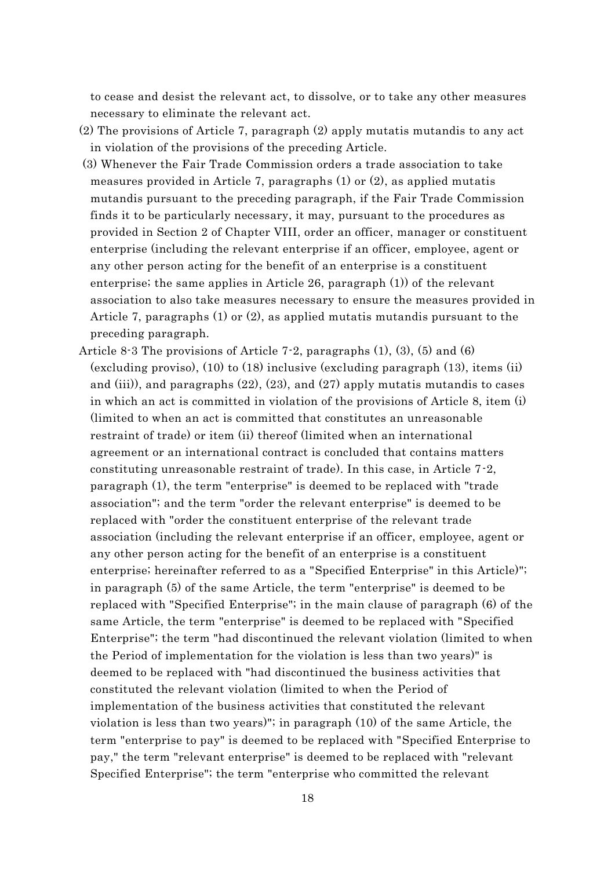to cease and desist the relevant act, to dissolve, or to take any other measures necessary to eliminate the relevant act.

- (2) The provisions of Article 7, paragraph (2) apply mutatis mutandis to any act in violation of the provisions of the preceding Article.
- (3) Whenever the Fair Trade Commission orders a trade association to take measures provided in Article 7, paragraphs  $(1)$  or  $(2)$ , as applied mutatis mutandis pursuant to the preceding paragraph, if the Fair Trade Commission finds it to be particularly necessary, it may, pursuant to the procedures as provided in Section 2 of Chapter VIII, order an officer, manager or constituent enterprise (including the relevant enterprise if an officer, employee, agent or any other person acting for the benefit of an enterprise is a constituent enterprise; the same applies in Article 26, paragraph (1)) of the relevant association to also take measures necessary to ensure the measures provided in Article 7, paragraphs (1) or (2), as applied mutatis mutandis pursuant to the preceding paragraph.
- Article 8.3 The provisions of Article 7.2, paragraphs  $(1)$ ,  $(3)$ ,  $(5)$  and  $(6)$ (excluding proviso), (10) to (18) inclusive (excluding paragraph (13), items (ii) and (iii)), and paragraphs  $(22)$ ,  $(23)$ , and  $(27)$  apply mutatis mutandis to cases in which an act is committed in violation of the provisions of Article 8, item (i) (limited to when an act is committed that constitutes an unreasonable restraint of trade) or item (ii) thereof (limited when an international agreement or an international contract is concluded that contains matters constituting unreasonable restraint of trade). In this case, in Article 7-2, paragraph (1), the term "enterprise" is deemed to be replaced with "trade association"; and the term "order the relevant enterprise" is deemed to be replaced with "order the constituent enterprise of the relevant trade association (including the relevant enterprise if an officer, employee, agent or any other person acting for the benefit of an enterprise is a constituent enterprise; hereinafter referred to as a "Specified Enterprise" in this Article)"; in paragraph (5) of the same Article, the term "enterprise" is deemed to be replaced with "Specified Enterprise"; in the main clause of paragraph (6) of the same Article, the term "enterprise" is deemed to be replaced with "Specified Enterprise"; the term "had discontinued the relevant violation (limited to when the Period of implementation for the violation is less than two years)" is deemed to be replaced with "had discontinued the business activities that constituted the relevant violation (limited to when the Period of implementation of the business activities that constituted the relevant violation is less than two years)"; in paragraph (10) of the same Article, the term "enterprise to pay" is deemed to be replaced with "Specified Enterprise to pay," the term "relevant enterprise" is deemed to be replaced with "relevant Specified Enterprise"; the term "enterprise who committed the relevant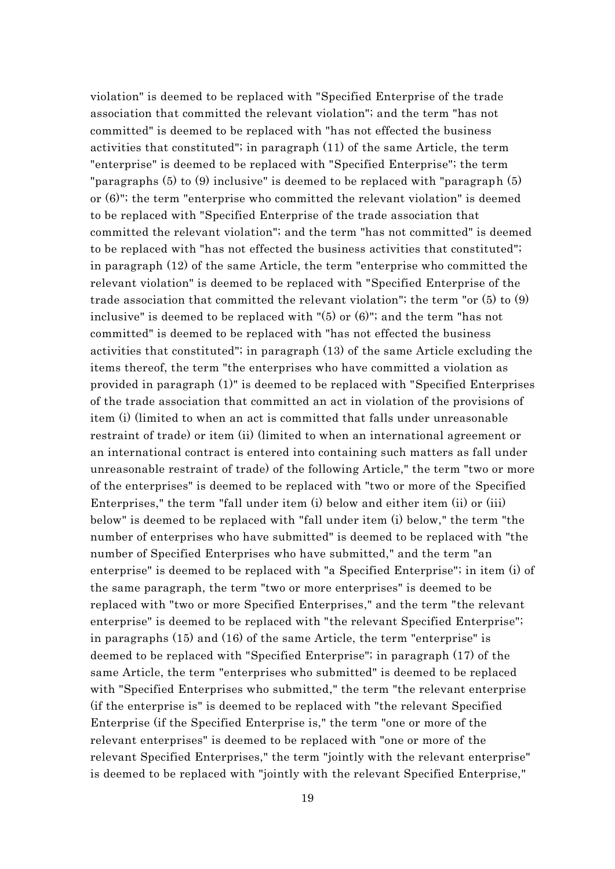violation" is deemed to be replaced with "Specified Enterprise of the trade association that committed the relevant violation"; and the term "has not committed" is deemed to be replaced with "has not effected the business activities that constituted"; in paragraph (11) of the same Article, the term "enterprise" is deemed to be replaced with "Specified Enterprise"; the term "paragraphs (5) to (9) inclusive" is deemed to be replaced with "paragraph (5) or (6)"; the term "enterprise who committed the relevant violation" is deemed to be replaced with "Specified Enterprise of the trade association that committed the relevant violation"; and the term "has not committed" is deemed to be replaced with "has not effected the business activities that constituted"; in paragraph (12) of the same Article, the term "enterprise who committed the relevant violation" is deemed to be replaced with "Specified Enterprise of the trade association that committed the relevant violation"; the term "or (5) to (9) inclusive" is deemed to be replaced with "(5) or (6)"; and the term "has not committed" is deemed to be replaced with "has not effected the business activities that constituted"; in paragraph (13) of the same Article excluding the items thereof, the term "the enterprises who have committed a violation as provided in paragraph (1)" is deemed to be replaced with "Specified Enterprises of the trade association that committed an act in violation of the provisions of item (i) (limited to when an act is committed that falls under unreasonable restraint of trade) or item (ii) (limited to when an international agreement or an international contract is entered into containing such matters as fall under unreasonable restraint of trade) of the following Article," the term "two or more of the enterprises" is deemed to be replaced with "two or more of the Specified Enterprises," the term "fall under item (i) below and either item (ii) or (iii) below" is deemed to be replaced with "fall under item (i) below," the term "the number of enterprises who have submitted" is deemed to be replaced with "the number of Specified Enterprises who have submitted," and the term "an enterprise" is deemed to be replaced with "a Specified Enterprise"; in item (i) of the same paragraph, the term "two or more enterprises" is deemed to be replaced with "two or more Specified Enterprises," and the term "the relevant enterprise" is deemed to be replaced with "the relevant Specified Enterprise"; in paragraphs (15) and (16) of the same Article, the term "enterprise" is deemed to be replaced with "Specified Enterprise"; in paragraph (17) of the same Article, the term "enterprises who submitted" is deemed to be replaced with "Specified Enterprises who submitted," the term "the relevant enterprise (if the enterprise is" is deemed to be replaced with "the relevant Specified Enterprise (if the Specified Enterprise is," the term "one or more of the relevant enterprises" is deemed to be replaced with "one or more of the relevant Specified Enterprises," the term "jointly with the relevant enterprise" is deemed to be replaced with "jointly with the relevant Specified Enterprise,"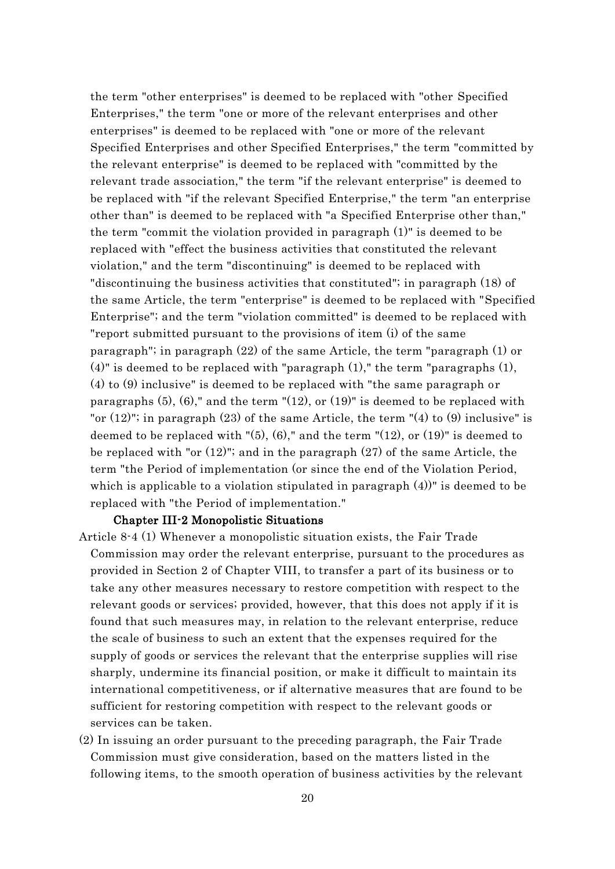the term "other enterprises" is deemed to be replaced with "other Specified Enterprises," the term "one or more of the relevant enterprises and other enterprises" is deemed to be replaced with "one or more of the relevant Specified Enterprises and other Specified Enterprises," the term "committed by the relevant enterprise" is deemed to be replaced with "committed by the relevant trade association," the term "if the relevant enterprise" is deemed to be replaced with "if the relevant Specified Enterprise," the term "an enterprise other than" is deemed to be replaced with "a Specified Enterprise other than," the term "commit the violation provided in paragraph (1)" is deemed to be replaced with "effect the business activities that constituted the relevant violation," and the term "discontinuing" is deemed to be replaced with "discontinuing the business activities that constituted"; in paragraph (18) of the same Article, the term "enterprise" is deemed to be replaced with "Specified Enterprise"; and the term "violation committed" is deemed to be replaced with "report submitted pursuant to the provisions of item (i) of the same paragraph"; in paragraph (22) of the same Article, the term "paragraph (1) or  $(4)$ " is deemed to be replaced with "paragraph  $(1)$ ," the term "paragraphs  $(1)$ , (4) to (9) inclusive" is deemed to be replaced with "the same paragraph or paragraphs  $(5)$ ,  $(6)$ ," and the term " $(12)$ , or  $(19)$ " is deemed to be replaced with "or  $(12)$ "; in paragraph  $(23)$  of the same Article, the term " $(4)$  to  $(9)$  inclusive" is deemed to be replaced with "(5), (6)," and the term "(12), or (19)" is deemed to be replaced with "or (12)"; and in the paragraph (27) of the same Article, the term "the Period of implementation (or since the end of the Violation Period, which is applicable to a violation stipulated in paragraph  $(4)$ " is deemed to be replaced with "the Period of implementation."

#### Chapter III-2 Monopolistic Situations

- Article 8-4 (1) Whenever a monopolistic situation exists, the Fair Trade Commission may order the relevant enterprise, pursuant to the procedures as provided in Section 2 of Chapter VIII, to transfer a part of its business or to take any other measures necessary to restore competition with respect to the relevant goods or services; provided, however, that this does not apply if it is found that such measures may, in relation to the relevant enterprise, reduce the scale of business to such an extent that the expenses required for the supply of goods or services the relevant that the enterprise supplies will rise sharply, undermine its financial position, or make it difficult to maintain its international competitiveness, or if alternative measures that are found to be sufficient for restoring competition with respect to the relevant goods or services can be taken.
- (2) In issuing an order pursuant to the preceding paragraph, the Fair Trade Commission must give consideration, based on the matters listed in the following items, to the smooth operation of business activities by the relevant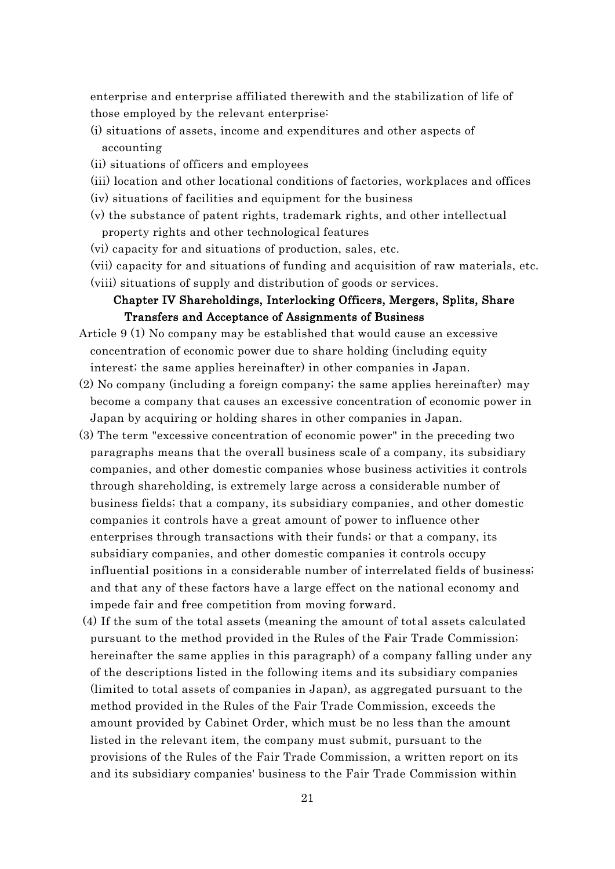enterprise and enterprise affiliated therewith and the stabilization of life of those employed by the relevant enterprise:

- (i) situations of assets, income and expenditures and other aspects of accounting
- (ii) situations of officers and employees
- (iii) location and other locational conditions of factories, workplaces and offices
- (iv) situations of facilities and equipment for the business
- (v) the substance of patent rights, trademark rights, and other intellectual property rights and other technological features
- (vi) capacity for and situations of production, sales, etc.
- (vii) capacity for and situations of funding and acquisition of raw materials, etc.
- (viii) situations of supply and distribution of goods or services.

## Chapter IV Shareholdings, Interlocking Officers, Mergers, Splits, Share Transfers and Acceptance of Assignments of Business

- Article 9 (1) No company may be established that would cause an excessive concentration of economic power due to share holding (including equity interest; the same applies hereinafter) in other companies in Japan.
- (2) No company (including a foreign company; the same applies hereinafter) may become a company that causes an excessive concentration of economic power in Japan by acquiring or holding shares in other companies in Japan.
- (3) The term "excessive concentration of economic power" in the preceding two paragraphs means that the overall business scale of a company, its subsidiary companies, and other domestic companies whose business activities it controls through shareholding, is extremely large across a considerable number of business fields; that a company, its subsidiary companies, and other domestic companies it controls have a great amount of power to influence other enterprises through transactions with their funds; or that a company, its subsidiary companies, and other domestic companies it controls occupy influential positions in a considerable number of interrelated fields of business; and that any of these factors have a large effect on the national economy and impede fair and free competition from moving forward.
- (4) If the sum of the total assets (meaning the amount of total assets calculated pursuant to the method provided in the Rules of the Fair Trade Commission; hereinafter the same applies in this paragraph) of a company falling under any of the descriptions listed in the following items and its subsidiary companies (limited to total assets of companies in Japan), as aggregated pursuant to the method provided in the Rules of the Fair Trade Commission, exceeds the amount provided by Cabinet Order, which must be no less than the amount listed in the relevant item, the company must submit, pursuant to the provisions of the Rules of the Fair Trade Commission, a written report on its and its subsidiary companies' business to the Fair Trade Commission within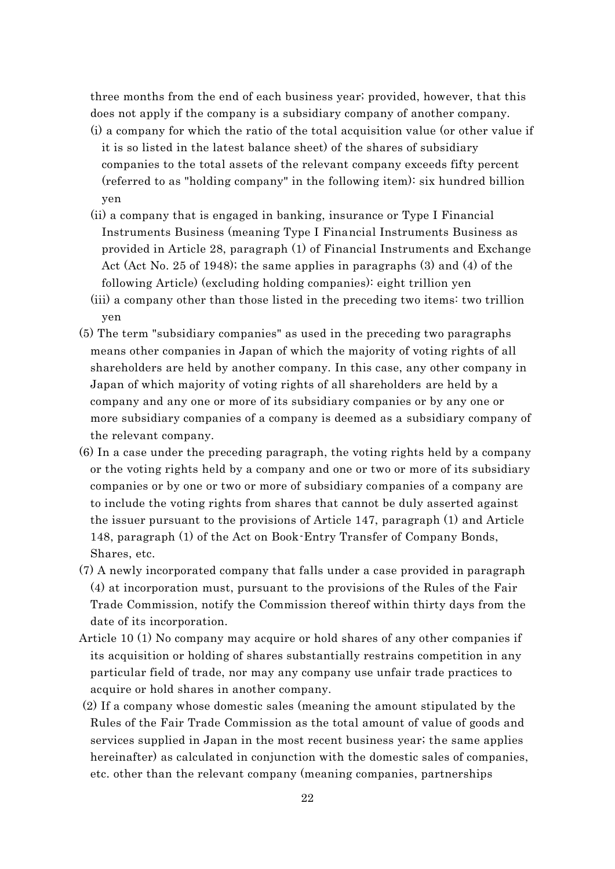three months from the end of each business year; provided, however, that this does not apply if the company is a subsidiary company of another company.

- (i) a company for which the ratio of the total acquisition value (or other value if it is so listed in the latest balance sheet) of the shares of subsidiary companies to the total assets of the relevant company exceeds fifty percent (referred to as "holding company" in the following item): six hundred billion yen
- (ii) a company that is engaged in banking, insurance or Type I Financial Instruments Business (meaning Type I Financial Instruments Business as provided in Article 28, paragraph (1) of Financial Instruments and Exchange Act (Act No. 25 of 1948); the same applies in paragraphs (3) and (4) of the following Article) (excluding holding companies): eight trillion yen
- (iii) a company other than those listed in the preceding two items: two trillion yen
- (5) The term "subsidiary companies" as used in the preceding two paragraphs means other companies in Japan of which the majority of voting rights of all shareholders are held by another company. In this case, any other company in Japan of which majority of voting rights of all shareholders are held by a company and any one or more of its subsidiary companies or by any one or more subsidiary companies of a company is deemed as a subsidiary company of the relevant company.
- (6) In a case under the preceding paragraph, the voting rights held by a company or the voting rights held by a company and one or two or more of its subsidiary companies or by one or two or more of subsidiary companies of a company are to include the voting rights from shares that cannot be duly asserted against the issuer pursuant to the provisions of Article 147, paragraph (1) and Article 148, paragraph (1) of the Act on Book-Entry Transfer of Company Bonds, Shares, etc.
- (7) A newly incorporated company that falls under a case provided in paragraph (4) at incorporation must, pursuant to the provisions of the Rules of the Fair Trade Commission, notify the Commission thereof within thirty days from the date of its incorporation.
- Article 10 (1) No company may acquire or hold shares of any other companies if its acquisition or holding of shares substantially restrains competition in any particular field of trade, nor may any company use unfair trade practices to acquire or hold shares in another company.
- (2) If a company whose domestic sales (meaning the amount stipulated by the Rules of the Fair Trade Commission as the total amount of value of goods and services supplied in Japan in the most recent business year; the same applies hereinafter) as calculated in conjunction with the domestic sales of companies, etc. other than the relevant company (meaning companies, partnerships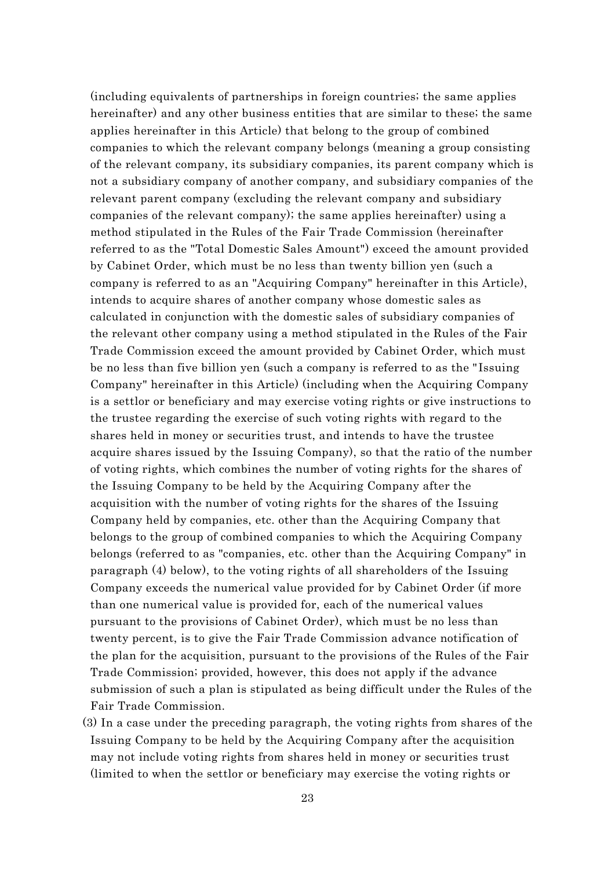(including equivalents of partnerships in foreign countries; the same applies hereinafter) and any other business entities that are similar to these; the same applies hereinafter in this Article) that belong to the group of combined companies to which the relevant company belongs (meaning a group consisting of the relevant company, its subsidiary companies, its parent company which is not a subsidiary company of another company, and subsidiary companies of the relevant parent company (excluding the relevant company and subsidiary companies of the relevant company); the same applies hereinafter) using a method stipulated in the Rules of the Fair Trade Commission (hereinafter referred to as the "Total Domestic Sales Amount") exceed the amount provided by Cabinet Order, which must be no less than twenty billion yen (such a company is referred to as an "Acquiring Company" hereinafter in this Article), intends to acquire shares of another company whose domestic sales as calculated in conjunction with the domestic sales of subsidiary companies of the relevant other company using a method stipulated in the Rules of the Fair Trade Commission exceed the amount provided by Cabinet Order, which must be no less than five billion yen (such a company is referred to as the " Issuing Company" hereinafter in this Article) (including when the Acquiring Company is a settlor or beneficiary and may exercise voting rights or give instructions to the trustee regarding the exercise of such voting rights with regard to the shares held in money or securities trust, and intends to have the trustee acquire shares issued by the Issuing Company), so that the ratio of the number of voting rights, which combines the number of voting rights for the shares of the Issuing Company to be held by the Acquiring Company after the acquisition with the number of voting rights for the shares of the Issuing Company held by companies, etc. other than the Acquiring Company that belongs to the group of combined companies to which the Acquiring Company belongs (referred to as "companies, etc. other than the Acquiring Company" in paragraph (4) below), to the voting rights of all shareholders of the Issuing Company exceeds the numerical value provided for by Cabinet Order (if more than one numerical value is provided for, each of the numerical values pursuant to the provisions of Cabinet Order), which must be no less than twenty percent, is to give the Fair Trade Commission advance notification of the plan for the acquisition, pursuant to the provisions of the Rules of the Fair Trade Commission; provided, however, this does not apply if the advance submission of such a plan is stipulated as being difficult under the Rules of the Fair Trade Commission.

(3) In a case under the preceding paragraph, the voting rights from shares of the Issuing Company to be held by the Acquiring Company after the acquisition may not include voting rights from shares held in money or securities trust (limited to when the settlor or beneficiary may exercise the voting rights or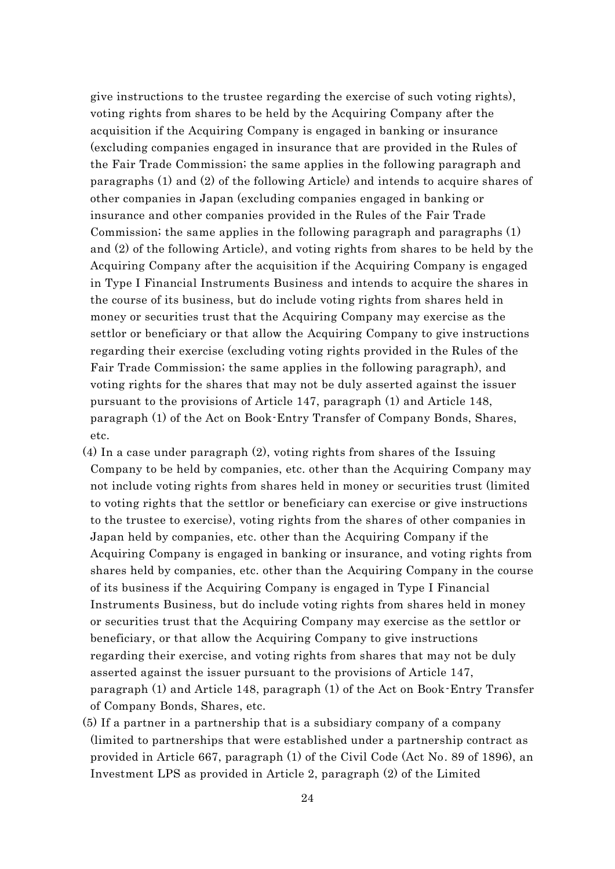give instructions to the trustee regarding the exercise of such voting rights), voting rights from shares to be held by the Acquiring Company after the acquisition if the Acquiring Company is engaged in banking or insurance (excluding companies engaged in insurance that are provided in the Rules of the Fair Trade Commission; the same applies in the following paragraph and paragraphs (1) and (2) of the following Article) and intends to acquire shares of other companies in Japan (excluding companies engaged in banking or insurance and other companies provided in the Rules of the Fair Trade Commission; the same applies in the following paragraph and paragraphs (1) and (2) of the following Article), and voting rights from shares to be held by the Acquiring Company after the acquisition if the Acquiring Company is engaged in Type I Financial Instruments Business and intends to acquire the shares in the course of its business, but do include voting rights from shares held in money or securities trust that the Acquiring Company may exercise as the settlor or beneficiary or that allow the Acquiring Company to give instructions regarding their exercise (excluding voting rights provided in the Rules of the Fair Trade Commission; the same applies in the following paragraph), and voting rights for the shares that may not be duly asserted against the issuer pursuant to the provisions of Article 147, paragraph (1) and Article 148, paragraph (1) of the Act on Book-Entry Transfer of Company Bonds, Shares, etc.

- (4) In a case under paragraph (2), voting rights from shares of the Issuing Company to be held by companies, etc. other than the Acquiring Company may not include voting rights from shares held in money or securities trust (limited to voting rights that the settlor or beneficiary can exercise or give instructions to the trustee to exercise), voting rights from the shares of other companies in Japan held by companies, etc. other than the Acquiring Company if the Acquiring Company is engaged in banking or insurance, and voting rights from shares held by companies, etc. other than the Acquiring Company in the course of its business if the Acquiring Company is engaged in Type I Financial Instruments Business, but do include voting rights from shares held in money or securities trust that the Acquiring Company may exercise as the settlor or beneficiary, or that allow the Acquiring Company to give instructions regarding their exercise, and voting rights from shares that may not be duly asserted against the issuer pursuant to the provisions of Article 147, paragraph (1) and Article 148, paragraph (1) of the Act on Book-Entry Transfer of Company Bonds, Shares, etc.
- (5) If a partner in a partnership that is a subsidiary company of a company (limited to partnerships that were established under a partnership contract as provided in Article 667, paragraph (1) of the Civil Code (Act No. 89 of 1896), an Investment LPS as provided in Article 2, paragraph (2) of the Limited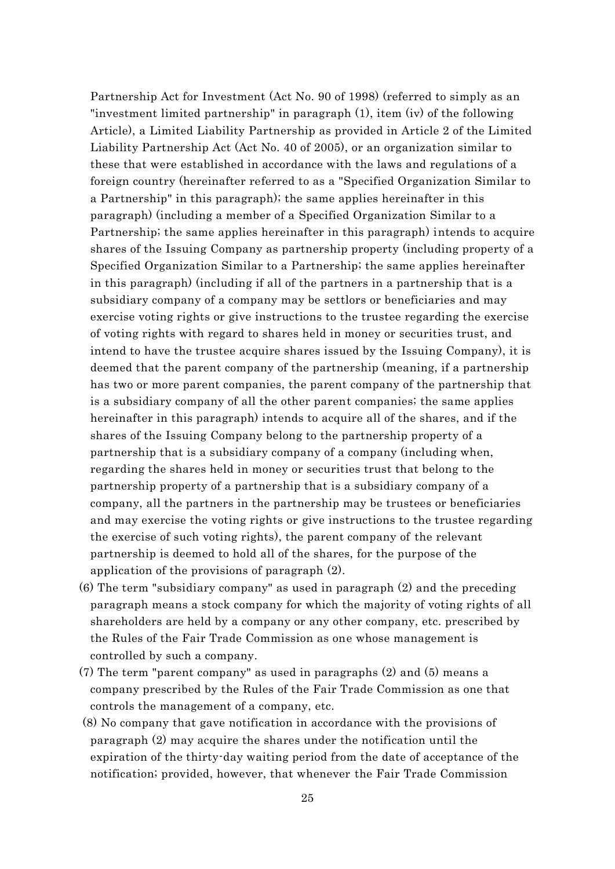Partnership Act for Investment (Act No. 90 of 1998) (referred to simply as an "investment limited partnership" in paragraph (1), item (iv) of the following Article), a Limited Liability Partnership as provided in Article 2 of the Limited Liability Partnership Act (Act No. 40 of 2005), or an organization similar to these that were established in accordance with the laws and regulations of a foreign country (hereinafter referred to as a "Specified Organization Similar to a Partnership" in this paragraph); the same applies hereinafter in this paragraph) (including a member of a Specified Organization Similar to a Partnership; the same applies hereinafter in this paragraph) intends to acquire shares of the Issuing Company as partnership property (including property of a Specified Organization Similar to a Partnership; the same applies hereinafter in this paragraph) (including if all of the partners in a partnership that is a subsidiary company of a company may be settlors or beneficiaries and may exercise voting rights or give instructions to the trustee regarding the exercise of voting rights with regard to shares held in money or securities trust, and intend to have the trustee acquire shares issued by the Issuing Company), it is deemed that the parent company of the partnership (meaning, if a partnership has two or more parent companies, the parent company of the partnership that is a subsidiary company of all the other parent companies; the same applies hereinafter in this paragraph) intends to acquire all of the shares, and if the shares of the Issuing Company belong to the partnership property of a partnership that is a subsidiary company of a company (including when, regarding the shares held in money or securities trust that belong to the partnership property of a partnership that is a subsidiary company of a company, all the partners in the partnership may be trustees or beneficiaries and may exercise the voting rights or give instructions to the trustee regarding the exercise of such voting rights), the parent company of the relevant partnership is deemed to hold all of the shares, for the purpose of the application of the provisions of paragraph (2).

- (6) The term "subsidiary company" as used in paragraph (2) and the preceding paragraph means a stock company for which the majority of voting rights of all shareholders are held by a company or any other company, etc. prescribed by the Rules of the Fair Trade Commission as one whose management is controlled by such a company.
- (7) The term "parent company" as used in paragraphs (2) and (5) means a company prescribed by the Rules of the Fair Trade Commission as one that controls the management of a company, etc.
- (8) No company that gave notification in accordance with the provisions of paragraph (2) may acquire the shares under the notification until the expiration of the thirty-day waiting period from the date of acceptance of the notification; provided, however, that whenever the Fair Trade Commission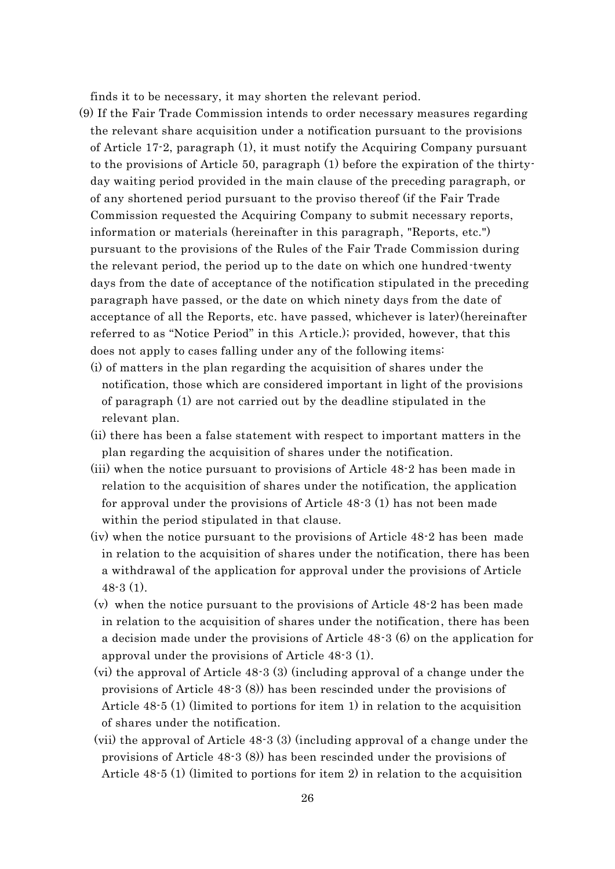finds it to be necessary, it may shorten the relevant period.

- (9) If the Fair Trade Commission intends to order necessary measures regarding the relevant share acquisition under a notification pursuant to the provisions of Article 17-2, paragraph (1), it must notify the Acquiring Company pursuant to the provisions of Article 50, paragraph (1) before the expiration of the thirtyday waiting period provided in the main clause of the preceding paragraph, or of any shortened period pursuant to the proviso thereof (if the Fair Trade Commission requested the Acquiring Company to submit necessary reports, information or materials (hereinafter in this paragraph, "Reports, etc.") pursuant to the provisions of the Rules of the Fair Trade Commission during the relevant period, the period up to the date on which one hundred-twenty days from the date of acceptance of the notification stipulated in the preceding paragraph have passed, or the date on which ninety days from the date of acceptance of all the Reports, etc. have passed, whichever is later)(hereinafter referred to as "Notice Period" in this Article.); provided, however, that this does not apply to cases falling under any of the following items:
	- (i) of matters in the plan regarding the acquisition of shares under the notification, those which are considered important in light of the provisions of paragraph (1) are not carried out by the deadline stipulated in the relevant plan.
	- (ii) there has been a false statement with respect to important matters in the plan regarding the acquisition of shares under the notification.
	- (iii) when the notice pursuant to provisions of Article 48-2 has been made in relation to the acquisition of shares under the notification, the application for approval under the provisions of Article 48-3 (1) has not been made within the period stipulated in that clause.
	- (iv) when the notice pursuant to the provisions of Article 48-2 has been made in relation to the acquisition of shares under the notification, there has been a withdrawal of the application for approval under the provisions of Article 48-3 (1).
	- (v) when the notice pursuant to the provisions of Article 48-2 has been made in relation to the acquisition of shares under the notification, there has been a decision made under the provisions of Article 48-3 (6) on the application for approval under the provisions of Article 48-3 (1).
	- (vi) the approval of Article 48-3 (3) (including approval of a change under the provisions of Article 48-3 (8)) has been rescinded under the provisions of Article 48-5 (1) (limited to portions for item 1) in relation to the acquisition of shares under the notification.
	- (vii) the approval of Article 48-3 (3) (including approval of a change under the provisions of Article 48-3 (8)) has been rescinded under the provisions of Article 48-5 (1) (limited to portions for item 2) in relation to the acquisition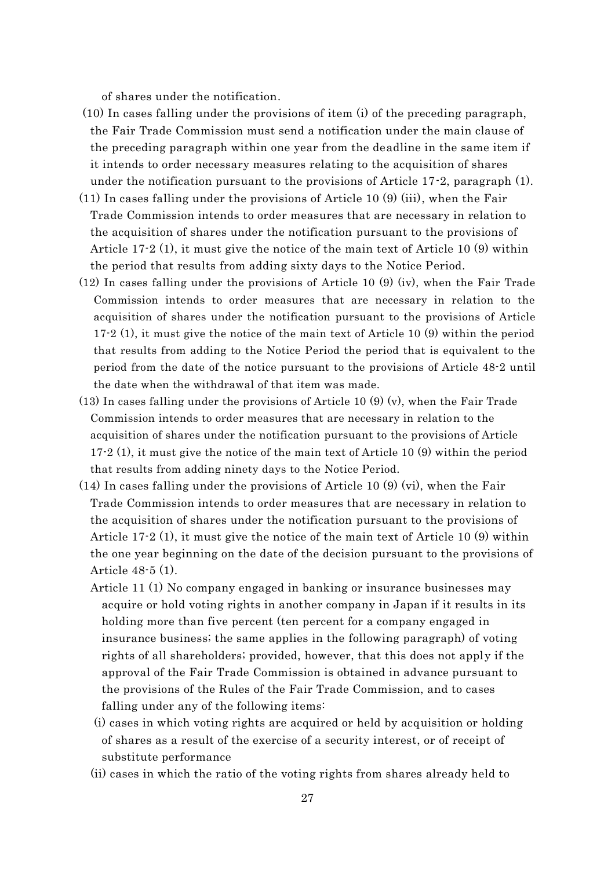of shares under the notification.

- (10) In cases falling under the provisions of item (i) of the preceding paragraph, the Fair Trade Commission must send a notification under the main clause of the preceding paragraph within one year from the deadline in the same item if it intends to order necessary measures relating to the acquisition of shares under the notification pursuant to the provisions of Article 17-2, paragraph (1).
- $(11)$  In cases falling under the provisions of Article 10 (9) (iii), when the Fair Trade Commission intends to order measures that are necessary in relation to the acquisition of shares under the notification pursuant to the provisions of Article 17-2 (1), it must give the notice of the main text of Article 10 (9) within the period that results from adding sixty days to the Notice Period.
- (12) In cases falling under the provisions of Article 10 (9) (iv), when the Fair Trade Commission intends to order measures that are necessary in relation to the acquisition of shares under the notification pursuant to the provisions of Article 17-2 (1), it must give the notice of the main text of Article 10 (9) within the period that results from adding to the Notice Period the period that is equivalent to the period from the date of the notice pursuant to the provisions of Article 48-2 until the date when the withdrawal of that item was made.
- (13) In cases falling under the provisions of Article 10 (9) (v), when the Fair Trade Commission intends to order measures that are necessary in relation to the acquisition of shares under the notification pursuant to the provisions of Article 17-2 (1), it must give the notice of the main text of Article 10 (9) within the period that results from adding ninety days to the Notice Period.
- $(14)$  In cases falling under the provisions of Article 10  $(9)$  (vi), when the Fair Trade Commission intends to order measures that are necessary in relation to the acquisition of shares under the notification pursuant to the provisions of Article 17-2 (1), it must give the notice of the main text of Article 10 (9) within the one year beginning on the date of the decision pursuant to the provisions of Article 48-5 (1).
	- Article 11 (1) No company engaged in banking or insurance businesses may acquire or hold voting rights in another company in Japan if it results in its holding more than five percent (ten percent for a company engaged in insurance business; the same applies in the following paragraph) of voting rights of all shareholders; provided, however, that this does not apply if the approval of the Fair Trade Commission is obtained in advance pursuant to the provisions of the Rules of the Fair Trade Commission, and to cases falling under any of the following items:
	- (i) cases in which voting rights are acquired or held by acquisition or holding of shares as a result of the exercise of a security interest, or of receipt of substitute performance
	- (ii) cases in which the ratio of the voting rights from shares already held to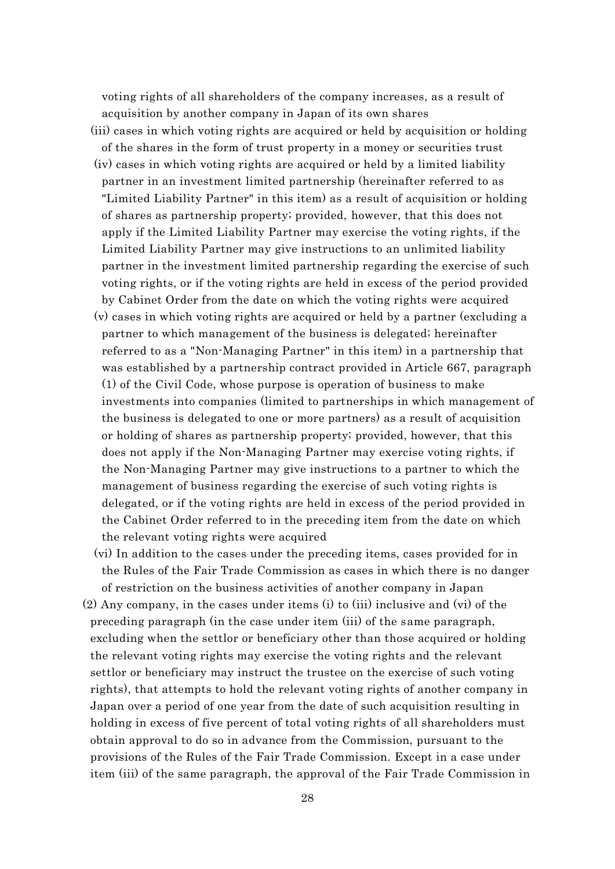voting rights of all shareholders of the company increases, as a result of acquisition by another company in Japan of its own shares

- (iii) cases in which voting rights are acquired or held by acquisition or holding of the shares in the form of trust property in a money or securities trust
- (iv) cases in which voting rights are acquired or held by a limited liability partner in an investment limited partnership (hereinafter referred to as "Limited Liability Partner" in this item) as a result of acquisition or holding of shares as partnership property; provided, however, that this does not apply if the Limited Liability Partner may exercise the voting rights, if the Limited Liability Partner may give instructions to an unlimited liability partner in the investment limited partnership regarding the exercise of such voting rights, or if the voting rights are held in excess of the period provided by Cabinet Order from the date on which the voting rights were acquired
- (v) cases in which voting rights are acquired or held by a partner (excluding a partner to which management of the business is delegated; hereinafter referred to as a "Non-Managing Partner" in this item) in a partnership that was established by a partnership contract provided in Article 667, paragraph (1) of the Civil Code, whose purpose is operation of business to make investments into companies (limited to partnerships in which management of the business is delegated to one or more partners) as a result of acquisition or holding of shares as partnership property; provided, however, that this does not apply if the Non-Managing Partner may exercise voting rights, if the Non-Managing Partner may give instructions to a partner to which the management of business regarding the exercise of such voting rights is delegated, or if the voting rights are held in excess of the period provided in the Cabinet Order referred to in the preceding item from the date on which the relevant voting rights were acquired
- (vi) In addition to the cases under the preceding items, cases provided for in the Rules of the Fair Trade Commission as cases in which there is no danger of restriction on the business activities of another company in Japan
- (2) Any company, in the cases under items (i) to (iii) inclusive and (vi) of the preceding paragraph (in the case under item (iii) of the same paragraph, excluding when the settlor or beneficiary other than those acquired or holding the relevant voting rights may exercise the voting rights and the relevant settlor or beneficiary may instruct the trustee on the exercise of such voting rights), that attempts to hold the relevant voting rights of another company in Japan over a period of one year from the date of such acquisition resulting in holding in excess of five percent of total voting rights of all shareholders must obtain approval to do so in advance from the Commission, pursuant to the provisions of the Rules of the Fair Trade Commission. Except in a case under item (iii) of the same paragraph, the approval of the Fair Trade Commission in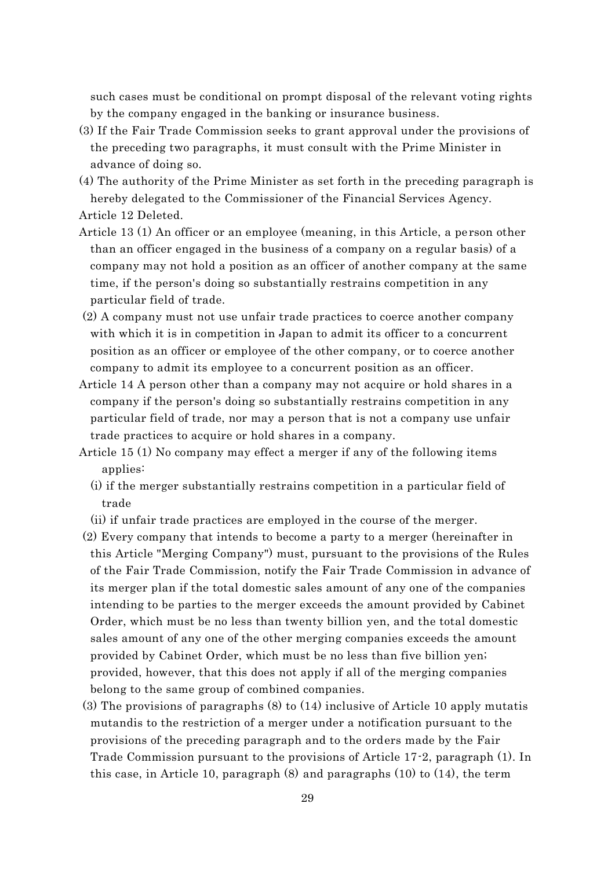such cases must be conditional on prompt disposal of the relevant voting rights by the company engaged in the banking or insurance business.

- (3) If the Fair Trade Commission seeks to grant approval under the provisions of the preceding two paragraphs, it must consult with the Prime Minister in advance of doing so.
- (4) The authority of the Prime Minister as set forth in the preceding paragraph is hereby delegated to the Commissioner of the Financial Services Agency.

Article 12 Deleted.

- Article 13 (1) An officer or an employee (meaning, in this Article, a person other than an officer engaged in the business of a company on a regular basis) of a company may not hold a position as an officer of another company at the same time, if the person's doing so substantially restrains competition in any particular field of trade.
- (2) A company must not use unfair trade practices to coerce another company with which it is in competition in Japan to admit its officer to a concurrent position as an officer or employee of the other company, or to coerce another company to admit its employee to a concurrent position as an officer.
- Article 14 A person other than a company may not acquire or hold shares in a company if the person's doing so substantially restrains competition in any particular field of trade, nor may a person that is not a company use unfair trade practices to acquire or hold shares in a company.
- Article 15 (1) No company may effect a merger if any of the following items applies:
	- (i) if the merger substantially restrains competition in a particular field of trade
	- (ii) if unfair trade practices are employed in the course of the merger.
- (2) Every company that intends to become a party to a merger (hereinafter in this Article "Merging Company") must, pursuant to the provisions of the Rules of the Fair Trade Commission, notify the Fair Trade Commission in advance of its merger plan if the total domestic sales amount of any one of the companies intending to be parties to the merger exceeds the amount provided by Cabinet Order, which must be no less than twenty billion yen, and the total domestic sales amount of any one of the other merging companies exceeds the amount provided by Cabinet Order, which must be no less than five billion yen; provided, however, that this does not apply if all of the merging companies belong to the same group of combined companies.
- (3) The provisions of paragraphs (8) to (14) inclusive of Article 10 apply mutatis mutandis to the restriction of a merger under a notification pursuant to the provisions of the preceding paragraph and to the orders made by the Fair Trade Commission pursuant to the provisions of Article 17-2, paragraph (1). In this case, in Article 10, paragraph (8) and paragraphs (10) to (14), the term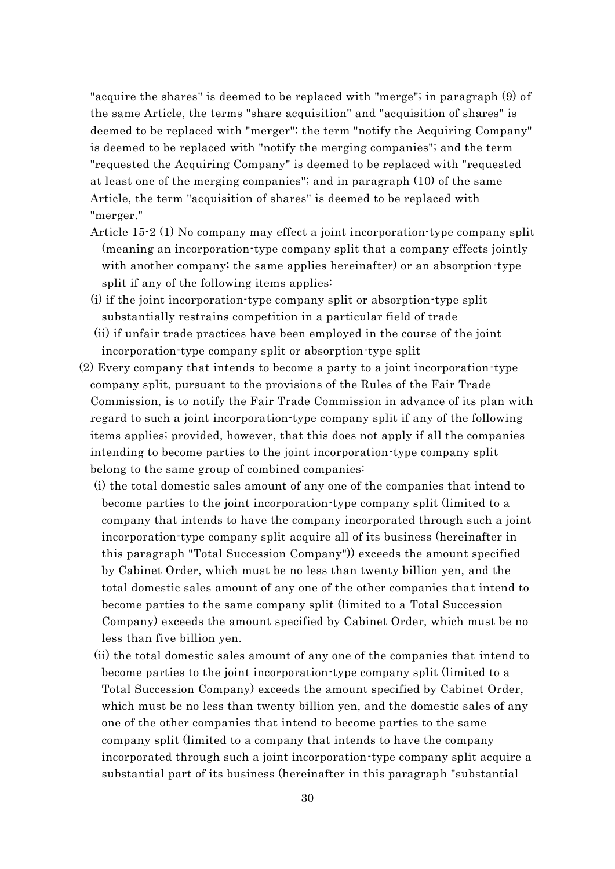"acquire the shares" is deemed to be replaced with "merge"; in paragraph (9) of the same Article, the terms "share acquisition" and "acquisition of shares" is deemed to be replaced with "merger"; the term "notify the Acquiring Company" is deemed to be replaced with "notify the merging companies"; and the term "requested the Acquiring Company" is deemed to be replaced with "requested at least one of the merging companies"; and in paragraph (10) of the same Article, the term "acquisition of shares" is deemed to be replaced with "merger."

- Article 15-2 (1) No company may effect a joint incorporation-type company split (meaning an incorporation-type company split that a company effects jointly with another company; the same applies hereinafter) or an absorption-type split if any of the following items applies:
- (i) if the joint incorporation-type company split or absorption-type split substantially restrains competition in a particular field of trade
- (ii) if unfair trade practices have been employed in the course of the joint incorporation-type company split or absorption-type split
- (2) Every company that intends to become a party to a joint incorporation-type company split, pursuant to the provisions of the Rules of the Fair Trade Commission, is to notify the Fair Trade Commission in advance of its plan with regard to such a joint incorporation-type company split if any of the following items applies; provided, however, that this does not apply if all the companies intending to become parties to the joint incorporation-type company split belong to the same group of combined companies:
	- (i) the total domestic sales amount of any one of the companies that intend to become parties to the joint incorporation-type company split (limited to a company that intends to have the company incorporated through such a joint incorporation-type company split acquire all of its business (hereinafter in this paragraph "Total Succession Company")) exceeds the amount specified by Cabinet Order, which must be no less than twenty billion yen, and the total domestic sales amount of any one of the other companies that intend to become parties to the same company split (limited to a Total Succession Company) exceeds the amount specified by Cabinet Order, which must be no less than five billion yen.
	- (ii) the total domestic sales amount of any one of the companies that intend to become parties to the joint incorporation-type company split (limited to a Total Succession Company) exceeds the amount specified by Cabinet Order, which must be no less than twenty billion yen, and the domestic sales of any one of the other companies that intend to become parties to the same company split (limited to a company that intends to have the company incorporated through such a joint incorporation-type company split acquire a substantial part of its business (hereinafter in this paragraph "substantial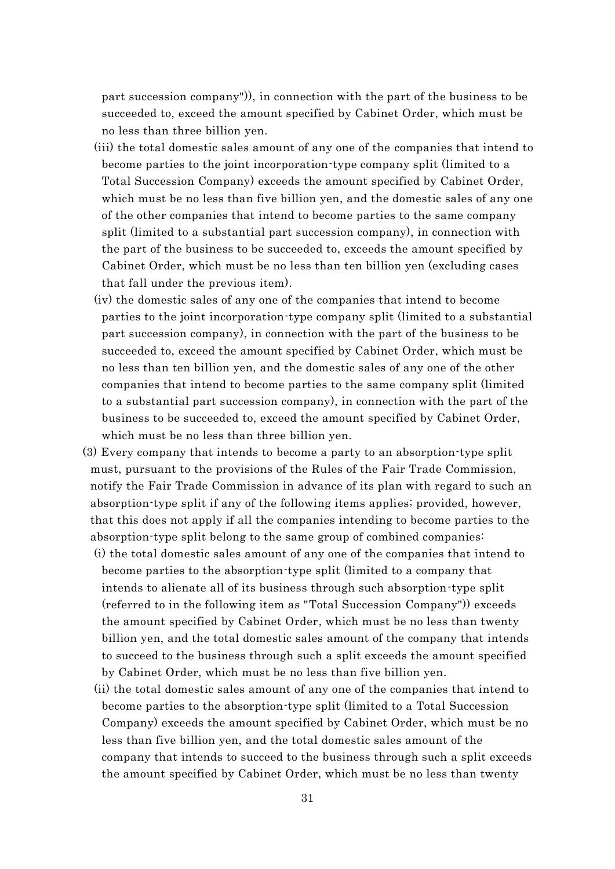part succession company")), in connection with the part of the business to be succeeded to, exceed the amount specified by Cabinet Order, which must be no less than three billion yen.

- (iii) the total domestic sales amount of any one of the companies that intend to become parties to the joint incorporation-type company split (limited to a Total Succession Company) exceeds the amount specified by Cabinet Order, which must be no less than five billion yen, and the domestic sales of any one of the other companies that intend to become parties to the same company split (limited to a substantial part succession company), in connection with the part of the business to be succeeded to, exceeds the amount specified by Cabinet Order, which must be no less than ten billion yen (excluding cases that fall under the previous item).
- (iv) the domestic sales of any one of the companies that intend to become parties to the joint incorporation-type company split (limited to a substantial part succession company), in connection with the part of the business to be succeeded to, exceed the amount specified by Cabinet Order, which must be no less than ten billion yen, and the domestic sales of any one of the other companies that intend to become parties to the same company split (limited to a substantial part succession company), in connection with the part of the business to be succeeded to, exceed the amount specified by Cabinet Order, which must be no less than three billion yen.
- (3) Every company that intends to become a party to an absorption-type split must, pursuant to the provisions of the Rules of the Fair Trade Commission, notify the Fair Trade Commission in advance of its plan with regard to such an absorption-type split if any of the following items applies; provided, however, that this does not apply if all the companies intending to become parties to the absorption-type split belong to the same group of combined companies:
	- (i) the total domestic sales amount of any one of the companies that intend to become parties to the absorption-type split (limited to a company that intends to alienate all of its business through such absorption-type split (referred to in the following item as "Total Succession Company")) exceeds the amount specified by Cabinet Order, which must be no less than twenty billion yen, and the total domestic sales amount of the company that intends to succeed to the business through such a split exceeds the amount specified by Cabinet Order, which must be no less than five billion yen.
	- (ii) the total domestic sales amount of any one of the companies that intend to become parties to the absorption-type split (limited to a Total Succession Company) exceeds the amount specified by Cabinet Order, which must be no less than five billion yen, and the total domestic sales amount of the company that intends to succeed to the business through such a split exceeds the amount specified by Cabinet Order, which must be no less than twenty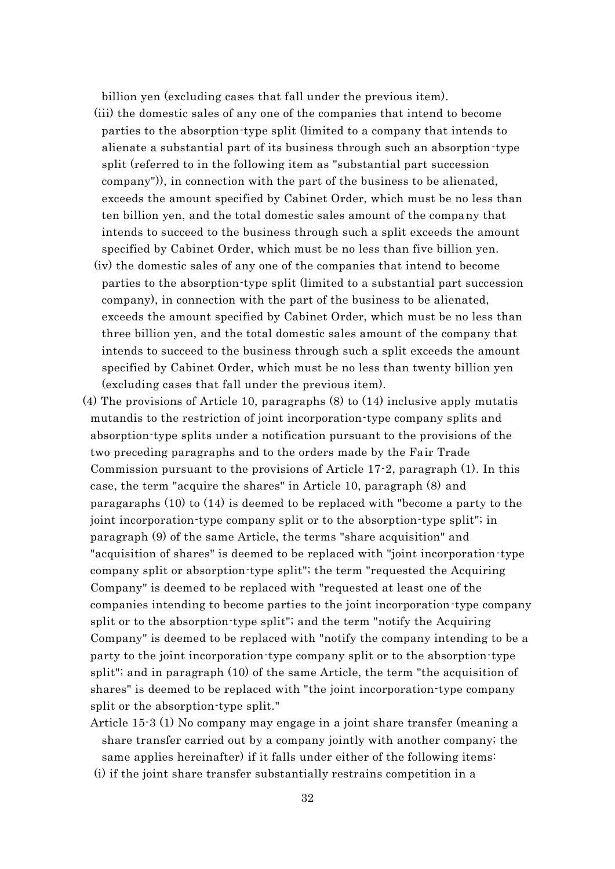billion yen (excluding cases that fall under the previous item).

- (iii) the domestic sales of any one of the companies that intend to become parties to the absorption-type split (limited to a company that intends to alienate a substantial part of its business through such an absorption-type split (referred to in the following item as "substantial part succession company")), in connection with the part of the business to be alienated, exceeds the amount specified by Cabinet Order, which must be no less than ten billion yen, and the total domestic sales amount of the company that intends to succeed to the business through such a split exceeds the amount specified by Cabinet Order, which must be no less than five billion yen.
- (iv) the domestic sales of any one of the companies that intend to become parties to the absorption-type split (limited to a substantial part succession company), in connection with the part of the business to be alienated, exceeds the amount specified by Cabinet Order, which must be no less than three billion yen, and the total domestic sales amount of the company that intends to succeed to the business through such a split exceeds the amount specified by Cabinet Order, which must be no less than twenty billion yen (excluding cases that fall under the previous item).
- (4) The provisions of Article 10, paragraphs (8) to (14) inclusive apply mutatis mutandis to the restriction of joint incorporation-type company splits and absorption-type splits under a notification pursuant to the provisions of the two preceding paragraphs and to the orders made by the Fair Trade Commission pursuant to the provisions of Article 17-2, paragraph (1). In this case, the term "acquire the shares" in Article 10, paragraph (8) and paragaraphs (10) to (14) is deemed to be replaced with "become a party to the joint incorporation-type company split or to the absorption-type split"; in paragraph (9) of the same Article, the terms "share acquisition" and "acquisition of shares" is deemed to be replaced with "joint incorporation-type company split or absorption-type split"; the term "requested the Acquiring Company" is deemed to be replaced with "requested at least one of the companies intending to become parties to the joint incorporation-type company split or to the absorption-type split"; and the term "notify the Acquiring Company" is deemed to be replaced with "notify the company intending to be a party to the joint incorporation-type company split or to the absorption-type split"; and in paragraph (10) of the same Article, the term "the acquisition of shares" is deemed to be replaced with "the joint incorporation-type company split or the absorption-type split."
	- Article 15-3 (1) No company may engage in a joint share transfer (meaning a share transfer carried out by a company jointly with another company; the same applies hereinafter) if it falls under either of the following items:
	- (i) if the joint share transfer substantially restrains competition in a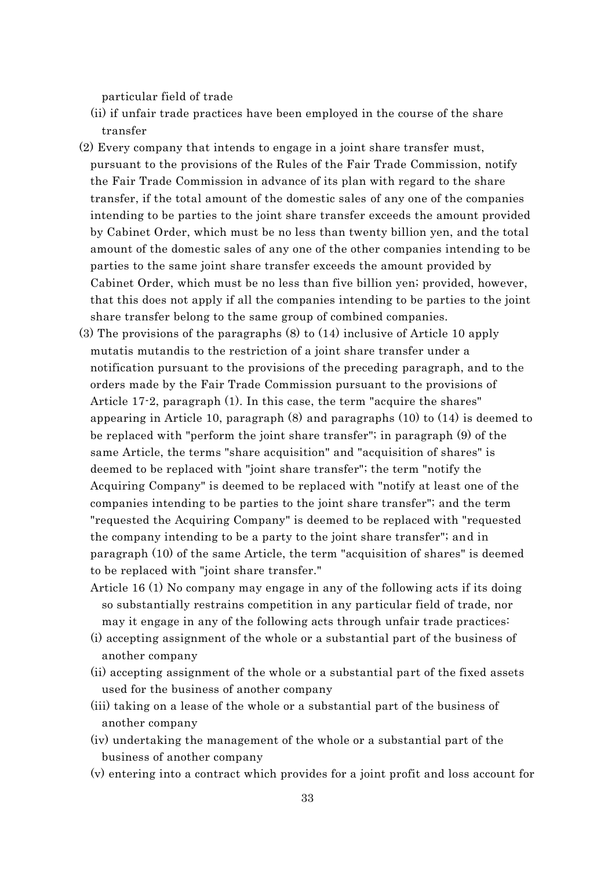particular field of trade

- (ii) if unfair trade practices have been employed in the course of the share transfer
- (2) Every company that intends to engage in a joint share transfer must, pursuant to the provisions of the Rules of the Fair Trade Commission, notify the Fair Trade Commission in advance of its plan with regard to the share transfer, if the total amount of the domestic sales of any one of the companies intending to be parties to the joint share transfer exceeds the amount provided by Cabinet Order, which must be no less than twenty billion yen, and the total amount of the domestic sales of any one of the other companies intending to be parties to the same joint share transfer exceeds the amount provided by Cabinet Order, which must be no less than five billion yen; provided, however, that this does not apply if all the companies intending to be parties to the joint share transfer belong to the same group of combined companies.
- (3) The provisions of the paragraphs (8) to (14) inclusive of Article 10 apply mutatis mutandis to the restriction of a joint share transfer under a notification pursuant to the provisions of the preceding paragraph, and to the orders made by the Fair Trade Commission pursuant to the provisions of Article 17-2, paragraph (1). In this case, the term "acquire the shares" appearing in Article 10, paragraph (8) and paragraphs (10) to (14) is deemed to be replaced with "perform the joint share transfer"; in paragraph (9) of the same Article, the terms "share acquisition" and "acquisition of shares" is deemed to be replaced with "joint share transfer"; the term "notify the Acquiring Company" is deemed to be replaced with "notify at least one of the companies intending to be parties to the joint share transfer"; and the term "requested the Acquiring Company" is deemed to be replaced with "requested the company intending to be a party to the joint share transfer"; and in paragraph (10) of the same Article, the term "acquisition of shares" is deemed to be replaced with "joint share transfer."
	- Article 16 (1) No company may engage in any of the following acts if its doing so substantially restrains competition in any particular field of trade, nor may it engage in any of the following acts through unfair trade practices:
	- (i) accepting assignment of the whole or a substantial part of the business of another company
	- (ii) accepting assignment of the whole or a substantial part of the fixed assets used for the business of another company
	- (iii) taking on a lease of the whole or a substantial part of the business of another company
	- (iv) undertaking the management of the whole or a substantial part of the business of another company
	- (v) entering into a contract which provides for a joint profit and loss account for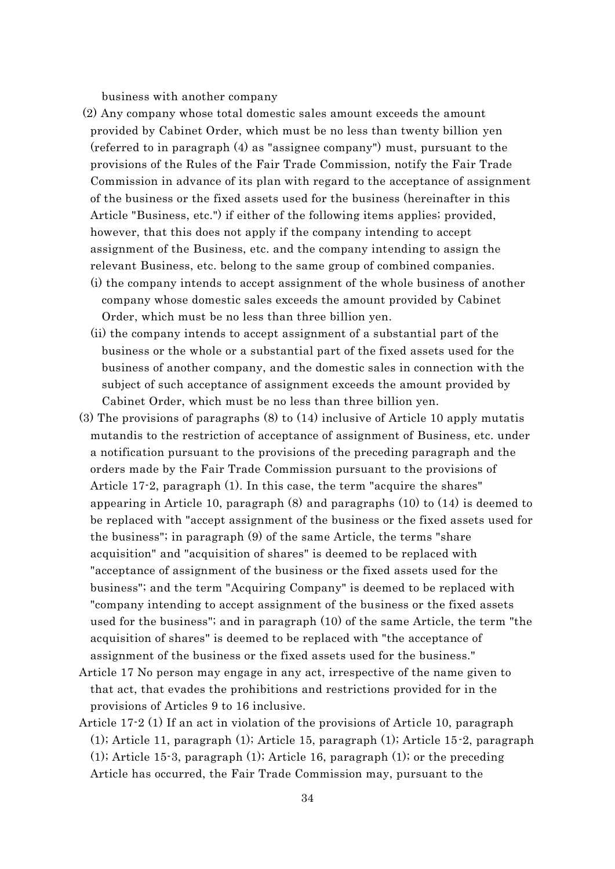business with another company

(2) Any company whose total domestic sales amount exceeds the amount provided by Cabinet Order, which must be no less than twenty billion yen (referred to in paragraph (4) as "assignee company") must, pursuant to the provisions of the Rules of the Fair Trade Commission, notify the Fair Trade Commission in advance of its plan with regard to the acceptance of assignment of the business or the fixed assets used for the business (hereinafter in this Article "Business, etc.") if either of the following items applies; provided, however, that this does not apply if the company intending to accept assignment of the Business, etc. and the company intending to assign the relevant Business, etc. belong to the same group of combined companies. (i) the company intends to accept assignment of the whole business of another company whose domestic sales exceeds the amount provided by Cabinet

Order, which must be no less than three billion yen.

- (ii) the company intends to accept assignment of a substantial part of the business or the whole or a substantial part of the fixed assets used for the business of another company, and the domestic sales in connection with the subject of such acceptance of assignment exceeds the amount provided by Cabinet Order, which must be no less than three billion yen.
- (3) The provisions of paragraphs (8) to (14) inclusive of Article 10 apply mutatis mutandis to the restriction of acceptance of assignment of Business, etc. under a notification pursuant to the provisions of the preceding paragraph and the orders made by the Fair Trade Commission pursuant to the provisions of Article 17-2, paragraph (1). In this case, the term "acquire the shares" appearing in Article 10, paragraph (8) and paragraphs (10) to (14) is deemed to be replaced with "accept assignment of the business or the fixed assets used for the business"; in paragraph (9) of the same Article, the terms "share acquisition" and "acquisition of shares" is deemed to be replaced with "acceptance of assignment of the business or the fixed assets used for the business"; and the term "Acquiring Company" is deemed to be replaced with "company intending to accept assignment of the business or the fixed assets used for the business"; and in paragraph (10) of the same Article, the term "the acquisition of shares" is deemed to be replaced with "the acceptance of assignment of the business or the fixed assets used for the business."
- Article 17 No person may engage in any act, irrespective of the name given to that act, that evades the prohibitions and restrictions provided for in the provisions of Articles 9 to 16 inclusive.
- Article 17-2 (1) If an act in violation of the provisions of Article 10, paragraph (1); Article 11, paragraph (1); Article 15, paragraph (1); Article 15-2, paragraph (1); Article 15-3, paragraph (1); Article 16, paragraph (1); or the preceding Article has occurred, the Fair Trade Commission may, pursuant to the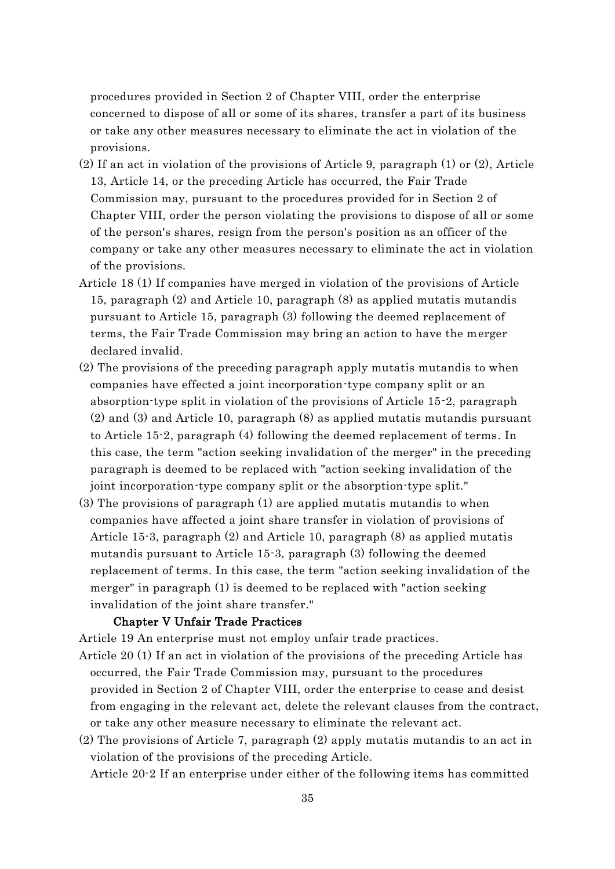procedures provided in Section 2 of Chapter VIII, order the enterprise concerned to dispose of all or some of its shares, transfer a part of its business or take any other measures necessary to eliminate the act in violation of the provisions.

- (2) If an act in violation of the provisions of Article 9, paragraph (1) or (2), Article 13, Article 14, or the preceding Article has occurred, the Fair Trade Commission may, pursuant to the procedures provided for in Section 2 of Chapter VIII, order the person violating the provisions to dispose of all or some of the person's shares, resign from the person's position as an officer of the company or take any other measures necessary to eliminate the act in violation of the provisions.
- Article 18 (1) If companies have merged in violation of the provisions of Article 15, paragraph (2) and Article 10, paragraph (8) as applied mutatis mutandis pursuant to Article 15, paragraph (3) following the deemed replacement of terms, the Fair Trade Commission may bring an action to have the merger declared invalid.
- (2) The provisions of the preceding paragraph apply mutatis mutandis to when companies have effected a joint incorporation-type company split or an absorption-type split in violation of the provisions of Article 15-2, paragraph (2) and (3) and Article 10, paragraph (8) as applied mutatis mutandis pursuant to Article 15-2, paragraph (4) following the deemed replacement of terms. In this case, the term "action seeking invalidation of the merger" in the preceding paragraph is deemed to be replaced with "action seeking invalidation of the joint incorporation-type company split or the absorption-type split."
- (3) The provisions of paragraph (1) are applied mutatis mutandis to when companies have affected a joint share transfer in violation of provisions of Article 15-3, paragraph (2) and Article 10, paragraph (8) as applied mutatis mutandis pursuant to Article 15-3, paragraph (3) following the deemed replacement of terms. In this case, the term "action seeking invalidation of the merger" in paragraph (1) is deemed to be replaced with "action seeking invalidation of the joint share transfer."

### Chapter V Unfair Trade Practices

Article 19 An enterprise must not employ unfair trade practices.

- Article 20 (1) If an act in violation of the provisions of the preceding Article has occurred, the Fair Trade Commission may, pursuant to the procedures provided in Section 2 of Chapter VIII, order the enterprise to cease and desist from engaging in the relevant act, delete the relevant clauses from the contract, or take any other measure necessary to eliminate the relevant act.
- (2) The provisions of Article 7, paragraph (2) apply mutatis mutandis to an act in violation of the provisions of the preceding Article.

Article 20-2 If an enterprise under either of the following items has committed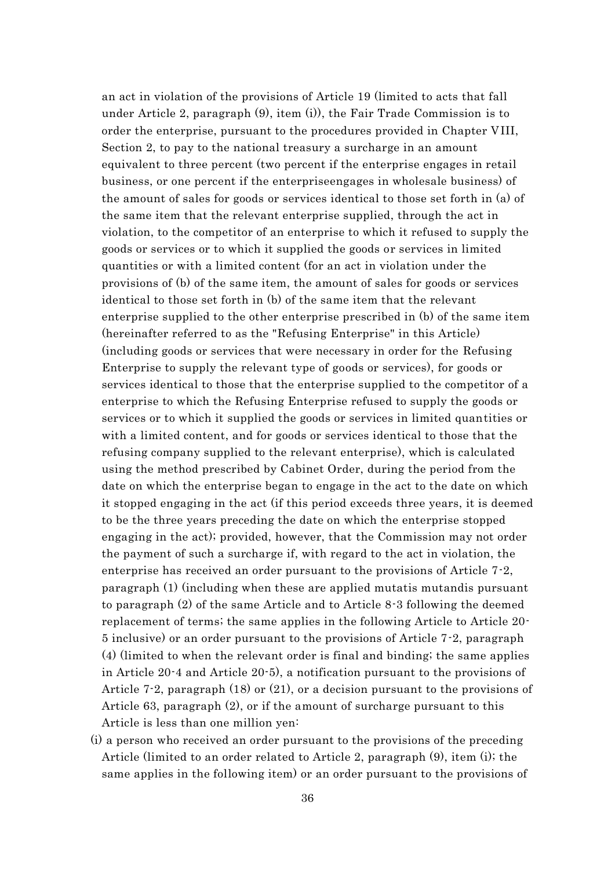an act in violation of the provisions of Article 19 (limited to acts that fall under Article 2, paragraph (9), item (i)), the Fair Trade Commission is to order the enterprise, pursuant to the procedures provided in Chapter VIII, Section 2, to pay to the national treasury a surcharge in an amount equivalent to three percent (two percent if the enterprise engages in retail business, or one percent if the enterpriseengages in wholesale business) of the amount of sales for goods or services identical to those set forth in (a) of the same item that the relevant enterprise supplied, through the act in violation, to the competitor of an enterprise to which it refused to supply the goods or services or to which it supplied the goods or services in limited quantities or with a limited content (for an act in violation under the provisions of (b) of the same item, the amount of sales for goods or services identical to those set forth in (b) of the same item that the relevant enterprise supplied to the other enterprise prescribed in (b) of the same item (hereinafter referred to as the "Refusing Enterprise" in this Article) (including goods or services that were necessary in order for the Refusing Enterprise to supply the relevant type of goods or services), for goods or services identical to those that the enterprise supplied to the competitor of a enterprise to which the Refusing Enterprise refused to supply the goods or services or to which it supplied the goods or services in limited quantities or with a limited content, and for goods or services identical to those that the refusing company supplied to the relevant enterprise), which is calculated using the method prescribed by Cabinet Order, during the period from the date on which the enterprise began to engage in the act to the date on which it stopped engaging in the act (if this period exceeds three years, it is deemed to be the three years preceding the date on which the enterprise stopped engaging in the act); provided, however, that the Commission may not order the payment of such a surcharge if, with regard to the act in violation, the enterprise has received an order pursuant to the provisions of Article 7-2, paragraph (1) (including when these are applied mutatis mutandis pursuant to paragraph (2) of the same Article and to Article 8-3 following the deemed replacement of terms; the same applies in the following Article to Article 20- 5 inclusive) or an order pursuant to the provisions of Article 7-2, paragraph (4) (limited to when the relevant order is final and binding; the same applies in Article 20-4 and Article 20-5), a notification pursuant to the provisions of Article 7-2, paragraph (18) or (21), or a decision pursuant to the provisions of Article 63, paragraph (2), or if the amount of surcharge pursuant to this Article is less than one million yen:

(i) a person who received an order pursuant to the provisions of the preceding Article (limited to an order related to Article 2, paragraph (9), item (i); the same applies in the following item) or an order pursuant to the provisions of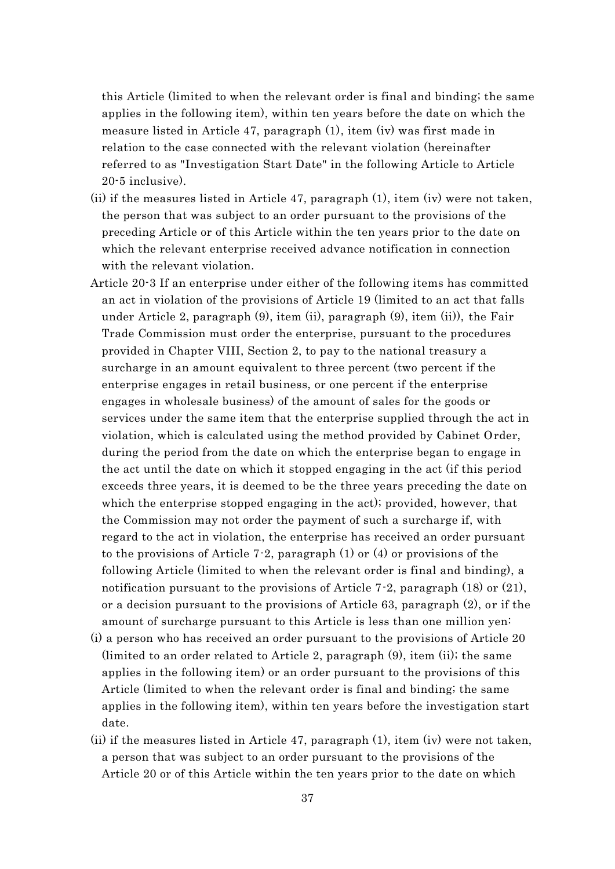this Article (limited to when the relevant order is final and binding; the same applies in the following item), within ten years before the date on which the measure listed in Article 47, paragraph (1), item (iv) was first made in relation to the case connected with the relevant violation (hereinafter referred to as "Investigation Start Date" in the following Article to Article 20-5 inclusive).

- (ii) if the measures listed in Article 47, paragraph (1), item (iv) were not taken, the person that was subject to an order pursuant to the provisions of the preceding Article or of this Article within the ten years prior to the date on which the relevant enterprise received advance notification in connection with the relevant violation.
- Article 20-3 If an enterprise under either of the following items has committed an act in violation of the provisions of Article 19 (limited to an act that falls under Article 2, paragraph (9), item (ii), paragraph (9), item (ii)), the Fair Trade Commission must order the enterprise, pursuant to the procedures provided in Chapter VIII, Section 2, to pay to the national treasury a surcharge in an amount equivalent to three percent (two percent if the enterprise engages in retail business, or one percent if the enterprise engages in wholesale business) of the amount of sales for the goods or services under the same item that the enterprise supplied through the act in violation, which is calculated using the method provided by Cabinet Order, during the period from the date on which the enterprise began to engage in the act until the date on which it stopped engaging in the act (if this period exceeds three years, it is deemed to be the three years preceding the date on which the enterprise stopped engaging in the act); provided, however, that the Commission may not order the payment of such a surcharge if, with regard to the act in violation, the enterprise has received an order pursuant to the provisions of Article 7-2, paragraph  $(1)$  or  $(4)$  or provisions of the following Article (limited to when the relevant order is final and binding), a notification pursuant to the provisions of Article 7-2, paragraph (18) or (21), or a decision pursuant to the provisions of Article 63, paragraph (2), or if the amount of surcharge pursuant to this Article is less than one million yen:
- (i) a person who has received an order pursuant to the provisions of Article 20 (limited to an order related to Article 2, paragraph (9), item (ii); the same applies in the following item) or an order pursuant to the provisions of this Article (limited to when the relevant order is final and binding; the same applies in the following item), within ten years before the investigation start date.
- (ii) if the measures listed in Article 47, paragraph (1), item (iv) were not taken, a person that was subject to an order pursuant to the provisions of the Article 20 or of this Article within the ten years prior to the date on which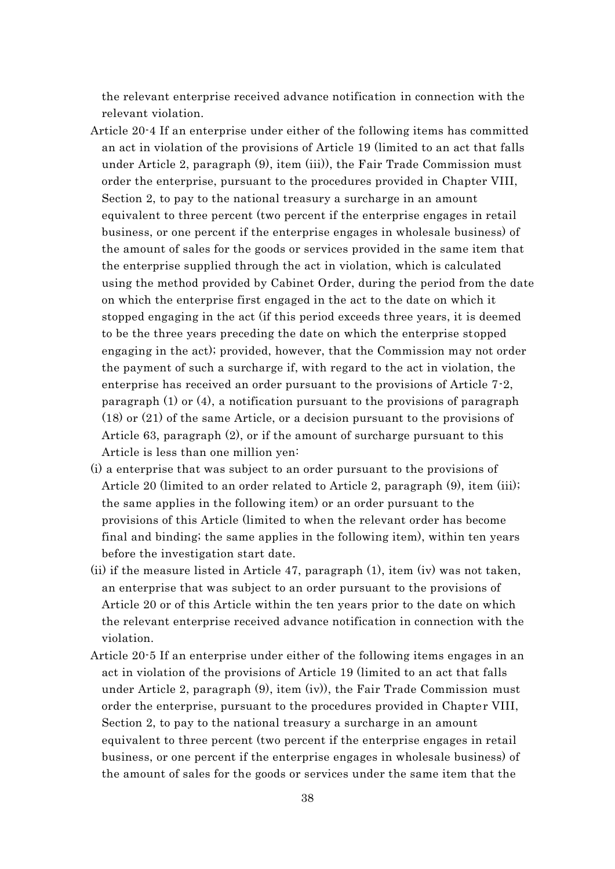the relevant enterprise received advance notification in connection with the relevant violation.

- Article 20-4 If an enterprise under either of the following items has committed an act in violation of the provisions of Article 19 (limited to an act that falls under Article 2, paragraph (9), item (iii)), the Fair Trade Commission must order the enterprise, pursuant to the procedures provided in Chapter VIII, Section 2, to pay to the national treasury a surcharge in an amount equivalent to three percent (two percent if the enterprise engages in retail business, or one percent if the enterprise engages in wholesale business) of the amount of sales for the goods or services provided in the same item that the enterprise supplied through the act in violation, which is calculated using the method provided by Cabinet Order, during the period from the date on which the enterprise first engaged in the act to the date on which it stopped engaging in the act (if this period exceeds three years, it is deemed to be the three years preceding the date on which the enterprise stopped engaging in the act); provided, however, that the Commission may not order the payment of such a surcharge if, with regard to the act in violation, the enterprise has received an order pursuant to the provisions of Article 7-2, paragraph (1) or (4), a notification pursuant to the provisions of paragraph (18) or (21) of the same Article, or a decision pursuant to the provisions of Article 63, paragraph (2), or if the amount of surcharge pursuant to this Article is less than one million yen:
- (i) a enterprise that was subject to an order pursuant to the provisions of Article 20 (limited to an order related to Article 2, paragraph (9), item (iii); the same applies in the following item) or an order pursuant to the provisions of this Article (limited to when the relevant order has become final and binding; the same applies in the following item), within ten years before the investigation start date.
- (ii) if the measure listed in Article 47, paragraph (1), item (iv) was not taken, an enterprise that was subject to an order pursuant to the provisions of Article 20 or of this Article within the ten years prior to the date on which the relevant enterprise received advance notification in connection with the violation.
- Article 20-5 If an enterprise under either of the following items engages in an act in violation of the provisions of Article 19 (limited to an act that falls under Article 2, paragraph (9), item (iv)), the Fair Trade Commission must order the enterprise, pursuant to the procedures provided in Chapter VIII, Section 2, to pay to the national treasury a surcharge in an amount equivalent to three percent (two percent if the enterprise engages in retail business, or one percent if the enterprise engages in wholesale business) of the amount of sales for the goods or services under the same item that the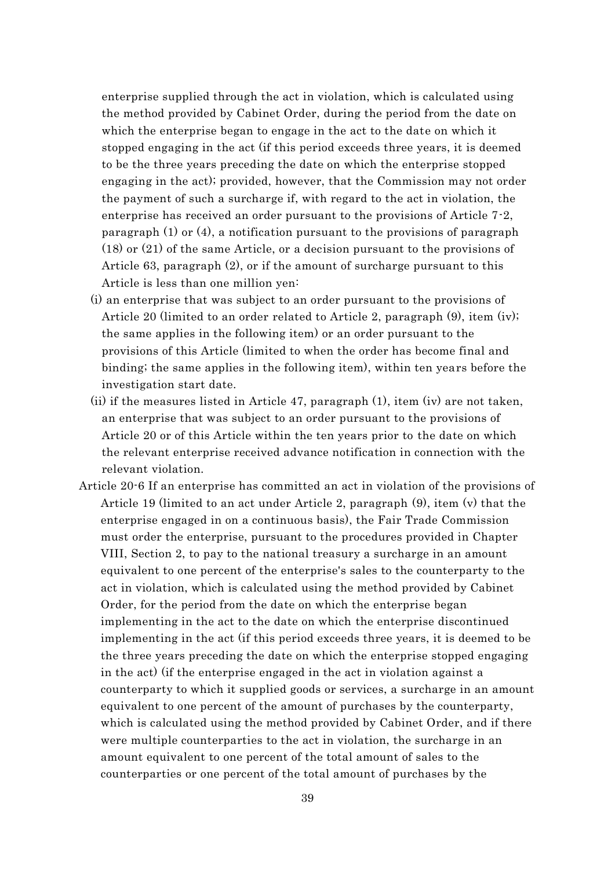enterprise supplied through the act in violation, which is calculated using the method provided by Cabinet Order, during the period from the date on which the enterprise began to engage in the act to the date on which it stopped engaging in the act (if this period exceeds three years, it is deemed to be the three years preceding the date on which the enterprise stopped engaging in the act); provided, however, that the Commission may not order the payment of such a surcharge if, with regard to the act in violation, the enterprise has received an order pursuant to the provisions of Article 7-2, paragraph (1) or (4), a notification pursuant to the provisions of paragraph (18) or (21) of the same Article, or a decision pursuant to the provisions of Article 63, paragraph (2), or if the amount of surcharge pursuant to this Article is less than one million yen:

- (i) an enterprise that was subject to an order pursuant to the provisions of Article 20 (limited to an order related to Article 2, paragraph (9), item (iv); the same applies in the following item) or an order pursuant to the provisions of this Article (limited to when the order has become final and binding; the same applies in the following item), within ten years before the investigation start date.
- (ii) if the measures listed in Article 47, paragraph (1), item (iv) are not taken, an enterprise that was subject to an order pursuant to the provisions of Article 20 or of this Article within the ten years prior to the date on which the relevant enterprise received advance notification in connection with the relevant violation.
- Article 20-6 If an enterprise has committed an act in violation of the provisions of Article 19 (limited to an act under Article 2, paragraph (9), item (v) that the enterprise engaged in on a continuous basis), the Fair Trade Commission must order the enterprise, pursuant to the procedures provided in Chapter VIII, Section 2, to pay to the national treasury a surcharge in an amount equivalent to one percent of the enterprise's sales to the counterparty to the act in violation, which is calculated using the method provided by Cabinet Order, for the period from the date on which the enterprise began implementing in the act to the date on which the enterprise discontinued implementing in the act (if this period exceeds three years, it is deemed to be the three years preceding the date on which the enterprise stopped engaging in the act) (if the enterprise engaged in the act in violation against a counterparty to which it supplied goods or services, a surcharge in an amount equivalent to one percent of the amount of purchases by the counterparty, which is calculated using the method provided by Cabinet Order, and if there were multiple counterparties to the act in violation, the surcharge in an amount equivalent to one percent of the total amount of sales to the counterparties or one percent of the total amount of purchases by the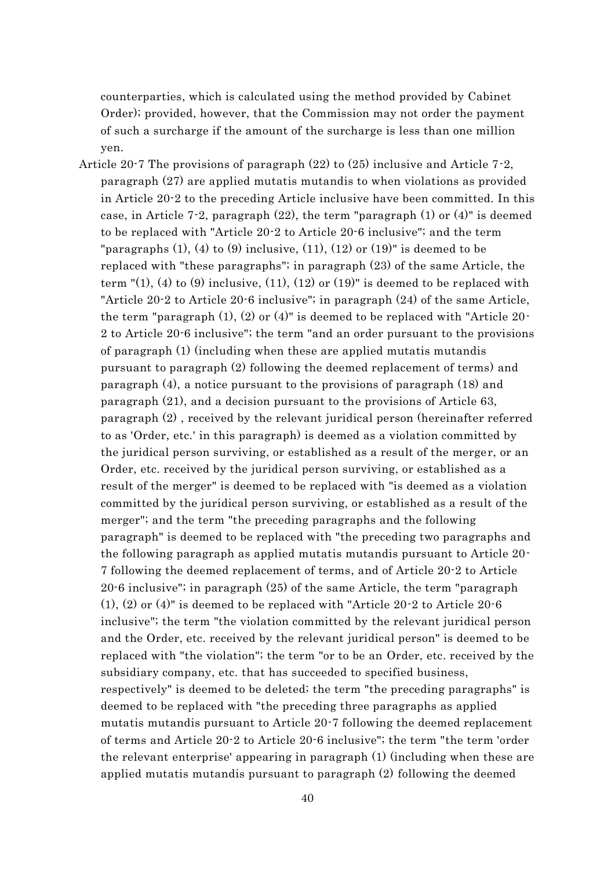counterparties, which is calculated using the method provided by Cabinet Order); provided, however, that the Commission may not order the payment of such a surcharge if the amount of the surcharge is less than one million yen.

Article 20-7 The provisions of paragraph (22) to (25) inclusive and Article 7-2, paragraph (27) are applied mutatis mutandis to when violations as provided in Article 20-2 to the preceding Article inclusive have been committed. In this case, in Article 7-2, paragraph (22), the term "paragraph (1) or (4)" is deemed to be replaced with "Article 20-2 to Article 20-6 inclusive"; and the term "paragraphs  $(1)$ ,  $(4)$  to  $(9)$  inclusive,  $(11)$ ,  $(12)$  or  $(19)$ " is deemed to be replaced with "these paragraphs"; in paragraph (23) of the same Article, the term  $\sqrt{(1)}$ , (4) to (9) inclusive, (11), (12) or (19)" is deemed to be replaced with "Article 20-2 to Article 20-6 inclusive"; in paragraph (24) of the same Article, the term "paragraph (1), (2) or (4)" is deemed to be replaced with "Article 20- 2 to Article 20-6 inclusive"; the term "and an order pursuant to the provisions of paragraph (1) (including when these are applied mutatis mutandis pursuant to paragraph (2) following the deemed replacement of terms) and paragraph (4), a notice pursuant to the provisions of paragraph (18) and paragraph (21), and a decision pursuant to the provisions of Article 63, paragraph (2) , received by the relevant juridical person (hereinafter referred to as 'Order, etc.' in this paragraph) is deemed as a violation committed by the juridical person surviving, or established as a result of the merger, or an Order, etc. received by the juridical person surviving, or established as a result of the merger" is deemed to be replaced with "is deemed as a violation committed by the juridical person surviving, or established as a result of the merger"; and the term "the preceding paragraphs and the following paragraph" is deemed to be replaced with "the preceding two paragraphs and the following paragraph as applied mutatis mutandis pursuant to Article 20- 7 following the deemed replacement of terms, and of Article 20-2 to Article 20-6 inclusive"; in paragraph (25) of the same Article, the term "paragraph (1), (2) or (4)" is deemed to be replaced with "Article 20-2 to Article 20-6 inclusive"; the term "the violation committed by the relevant juridical person and the Order, etc. received by the relevant juridical person" is deemed to be replaced with "the violation"; the term "or to be an Order, etc. received by the subsidiary company, etc. that has succeeded to specified business, respectively" is deemed to be deleted; the term "the preceding paragraphs" is deemed to be replaced with "the preceding three paragraphs as applied mutatis mutandis pursuant to Article 20-7 following the deemed replacement of terms and Article 20-2 to Article 20-6 inclusive"; the term "the term 'order the relevant enterprise' appearing in paragraph (1) (including when these are applied mutatis mutandis pursuant to paragraph (2) following the deemed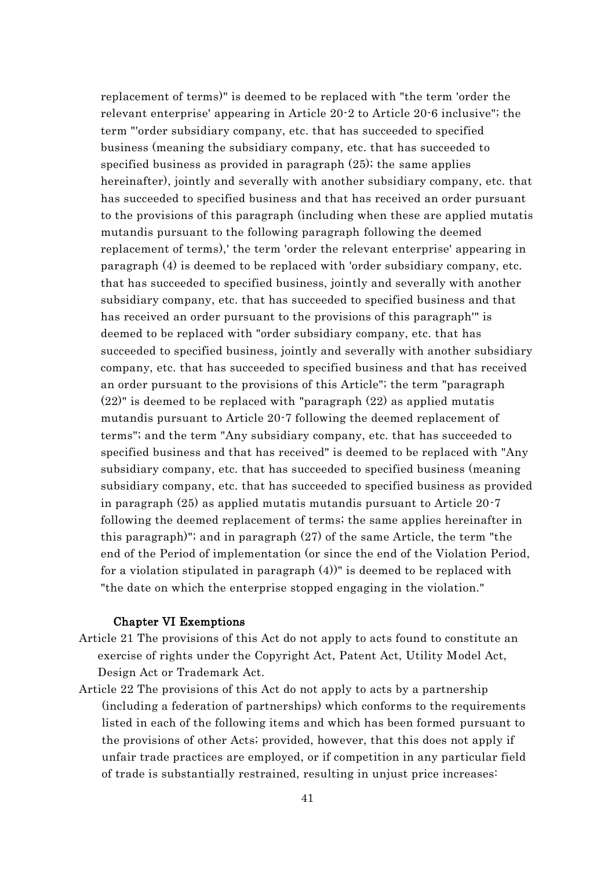replacement of terms)" is deemed to be replaced with "the term 'order the relevant enterprise' appearing in Article 20-2 to Article 20-6 inclusive"; the term "'order subsidiary company, etc. that has succeeded to specified business (meaning the subsidiary company, etc. that has succeeded to specified business as provided in paragraph (25); the same applies hereinafter), jointly and severally with another subsidiary company, etc. that has succeeded to specified business and that has received an order pursuant to the provisions of this paragraph (including when these are applied mutatis mutandis pursuant to the following paragraph following the deemed replacement of terms),' the term 'order the relevant enterprise' appearing in paragraph (4) is deemed to be replaced with 'order subsidiary company, etc. that has succeeded to specified business, jointly and severally with another subsidiary company, etc. that has succeeded to specified business and that has received an order pursuant to the provisions of this paragraph'" is deemed to be replaced with "order subsidiary company, etc. that has succeeded to specified business, jointly and severally with another subsidiary company, etc. that has succeeded to specified business and that has received an order pursuant to the provisions of this Article"; the term "paragraph  $(22)$ " is deemed to be replaced with "paragraph  $(22)$  as applied mutatis mutandis pursuant to Article 20-7 following the deemed replacement of terms"; and the term "Any subsidiary company, etc. that has succeeded to specified business and that has received" is deemed to be replaced with "Any subsidiary company, etc. that has succeeded to specified business (meaning subsidiary company, etc. that has succeeded to specified business as provided in paragraph (25) as applied mutatis mutandis pursuant to Article 20-7 following the deemed replacement of terms; the same applies hereinafter in this paragraph)"; and in paragraph (27) of the same Article, the term "the end of the Period of implementation (or since the end of the Violation Period, for a violation stipulated in paragraph (4))" is deemed to be replaced with "the date on which the enterprise stopped engaging in the violation."

## Chapter VI Exemptions

- Article 21 The provisions of this Act do not apply to acts found to constitute an exercise of rights under the Copyright Act, Patent Act, Utility Model Act, Design Act or Trademark Act.
- Article 22 The provisions of this Act do not apply to acts by a partnership (including a federation of partnerships) which conforms to the requirements listed in each of the following items and which has been formed pursuant to the provisions of other Acts; provided, however, that this does not apply if unfair trade practices are employed, or if competition in any particular field of trade is substantially restrained, resulting in unjust price increases: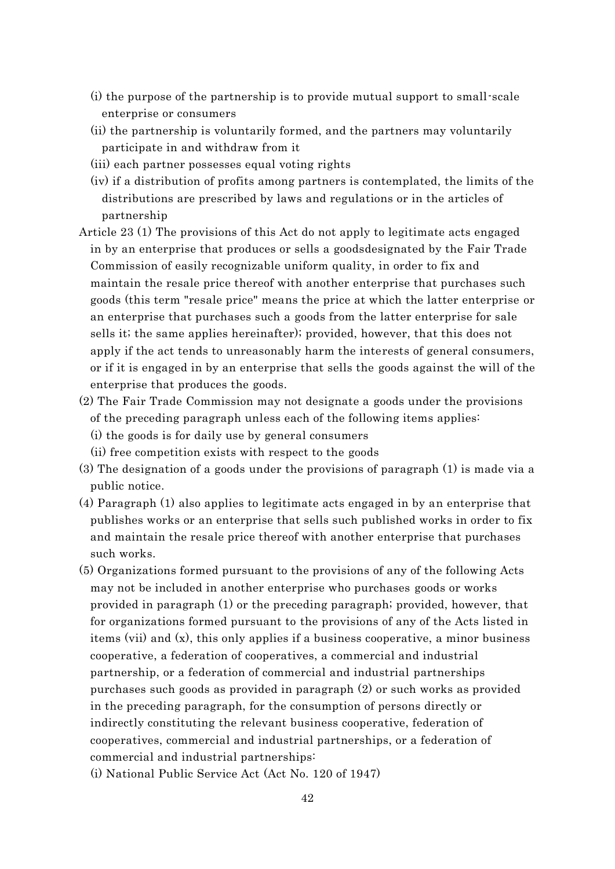- (i) the purpose of the partnership is to provide mutual support to small-scale enterprise or consumers
- (ii) the partnership is voluntarily formed, and the partners may voluntarily participate in and withdraw from it
- (iii) each partner possesses equal voting rights
- (iv) if a distribution of profits among partners is contemplated, the limits of the distributions are prescribed by laws and regulations or in the articles of partnership
- Article 23 (1) The provisions of this Act do not apply to legitimate acts engaged in by an enterprise that produces or sells a goodsdesignated by the Fair Trade Commission of easily recognizable uniform quality, in order to fix and maintain the resale price thereof with another enterprise that purchases such goods (this term "resale price" means the price at which the latter enterprise or an enterprise that purchases such a goods from the latter enterprise for sale sells it; the same applies hereinafter); provided, however, that this does not apply if the act tends to unreasonably harm the interests of general consumers, or if it is engaged in by an enterprise that sells the goods against the will of the enterprise that produces the goods.
- (2) The Fair Trade Commission may not designate a goods under the provisions of the preceding paragraph unless each of the following items applies:
	- (i) the goods is for daily use by general consumers
	- (ii) free competition exists with respect to the goods
- (3) The designation of a goods under the provisions of paragraph (1) is made via a public notice.
- (4) Paragraph (1) also applies to legitimate acts engaged in by an enterprise that publishes works or an enterprise that sells such published works in order to fix and maintain the resale price thereof with another enterprise that purchases such works.
- (5) Organizations formed pursuant to the provisions of any of the following Acts may not be included in another enterprise who purchases goods or works provided in paragraph (1) or the preceding paragraph; provided, however, that for organizations formed pursuant to the provisions of any of the Acts listed in items (vii) and (x), this only applies if a business cooperative, a minor business cooperative, a federation of cooperatives, a commercial and industrial partnership, or a federation of commercial and industrial partnerships purchases such goods as provided in paragraph (2) or such works as provided in the preceding paragraph, for the consumption of persons directly or indirectly constituting the relevant business cooperative, federation of cooperatives, commercial and industrial partnerships, or a federation of commercial and industrial partnerships:
	- (i) National Public Service Act (Act No. 120 of 1947)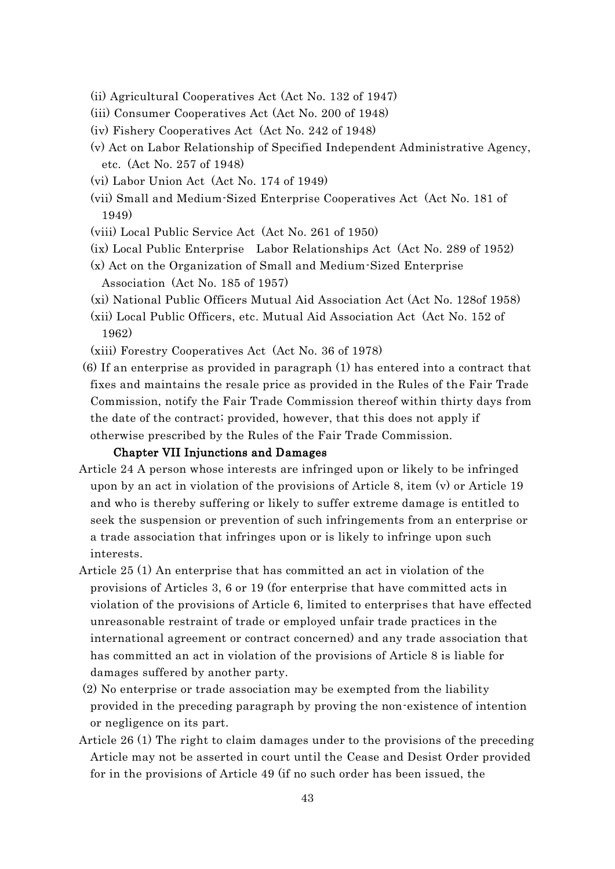- (ii) Agricultural Cooperatives Act (Act No. 132 of 1947)
- (iii) Consumer Cooperatives Act (Act No. 200 of 1948)
- (iv) Fishery Cooperatives Act (Act No. 242 of 1948)
- (v) Act on Labor Relationship of Specified Independent Administrative Agency, etc. (Act No. 257 of 1948)
- (vi) Labor Union Act (Act No. 174 of 1949)
- (vii) Small and Medium-Sized Enterprise Cooperatives Act (Act No. 181 of 1949)
- (viii) Local Public Service Act (Act No. 261 of 1950)
- (ix) Local Public Enterprise Labor Relationships Act (Act No. 289 of 1952)
- (x) Act on the Organization of Small and Medium-Sized Enterprise Association (Act No. 185 of 1957)
- (xi) National Public Officers Mutual Aid Association Act (Act No. 128of 1958)
- (xii) Local Public Officers, etc. Mutual Aid Association Act (Act No. 152 of 1962)
- (xiii) Forestry Cooperatives Act (Act No. 36 of 1978)
- (6) If an enterprise as provided in paragraph (1) has entered into a contract that fixes and maintains the resale price as provided in the Rules of the Fair Trade Commission, notify the Fair Trade Commission thereof within thirty days from the date of the contract; provided, however, that this does not apply if otherwise prescribed by the Rules of the Fair Trade Commission.

## Chapter VII Injunctions and Damages

- Article 24 A person whose interests are infringed upon or likely to be infringed upon by an act in violation of the provisions of Article 8, item  $(v)$  or Article 19 and who is thereby suffering or likely to suffer extreme damage is entitled to seek the suspension or prevention of such infringements from an enterprise or a trade association that infringes upon or is likely to infringe upon such interests.
- Article 25 (1) An enterprise that has committed an act in violation of the provisions of Articles 3, 6 or 19 (for enterprise that have committed acts in violation of the provisions of Article 6, limited to enterprises that have effected unreasonable restraint of trade or employed unfair trade practices in the international agreement or contract concerned) and any trade association that has committed an act in violation of the provisions of Article 8 is liable for damages suffered by another party.
- (2) No enterprise or trade association may be exempted from the liability provided in the preceding paragraph by proving the non-existence of intention or negligence on its part.
- Article 26 (1) The right to claim damages under to the provisions of the preceding Article may not be asserted in court until the Cease and Desist Order provided for in the provisions of Article 49 (if no such order has been issued, the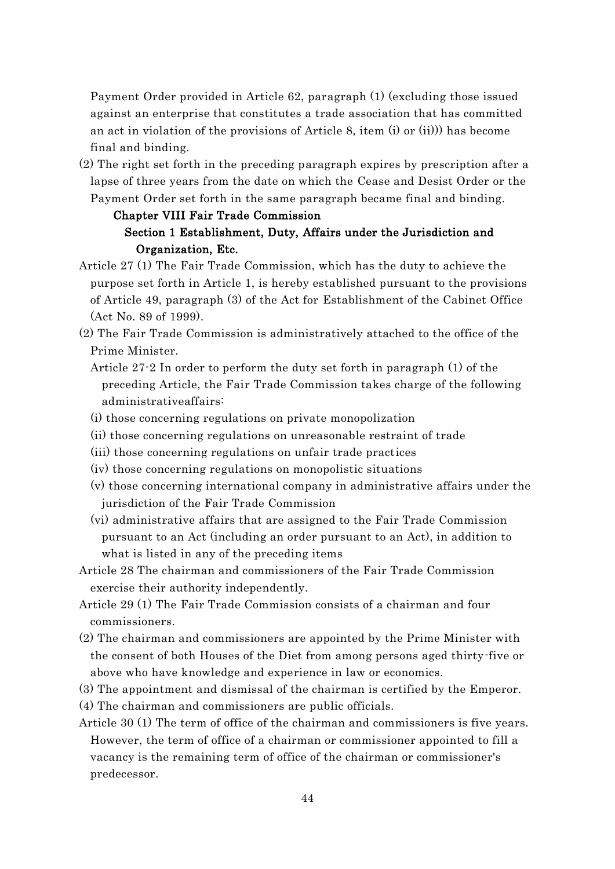Payment Order provided in Article 62, paragraph (1) (excluding those issued against an enterprise that constitutes a trade association that has committed an act in violation of the provisions of Article 8, item (i) or (ii))) has become final and binding.

(2) The right set forth in the preceding paragraph expires by prescription after a lapse of three years from the date on which the Cease and Desist Order or the Payment Order set forth in the same paragraph became final and binding.

# Chapter VIII Fair Trade Commission Section 1 Establishment, Duty, Affairs under the Jurisdiction and Organization, Etc.

- Article 27 (1) The Fair Trade Commission, which has the duty to achieve the purpose set forth in Article 1, is hereby established pursuant to the provisions of Article 49, paragraph (3) of the Act for Establishment of the Cabinet Office (Act No. 89 of 1999).
- (2) The Fair Trade Commission is administratively attached to the office of the Prime Minister.
	- Article 27-2 In order to perform the duty set forth in paragraph (1) of the preceding Article, the Fair Trade Commission takes charge of the following administrativeaffairs:
	- (i) those concerning regulations on private monopolization
	- (ii) those concerning regulations on unreasonable restraint of trade
	- (iii) those concerning regulations on unfair trade practices
	- (iv) those concerning regulations on monopolistic situations
	- (v) those concerning international company in administrative affairs under the jurisdiction of the Fair Trade Commission
	- (vi) administrative affairs that are assigned to the Fair Trade Commission pursuant to an Act (including an order pursuant to an Act), in addition to what is listed in any of the preceding items
- Article 28 The chairman and commissioners of the Fair Trade Commission exercise their authority independently.
- Article 29 (1) The Fair Trade Commission consists of a chairman and four commissioners.
- (2) The chairman and commissioners are appointed by the Prime Minister with the consent of both Houses of the Diet from among persons aged thirty-five or above who have knowledge and experience in law or economics.
- (3) The appointment and dismissal of the chairman is certified by the Emperor.
- (4) The chairman and commissioners are public officials.
- Article 30 (1) The term of office of the chairman and commissioners is five years. However, the term of office of a chairman or commissioner appointed to fill a vacancy is the remaining term of office of the chairman or commissioner's predecessor.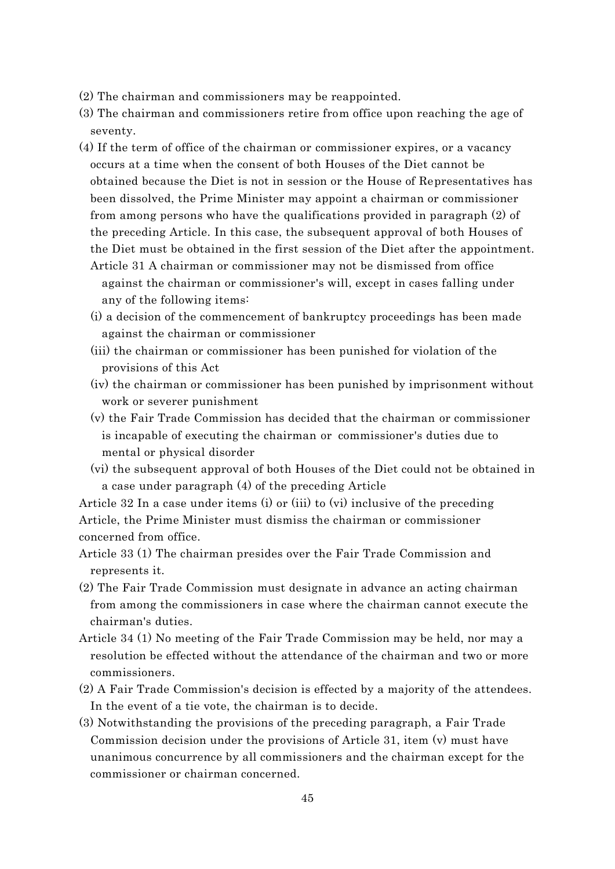- (2) The chairman and commissioners may be reappointed.
- (3) The chairman and commissioners retire from office upon reaching the age of seventy.
- (4) If the term of office of the chairman or commissioner expires, or a vacancy occurs at a time when the consent of both Houses of the Diet cannot be obtained because the Diet is not in session or the House of Representatives has been dissolved, the Prime Minister may appoint a chairman or commissioner from among persons who have the qualifications provided in paragraph (2) of the preceding Article. In this case, the subsequent approval of both Houses of the Diet must be obtained in the first session of the Diet after the appointment. Article 31 A chairman or commissioner may not be dismissed from office
	- against the chairman or commissioner's will, except in cases falling under any of the following items:
	- (i) a decision of the commencement of bankruptcy proceedings has been made against the chairman or commissioner
	- (iii) the chairman or commissioner has been punished for violation of the provisions of this Act
	- (iv) the chairman or commissioner has been punished by imprisonment without work or severer punishment
	- (v) the Fair Trade Commission has decided that the chairman or commissioner is incapable of executing the chairman or commissioner's duties due to mental or physical disorder
	- (vi) the subsequent approval of both Houses of the Diet could not be obtained in a case under paragraph (4) of the preceding Article

Article 32 In a case under items (i) or (iii) to (vi) inclusive of the preceding Article, the Prime Minister must dismiss the chairman or commissioner concerned from office.

- Article 33 (1) The chairman presides over the Fair Trade Commission and represents it.
- (2) The Fair Trade Commission must designate in advance an acting chairman from among the commissioners in case where the chairman cannot execute the chairman's duties.
- Article 34 (1) No meeting of the Fair Trade Commission may be held, nor may a resolution be effected without the attendance of the chairman and two or more commissioners.
- (2) A Fair Trade Commission's decision is effected by a majority of the attendees. In the event of a tie vote, the chairman is to decide.
- (3) Notwithstanding the provisions of the preceding paragraph, a Fair Trade Commission decision under the provisions of Article 31, item (v) must have unanimous concurrence by all commissioners and the chairman except for the commissioner or chairman concerned.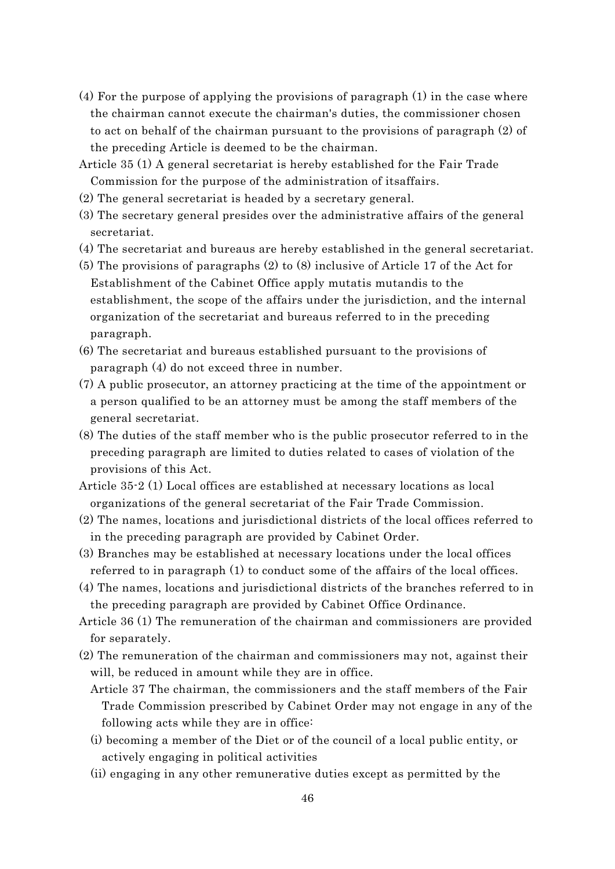- (4) For the purpose of applying the provisions of paragraph (1) in the case where the chairman cannot execute the chairman's duties, the commissioner chosen to act on behalf of the chairman pursuant to the provisions of paragraph (2) of the preceding Article is deemed to be the chairman.
- Article 35 (1) A general secretariat is hereby established for the Fair Trade Commission for the purpose of the administration of itsaffairs.
- (2) The general secretariat is headed by a secretary general.
- (3) The secretary general presides over the administrative affairs of the general secretariat.
- (4) The secretariat and bureaus are hereby established in the general secretariat.
- (5) The provisions of paragraphs (2) to (8) inclusive of Article 17 of the Act for Establishment of the Cabinet Office apply mutatis mutandis to the establishment, the scope of the affairs under the jurisdiction, and the internal organization of the secretariat and bureaus referred to in the preceding paragraph.
- (6) The secretariat and bureaus established pursuant to the provisions of paragraph (4) do not exceed three in number.
- (7) A public prosecutor, an attorney practicing at the time of the appointment or a person qualified to be an attorney must be among the staff members of the general secretariat.
- (8) The duties of the staff member who is the public prosecutor referred to in the preceding paragraph are limited to duties related to cases of violation of the provisions of this Act.
- Article 35-2 (1) Local offices are established at necessary locations as local organizations of the general secretariat of the Fair Trade Commission.
- (2) The names, locations and jurisdictional districts of the local offices referred to in the preceding paragraph are provided by Cabinet Order.
- (3) Branches may be established at necessary locations under the local offices referred to in paragraph (1) to conduct some of the affairs of the local offices.
- (4) The names, locations and jurisdictional districts of the branches referred to in the preceding paragraph are provided by Cabinet Office Ordinance.
- Article 36 (1) The remuneration of the chairman and commissioners are provided for separately.
- (2) The remuneration of the chairman and commissioners may not, against their will, be reduced in amount while they are in office.
	- Article 37 The chairman, the commissioners and the staff members of the Fair Trade Commission prescribed by Cabinet Order may not engage in any of the following acts while they are in office:
	- (i) becoming a member of the Diet or of the council of a local public entity, or actively engaging in political activities
	- (ii) engaging in any other remunerative duties except as permitted by the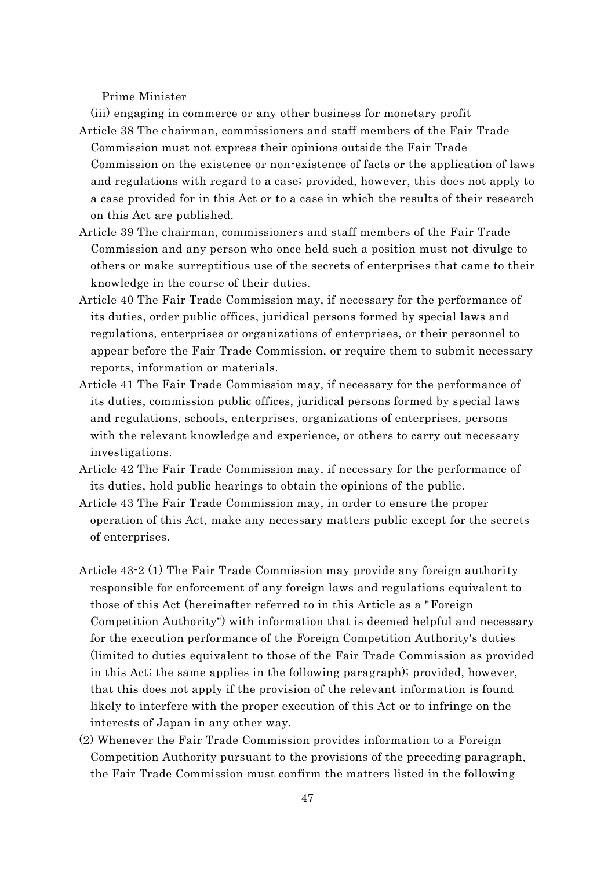Prime Minister

- (iii) engaging in commerce or any other business for monetary profit Article 38 The chairman, commissioners and staff members of the Fair Trade Commission must not express their opinions outside the Fair Trade Commission on the existence or non-existence of facts or the application of laws and regulations with regard to a case; provided, however, this does not apply to a case provided for in this Act or to a case in which the results of their research on this Act are published.
- Article 39 The chairman, commissioners and staff members of the Fair Trade Commission and any person who once held such a position must not divulge to others or make surreptitious use of the secrets of enterprises that came to their knowledge in the course of their duties.
- Article 40 The Fair Trade Commission may, if necessary for the performance of its duties, order public offices, juridical persons formed by special laws and regulations, enterprises or organizations of enterprises, or their personnel to appear before the Fair Trade Commission, or require them to submit necessary reports, information or materials.
- Article 41 The Fair Trade Commission may, if necessary for the performance of its duties, commission public offices, juridical persons formed by special laws and regulations, schools, enterprises, organizations of enterprises, persons with the relevant knowledge and experience, or others to carry out necessary investigations.
- Article 42 The Fair Trade Commission may, if necessary for the performance of its duties, hold public hearings to obtain the opinions of the public.
- Article 43 The Fair Trade Commission may, in order to ensure the proper operation of this Act, make any necessary matters public except for the secrets of enterprises.
- Article 43-2 (1) The Fair Trade Commission may provide any foreign authority responsible for enforcement of any foreign laws and regulations equivalent to those of this Act (hereinafter referred to in this Article as a "Foreign Competition Authority") with information that is deemed helpful and necessary for the execution performance of the Foreign Competition Authority's duties (limited to duties equivalent to those of the Fair Trade Commission as provided in this Act; the same applies in the following paragraph); provided, however, that this does not apply if the provision of the relevant information is found likely to interfere with the proper execution of this Act or to infringe on the interests of Japan in any other way.
- (2) Whenever the Fair Trade Commission provides information to a Foreign Competition Authority pursuant to the provisions of the preceding paragraph, the Fair Trade Commission must confirm the matters listed in the following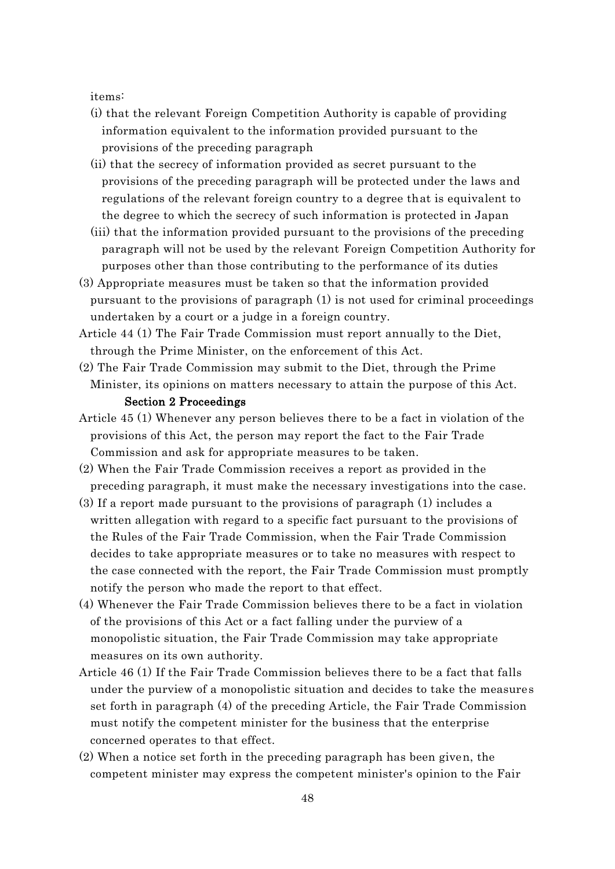items:

- (i) that the relevant Foreign Competition Authority is capable of providing information equivalent to the information provided pursuant to the provisions of the preceding paragraph
- (ii) that the secrecy of information provided as secret pursuant to the provisions of the preceding paragraph will be protected under the laws and regulations of the relevant foreign country to a degree that is equivalent to the degree to which the secrecy of such information is protected in Japan
- (iii) that the information provided pursuant to the provisions of the preceding paragraph will not be used by the relevant Foreign Competition Authority for purposes other than those contributing to the performance of its duties
- (3) Appropriate measures must be taken so that the information provided pursuant to the provisions of paragraph (1) is not used for criminal proceedings undertaken by a court or a judge in a foreign country.
- Article 44 (1) The Fair Trade Commission must report annually to the Diet, through the Prime Minister, on the enforcement of this Act.
- (2) The Fair Trade Commission may submit to the Diet, through the Prime Minister, its opinions on matters necessary to attain the purpose of this Act. Section 2 Proceedings
- Article 45 (1) Whenever any person believes there to be a fact in violation of the provisions of this Act, the person may report the fact to the Fair Trade Commission and ask for appropriate measures to be taken.
- (2) When the Fair Trade Commission receives a report as provided in the preceding paragraph, it must make the necessary investigations into the case.
- (3) If a report made pursuant to the provisions of paragraph (1) includes a written allegation with regard to a specific fact pursuant to the provisions of the Rules of the Fair Trade Commission, when the Fair Trade Commission decides to take appropriate measures or to take no measures with respect to the case connected with the report, the Fair Trade Commission must promptly notify the person who made the report to that effect.
- (4) Whenever the Fair Trade Commission believes there to be a fact in violation of the provisions of this Act or a fact falling under the purview of a monopolistic situation, the Fair Trade Commission may take appropriate measures on its own authority.
- Article 46 (1) If the Fair Trade Commission believes there to be a fact that falls under the purview of a monopolistic situation and decides to take the measures set forth in paragraph (4) of the preceding Article, the Fair Trade Commission must notify the competent minister for the business that the enterprise concerned operates to that effect.
- (2) When a notice set forth in the preceding paragraph has been given, the competent minister may express the competent minister's opinion to the Fair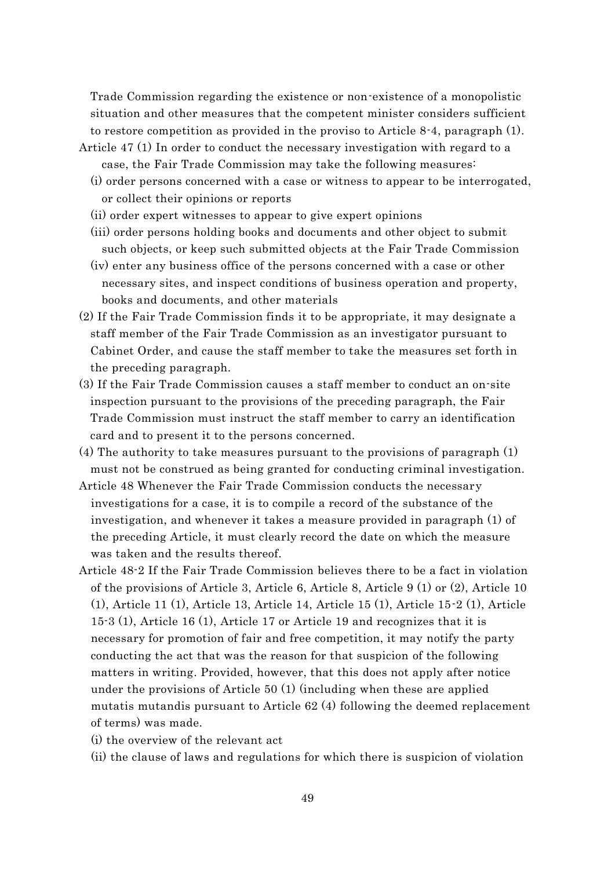Trade Commission regarding the existence or non-existence of a monopolistic situation and other measures that the competent minister considers sufficient to restore competition as provided in the proviso to Article 8-4, paragraph (1).

- Article 47 (1) In order to conduct the necessary investigation with regard to a case, the Fair Trade Commission may take the following measures:
	- (i) order persons concerned with a case or witness to appear to be interrogated, or collect their opinions or reports
	- (ii) order expert witnesses to appear to give expert opinions
	- (iii) order persons holding books and documents and other object to submit such objects, or keep such submitted objects at the Fair Trade Commission
	- (iv) enter any business office of the persons concerned with a case or other necessary sites, and inspect conditions of business operation and property, books and documents, and other materials
- (2) If the Fair Trade Commission finds it to be appropriate, it may designate a staff member of the Fair Trade Commission as an investigator pursuant to Cabinet Order, and cause the staff member to take the measures set forth in the preceding paragraph.
- (3) If the Fair Trade Commission causes a staff member to conduct an on-site inspection pursuant to the provisions of the preceding paragraph, the Fair Trade Commission must instruct the staff member to carry an identification card and to present it to the persons concerned.
- (4) The authority to take measures pursuant to the provisions of paragraph (1) must not be construed as being granted for conducting criminal investigation.
- Article 48 Whenever the Fair Trade Commission conducts the necessary investigations for a case, it is to compile a record of the substance of the investigation, and whenever it takes a measure provided in paragraph (1) of the preceding Article, it must clearly record the date on which the measure was taken and the results thereof.
- Article 48-2 If the Fair Trade Commission believes there to be a fact in violation of the provisions of Article 3, Article 6, Article 8, Article 9 (1) or (2), Article 10 (1), Article 11 (1), Article 13, Article 14, Article 15 (1), Article 15-2 (1), Article 15-3 (1), Article 16 (1), Article 17 or Article 19 and recognizes that it is necessary for promotion of fair and free competition, it may notify the party conducting the act that was the reason for that suspicion of the following matters in writing. Provided, however, that this does not apply after notice under the provisions of Article 50 (1) (including when these are applied mutatis mutandis pursuant to Article 62 (4) following the deemed replacement of terms) was made.
	- (i) the overview of the relevant act
	- (ii) the clause of laws and regulations for which there is suspicion of violation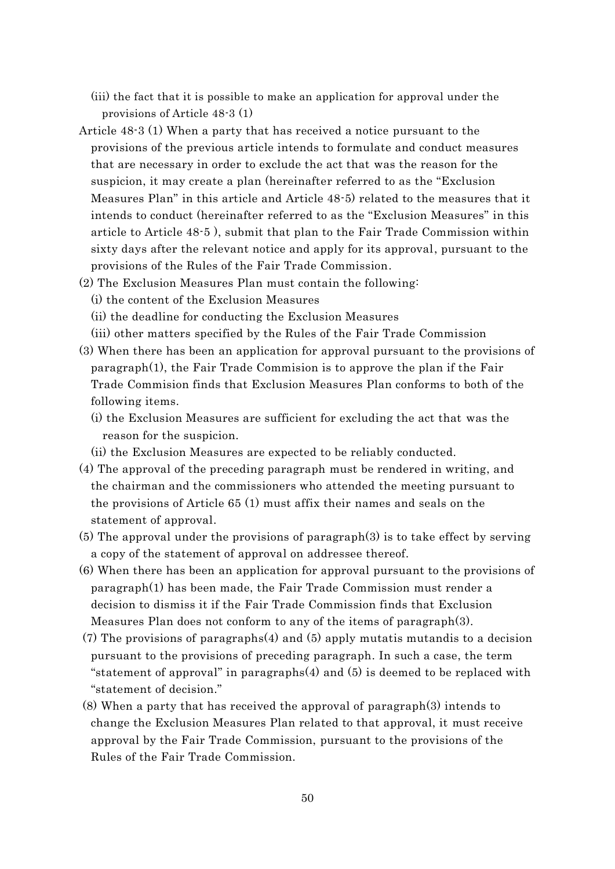- (iii) the fact that it is possible to make an application for approval under the provisions of Article 48-3 (1)
- Article 48-3 (1) When a party that has received a notice pursuant to the provisions of the previous article intends to formulate and conduct measures that are necessary in order to exclude the act that was the reason for the suspicion, it may create a plan (hereinafter referred to as the "Exclusion Measures Plan" in this article and Article 48-5) related to the measures that it intends to conduct (hereinafter referred to as the "Exclusion Measures" in this article to Article 48-5 ), submit that plan to the Fair Trade Commission within sixty days after the relevant notice and apply for its approval, pursuant to the provisions of the Rules of the Fair Trade Commission.
- (2) The Exclusion Measures Plan must contain the following:
	- (i) the content of the Exclusion Measures
	- (ii) the deadline for conducting the Exclusion Measures
	- (iii) other matters specified by the Rules of the Fair Trade Commission
- (3) When there has been an application for approval pursuant to the provisions of paragraph(1), the Fair Trade Commision is to approve the plan if the Fair Trade Commision finds that Exclusion Measures Plan conforms to both of the following items.
	- (i) the Exclusion Measures are sufficient for excluding the act that was the reason for the suspicion.
	- (ii) the Exclusion Measures are expected to be reliably conducted.
- (4) The approval of the preceding paragraph must be rendered in writing, and the chairman and the commissioners who attended the meeting pursuant to the provisions of Article 65 (1) must affix their names and seals on the statement of approval.
- (5) The approval under the provisions of paragraph(3) is to take effect by serving a copy of the statement of approval on addressee thereof.
- (6) When there has been an application for approval pursuant to the provisions of paragraph(1) has been made, the Fair Trade Commission must render a decision to dismiss it if the Fair Trade Commission finds that Exclusion Measures Plan does not conform to any of the items of paragraph(3).
- (7) The provisions of paragraphs(4) and (5) apply mutatis mutandis to a decision pursuant to the provisions of preceding paragraph. In such a case, the term "statement of approval" in paragraphs(4) and (5) is deemed to be replaced with "statement of decision."
- (8) When a party that has received the approval of paragraph(3) intends to change the Exclusion Measures Plan related to that approval, it must receive approval by the Fair Trade Commission, pursuant to the provisions of the Rules of the Fair Trade Commission.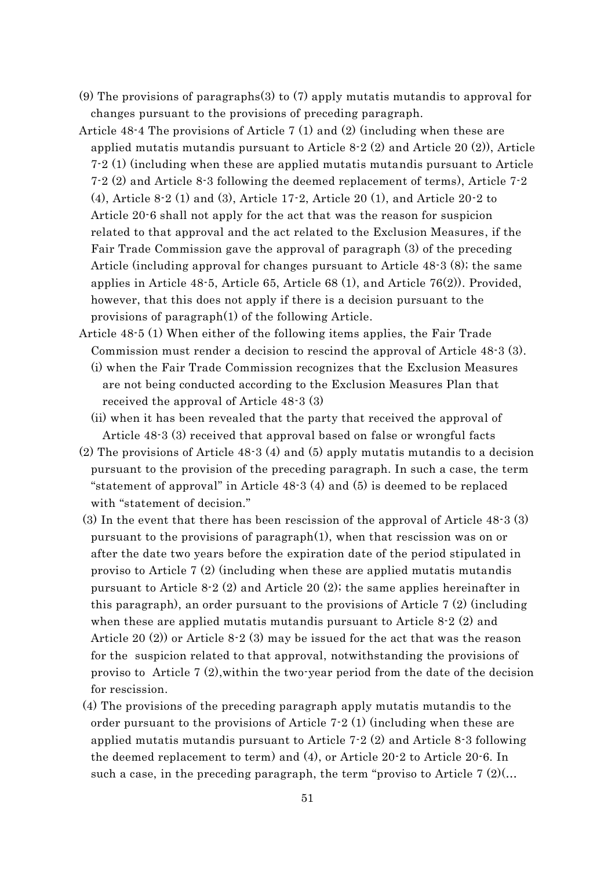- (9) The provisions of paragraphs(3) to (7) apply mutatis mutandis to approval for changes pursuant to the provisions of preceding paragraph.
- Article 48-4 The provisions of Article 7 (1) and (2) (including when these are applied mutatis mutandis pursuant to Article 8-2 (2) and Article 20 (2)), Article 7-2 (1) (including when these are applied mutatis mutandis pursuant to Article 7-2 (2) and Article 8-3 following the deemed replacement of terms), Article 7-2 (4), Article 8-2 (1) and (3), Article 17-2, Article 20 (1), and Article 20-2 to Article 20-6 shall not apply for the act that was the reason for suspicion related to that approval and the act related to the Exclusion Measures, if the Fair Trade Commission gave the approval of paragraph (3) of the preceding Article (including approval for changes pursuant to Article 48-3 (8); the same applies in Article 48-5, Article 65, Article 68 (1), and Article 76(2)). Provided, however, that this does not apply if there is a decision pursuant to the provisions of paragraph(1) of the following Article.
- Article 48-5 (1) When either of the following items applies, the Fair Trade Commission must render a decision to rescind the approval of Article 48-3 (3). (i) when the Fair Trade Commission recognizes that the Exclusion Measures are not being conducted according to the Exclusion Measures Plan that received the approval of Article 48-3 (3)
	- (ii) when it has been revealed that the party that received the approval of Article 48-3 (3) received that approval based on false or wrongful facts
- (2) The provisions of Article 48-3 (4) and (5) apply mutatis mutandis to a decision pursuant to the provision of the preceding paragraph. In such a case, the term "statement of approval" in Article  $48-3(4)$  and  $(5)$  is deemed to be replaced with "statement of decision."
- (3) In the event that there has been rescission of the approval of Article 48-3 (3) pursuant to the provisions of paragraph(1), when that rescission was on or after the date two years before the expiration date of the period stipulated in proviso to Article 7  $(2)$  (including when these are applied mutatis mutandis pursuant to Article 8-2 (2) and Article 20 (2); the same applies hereinafter in this paragraph), an order pursuant to the provisions of Article 7 (2) (including when these are applied mutatis mutandis pursuant to Article 8-2 (2) and Article 20 (2)) or Article 8-2 (3) may be issued for the act that was the reason for the suspicion related to that approval, notwithstanding the provisions of proviso to Article 7 (2),within the two-year period from the date of the decision for rescission.
- (4) The provisions of the preceding paragraph apply mutatis mutandis to the order pursuant to the provisions of Article  $7-2$  (1) (including when these are applied mutatis mutandis pursuant to Article 7-2 (2) and Article 8-3 following the deemed replacement to term) and (4), or Article 20-2 to Article 20-6. In such a case, in the preceding paragraph, the term "proviso to Article  $7 \frac{2}{\ldots}$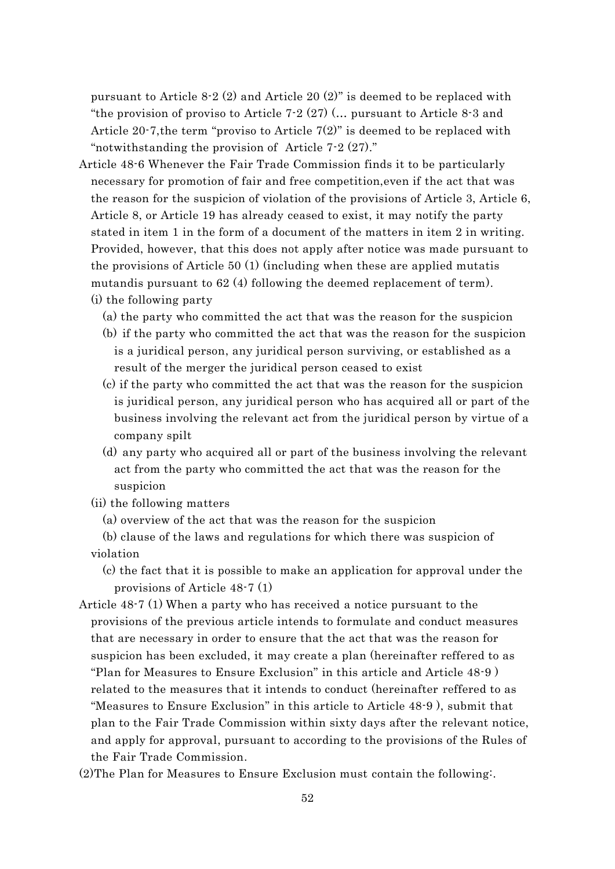pursuant to Article 8-2 (2) and Article 20 (2)" is deemed to be replaced with "the provision of proviso to Article  $7-2(27)$  (... pursuant to Article 8-3 and Article 20-7, the term "proviso to Article  $7(2)$ " is deemed to be replaced with "notwithstanding the provision of Article 7-2 (27)."

- Article 48-6 Whenever the Fair Trade Commission finds it to be particularly necessary for promotion of fair and free competition,even if the act that was the reason for the suspicion of violation of the provisions of Article 3, Article 6, Article 8, or Article 19 has already ceased to exist, it may notify the party stated in item 1 in the form of a document of the matters in item 2 in writing. Provided, however, that this does not apply after notice was made pursuant to the provisions of Article 50 (1) (including when these are applied mutatis mutandis pursuant to 62 (4) following the deemed replacement of term).
	- (i) the following party
		- (a) the party who committed the act that was the reason for the suspicion
		- (b) if the party who committed the act that was the reason for the suspicion is a juridical person, any juridical person surviving, or established as a result of the merger the juridical person ceased to exist
		- (c) if the party who committed the act that was the reason for the suspicion is juridical person, any juridical person who has acquired all or part of the business involving the relevant act from the juridical person by virtue of a company spilt
		- (d) any party who acquired all or part of the business involving the relevant act from the party who committed the act that was the reason for the suspicion
	- (ii) the following matters
		- (a) overview of the act that was the reason for the suspicion
	- (b) clause of the laws and regulations for which there was suspicion of violation
		- (c) the fact that it is possible to make an application for approval under the provisions of Article 48-7 (1)
- Article 48-7 (1) When a party who has received a notice pursuant to the provisions of the previous article intends to formulate and conduct measures that are necessary in order to ensure that the act that was the reason for suspicion has been excluded, it may create a plan (hereinafter reffered to as "Plan for Measures to Ensure Exclusion" in this article and Article 48-9 ) related to the measures that it intends to conduct (hereinafter reffered to as "Measures to Ensure Exclusion" in this article to Article 48-9 ), submit that plan to the Fair Trade Commission within sixty days after the relevant notice, and apply for approval, pursuant to according to the provisions of the Rules of the Fair Trade Commission.
- (2)The Plan for Measures to Ensure Exclusion must contain the following:.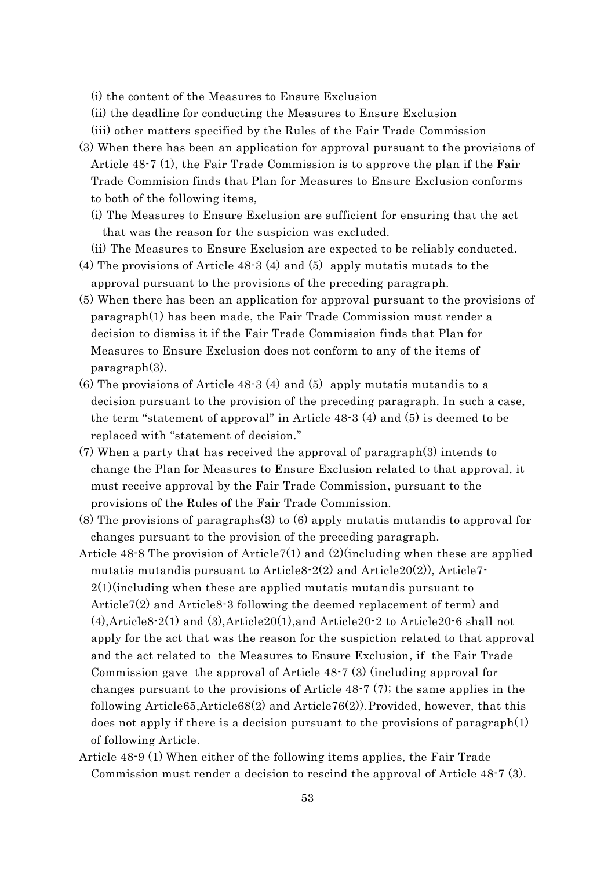(i) the content of the Measures to Ensure Exclusion

(ii) the deadline for conducting the Measures to Ensure Exclusion

(iii) other matters specified by the Rules of the Fair Trade Commission

- (3) When there has been an application for approval pursuant to the provisions of Article 48-7 (1), the Fair Trade Commission is to approve the plan if the Fair Trade Commision finds that Plan for Measures to Ensure Exclusion conforms to both of the following items,
	- (i) The Measures to Ensure Exclusion are sufficient for ensuring that the act that was the reason for the suspicion was excluded.
	- (ii) The Measures to Ensure Exclusion are expected to be reliably conducted.
- (4) The provisions of Article 48-3 (4) and (5) apply mutatis mutads to the approval pursuant to the provisions of the preceding paragraph.
- (5) When there has been an application for approval pursuant to the provisions of paragraph(1) has been made, the Fair Trade Commission must render a decision to dismiss it if the Fair Trade Commission finds that Plan for Measures to Ensure Exclusion does not conform to any of the items of paragraph(3).
- (6) The provisions of Article 48-3 (4) and (5) apply mutatis mutandis to a decision pursuant to the provision of the preceding paragraph. In such a case, the term "statement of approval" in Article 48-3 (4) and (5) is deemed to be replaced with "statement of decision."
- (7) When a party that has received the approval of paragraph(3) intends to change the Plan for Measures to Ensure Exclusion related to that approval, it must receive approval by the Fair Trade Commission, pursuant to the provisions of the Rules of the Fair Trade Commission.
- (8) The provisions of paragraphs(3) to (6) apply mutatis mutandis to approval for changes pursuant to the provision of the preceding paragraph.
- Article 48-8 The provision of Article7(1) and (2)(including when these are applied mutatis mutandis pursuant to Article8-2(2) and Article20(2)), Article7-2(1)(including when these are applied mutatis mutandis pursuant to Article7(2) and Article8-3 following the deemed replacement of term) and  $(4)$ ,Article8-2(1) and  $(3)$ ,Article20(1),and Article20-2 to Article20-6 shall not apply for the act that was the reason for the suspiction related to that approval and the act related to the Measures to Ensure Exclusion, if the Fair Trade Commission gave the approval of Article 48-7 (3) (including approval for changes pursuant to the provisions of Article 48-7 (7); the same applies in the following Article65, Article68(2) and Article76(2)). Provided, however, that this does not apply if there is a decision pursuant to the provisions of paragraph(1) of following Article.
- Article 48-9 (1) When either of the following items applies, the Fair Trade Commission must render a decision to rescind the approval of Article 48-7 (3).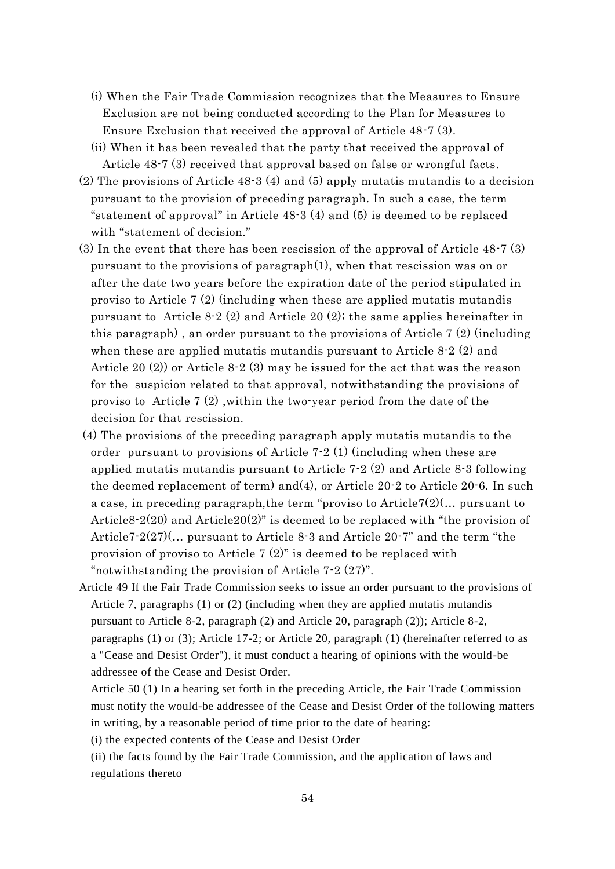- (i) When the Fair Trade Commission recognizes that the Measures to Ensure Exclusion are not being conducted according to the Plan for Measures to Ensure Exclusion that received the approval of Article 48-7 (3).
- (ii) When it has been revealed that the party that received the approval of Article 48-7 (3) received that approval based on false or wrongful facts.
- (2) The provisions of Article 48-3 (4) and (5) apply mutatis mutandis to a decision pursuant to the provision of preceding paragraph. In such a case, the term "statement of approval" in Article 48-3 (4) and (5) is deemed to be replaced with "statement of decision."
- (3) In the event that there has been rescission of the approval of Article 48-7 (3) pursuant to the provisions of paragraph(1), when that rescission was on or after the date two years before the expiration date of the period stipulated in proviso to Article 7 (2) (including when these are applied mutatis mutandis pursuant to Article 8-2 (2) and Article 20 (2); the same applies hereinafter in this paragraph) , an order pursuant to the provisions of Article 7 (2) (including when these are applied mutatis mutandis pursuant to Article 8-2 (2) and Article 20 (2)) or Article 8-2 (3) may be issued for the act that was the reason for the suspicion related to that approval, notwithstanding the provisions of proviso to Article 7 (2) ,within the two-year period from the date of the decision for that rescission.
- (4) The provisions of the preceding paragraph apply mutatis mutandis to the order pursuant to provisions of Article 7-2 (1) (including when these are applied mutatis mutandis pursuant to Article 7-2 (2) and Article 8-3 following the deemed replacement of term) and(4), or Article 20-2 to Article 20-6. In such a case, in preceding paragraph,the term "proviso to Article7(2)(… pursuant to Article8-2(20) and Article20(2)" is deemed to be replaced with "the provision of Article7-2(27)(… pursuant to Article 8-3 and Article 20-7" and the term "the provision of proviso to Article 7 (2)" is deemed to be replaced with "notwithstanding the provision of Article 7-2 (27)".
- Article 49 If the Fair Trade Commission seeks to issue an order pursuant to the provisions of Article 7, paragraphs (1) or (2) (including when they are applied mutatis mutandis pursuant to Article 8-2, paragraph (2) and Article 20, paragraph (2)); Article 8-2, paragraphs (1) or (3); Article 17-2; or Article 20, paragraph (1) (hereinafter referred to as a "Cease and Desist Order"), it must conduct a hearing of opinions with the would-be addressee of the Cease and Desist Order.
	- Article 50 (1) In a hearing set forth in the preceding Article, the Fair Trade Commission must notify the would-be addressee of the Cease and Desist Order of the following matters in writing, by a reasonable period of time prior to the date of hearing:
	- (i) the expected contents of the Cease and Desist Order
	- (ii) the facts found by the Fair Trade Commission, and the application of laws and regulations thereto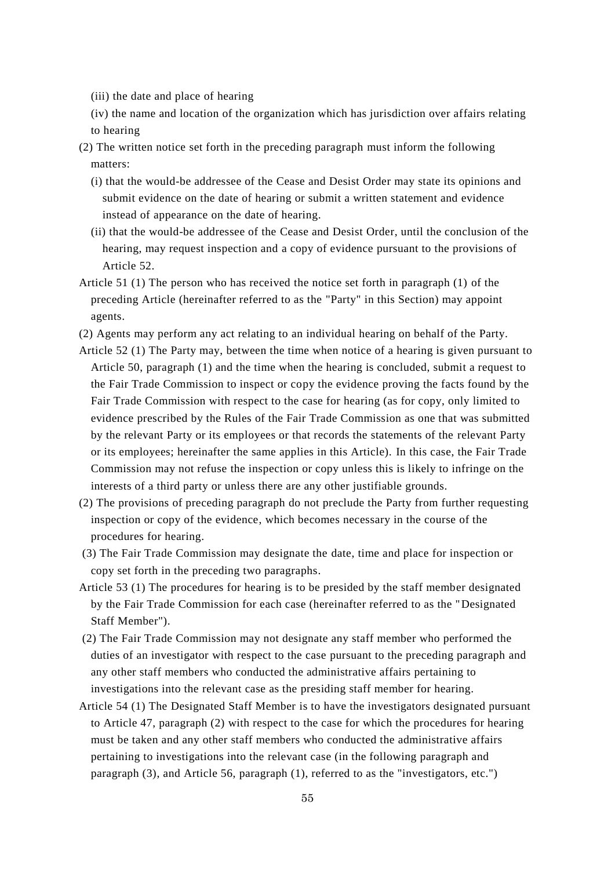(iii) the date and place of hearing

(iv) the name and location of the organization which has jurisdiction over affairs relating to hearing

- (2) The written notice set forth in the preceding paragraph must inform the following matters:
	- (i) that the would-be addressee of the Cease and Desist Order may state its opinions and submit evidence on the date of hearing or submit a written statement and evidence instead of appearance on the date of hearing.
	- (ii) that the would-be addressee of the Cease and Desist Order, until the conclusion of the hearing, may request inspection and a copy of evidence pursuant to the provisions of Article 52.
- Article 51 (1) The person who has received the notice set forth in paragraph (1) of the preceding Article (hereinafter referred to as the "Party" in this Section) may appoint agents.
- (2) Agents may perform any act relating to an individual hearing on behalf of the Party.
- Article 52 (1) The Party may, between the time when notice of a hearing is given pursuant to Article 50, paragraph (1) and the time when the hearing is concluded, submit a request to the Fair Trade Commission to inspect or copy the evidence proving the facts found by the Fair Trade Commission with respect to the case for hearing (as for copy, only limited to evidence prescribed by the Rules of the Fair Trade Commission as one that was submitted by the relevant Party or its employees or that records the statements of the relevant Party or its employees; hereinafter the same applies in this Article). In this case, the Fair Trade Commission may not refuse the inspection or copy unless this is likely to infringe on the interests of a third party or unless there are any other justifiable grounds.
- (2) The provisions of preceding paragraph do not preclude the Party from further requesting inspection or copy of the evidence, which becomes necessary in the course of the procedures for hearing.
- (3) The Fair Trade Commission may designate the date, time and place for inspection or copy set forth in the preceding two paragraphs.
- Article 53 (1) The procedures for hearing is to be presided by the staff member designated by the Fair Trade Commission for each case (hereinafter referred to as the "Designated Staff Member").
- (2) The Fair Trade Commission may not designate any staff member who performed the duties of an investigator with respect to the case pursuant to the preceding paragraph and any other staff members who conducted the administrative affairs pertaining to investigations into the relevant case as the presiding staff member for hearing.
- Article 54 (1) The Designated Staff Member is to have the investigators designated pursuant to Article 47, paragraph (2) with respect to the case for which the procedures for hearing must be taken and any other staff members who conducted the administrative affairs pertaining to investigations into the relevant case (in the following paragraph and paragraph (3), and Article 56, paragraph (1), referred to as the "investigators, etc.")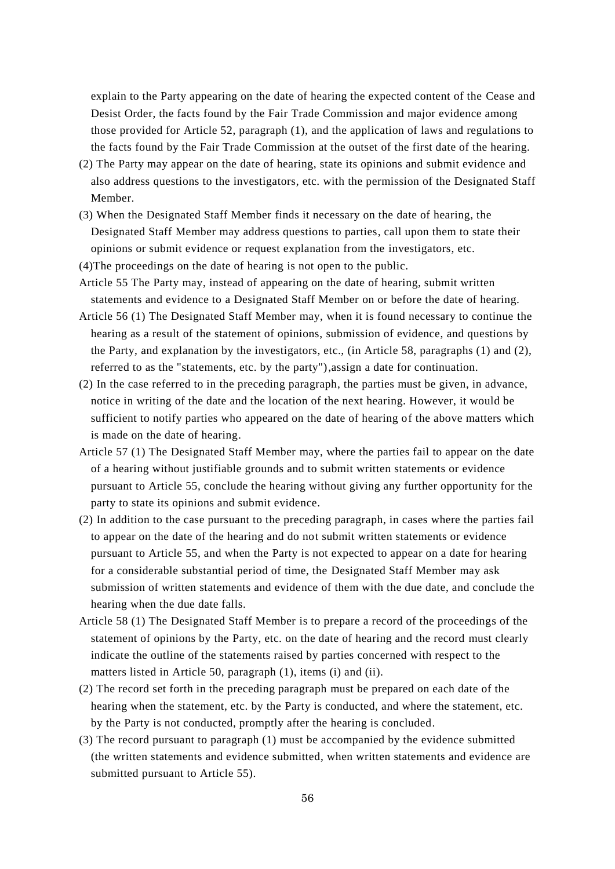explain to the Party appearing on the date of hearing the expected content of the Cease and Desist Order, the facts found by the Fair Trade Commission and major evidence among those provided for Article 52, paragraph (1), and the application of laws and regulations to the facts found by the Fair Trade Commission at the outset of the first date of the hearing.

- (2) The Party may appear on the date of hearing, state its opinions and submit evidence and also address questions to the investigators, etc. with the permission of the Designated Staff Member.
- (3) When the Designated Staff Member finds it necessary on the date of hearing, the Designated Staff Member may address questions to parties, call upon them to state their opinions or submit evidence or request explanation from the investigators, etc.
- (4)The proceedings on the date of hearing is not open to the public.
- Article 55 The Party may, instead of appearing on the date of hearing, submit written statements and evidence to a Designated Staff Member on or before the date of hearing.
- Article 56 (1) The Designated Staff Member may, when it is found necessary to continue the hearing as a result of the statement of opinions, submission of evidence, and questions by the Party, and explanation by the investigators, etc., (in Article 58, paragraphs (1) and (2), referred to as the "statements, etc. by the party"),assign a date for continuation.
- (2) In the case referred to in the preceding paragraph, the parties must be given, in advance, notice in writing of the date and the location of the next hearing. However, it would be sufficient to notify parties who appeared on the date of hearing of the above matters which is made on the date of hearing.
- Article 57 (1) The Designated Staff Member may, where the parties fail to appear on the date of a hearing without justifiable grounds and to submit written statements or evidence pursuant to Article 55, conclude the hearing without giving any further opportunity for the party to state its opinions and submit evidence.
- (2) In addition to the case pursuant to the preceding paragraph, in cases where the parties fail to appear on the date of the hearing and do not submit written statements or evidence pursuant to Article 55, and when the Party is not expected to appear on a date for hearing for a considerable substantial period of time, the Designated Staff Member may ask submission of written statements and evidence of them with the due date, and conclude the hearing when the due date falls.
- Article 58 (1) The Designated Staff Member is to prepare a record of the proceedings of the statement of opinions by the Party, etc. on the date of hearing and the record must clearly indicate the outline of the statements raised by parties concerned with respect to the matters listed in Article 50, paragraph (1), items (i) and (ii).
- (2) The record set forth in the preceding paragraph must be prepared on each date of the hearing when the statement, etc. by the Party is conducted, and where the statement, etc. by the Party is not conducted, promptly after the hearing is concluded.
- (3) The record pursuant to paragraph (1) must be accompanied by the evidence submitted (the written statements and evidence submitted, when written statements and evidence are submitted pursuant to Article 55).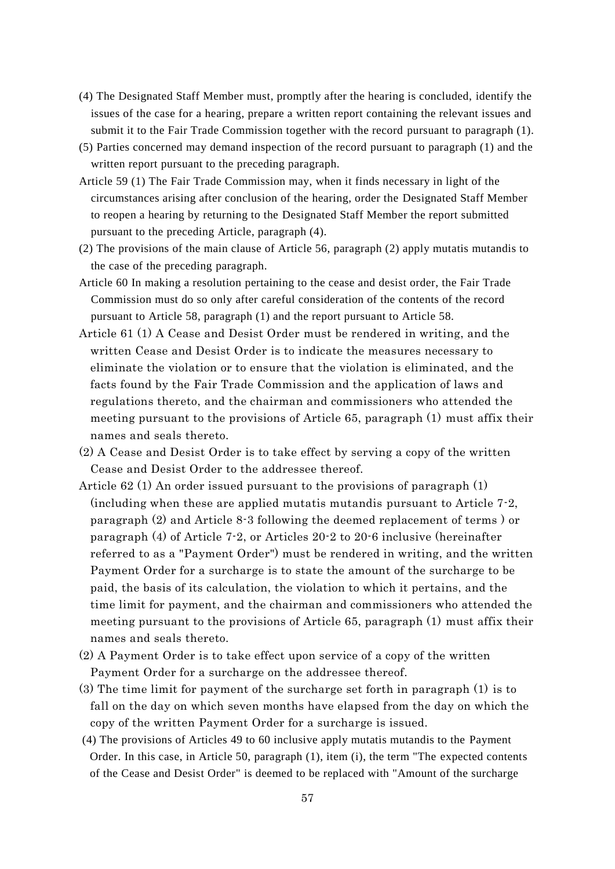- (4) The Designated Staff Member must, promptly after the hearing is concluded, identify the issues of the case for a hearing, prepare a written report containing the relevant issues and submit it to the Fair Trade Commission together with the record pursuant to paragraph (1).
- (5) Parties concerned may demand inspection of the record pursuant to paragraph (1) and the written report pursuant to the preceding paragraph.
- Article 59 (1) The Fair Trade Commission may, when it finds necessary in light of the circumstances arising after conclusion of the hearing, order the Designated Staff Member to reopen a hearing by returning to the Designated Staff Member the report submitted pursuant to the preceding Article, paragraph (4).
- (2) The provisions of the main clause of Article 56, paragraph (2) apply mutatis mutandis to the case of the preceding paragraph.
- Article 60 In making a resolution pertaining to the cease and desist order, the Fair Trade Commission must do so only after careful consideration of the contents of the record pursuant to Article 58, paragraph (1) and the report pursuant to Article 58.
- Article 61 (1) A Cease and Desist Order must be rendered in writing, and the written Cease and Desist Order is to indicate the measures necessary to eliminate the violation or to ensure that the violation is eliminated, and the facts found by the Fair Trade Commission and the application of laws and regulations thereto, and the chairman and commissioners who attended the meeting pursuant to the provisions of Article 65, paragraph (1) must affix their names and seals thereto.
- (2) A Cease and Desist Order is to take effect by serving a copy of the written Cease and Desist Order to the addressee thereof.
- Article 62 (1) An order issued pursuant to the provisions of paragraph (1) (including when these are applied mutatis mutandis pursuant to Article 7-2, paragraph (2) and Article 8-3 following the deemed replacement of terms ) or paragraph (4) of Article 7-2, or Articles 20-2 to 20-6 inclusive (hereinafter referred to as a "Payment Order") must be rendered in writing, and the written Payment Order for a surcharge is to state the amount of the surcharge to be paid, the basis of its calculation, the violation to which it pertains, and the time limit for payment, and the chairman and commissioners who attended the meeting pursuant to the provisions of Article 65, paragraph (1) must affix their names and seals thereto.
- (2) A Payment Order is to take effect upon service of a copy of the written Payment Order for a surcharge on the addressee thereof.
- (3) The time limit for payment of the surcharge set forth in paragraph (1) is to fall on the day on which seven months have elapsed from the day on which the copy of the written Payment Order for a surcharge is issued.
- (4) The provisions of Articles 49 to 60 inclusive apply mutatis mutandis to the Payment Order. In this case, in Article 50, paragraph (1), item (i), the term "The expected contents of the Cease and Desist Order" is deemed to be replaced with "Amount of the surcharge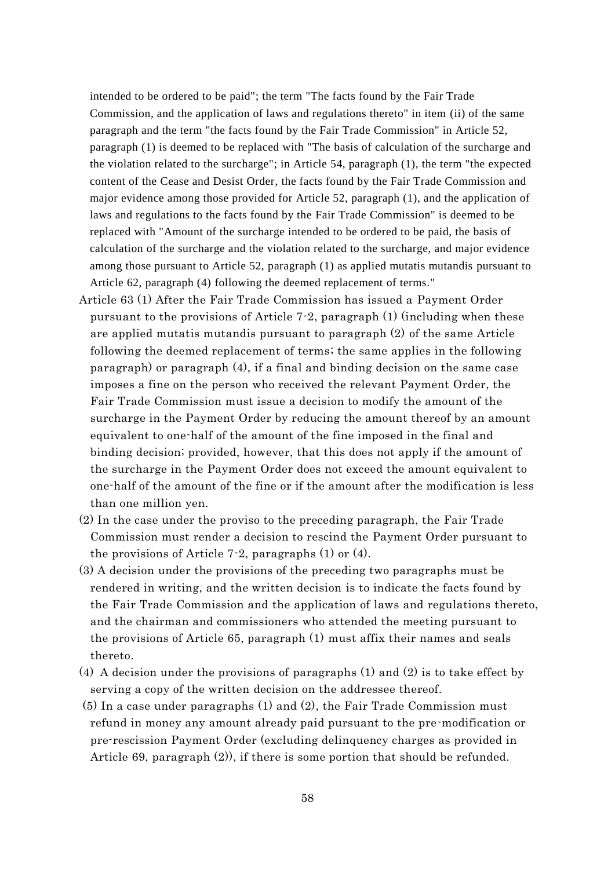intended to be ordered to be paid"; the term "The facts found by the Fair Trade Commission, and the application of laws and regulations thereto" in item (ii) of the same paragraph and the term "the facts found by the Fair Trade Commission" in Article 52, paragraph (1) is deemed to be replaced with "The basis of calculation of the surcharge and the violation related to the surcharge"; in Article 54, paragraph (1), the term "the expected content of the Cease and Desist Order, the facts found by the Fair Trade Commission and major evidence among those provided for Article 52, paragraph (1), and the application of laws and regulations to the facts found by the Fair Trade Commission" is deemed to be replaced with "Amount of the surcharge intended to be ordered to be paid, the basis of calculation of the surcharge and the violation related to the surcharge, and major evidence among those pursuant to Article 52, paragraph (1) as applied mutatis mutandis pursuant to Article 62, paragraph (4) following the deemed replacement of terms."

- Article 63 (1) After the Fair Trade Commission has issued a Payment Order pursuant to the provisions of Article 7-2, paragraph (1) (including when these are applied mutatis mutandis pursuant to paragraph (2) of the same Article following the deemed replacement of terms; the same applies in the following paragraph) or paragraph (4), if a final and binding decision on the same case imposes a fine on the person who received the relevant Payment Order, the Fair Trade Commission must issue a decision to modify the amount of the surcharge in the Payment Order by reducing the amount thereof by an amount equivalent to one-half of the amount of the fine imposed in the final and binding decision; provided, however, that this does not apply if the amount of the surcharge in the Payment Order does not exceed the amount equivalent to one-half of the amount of the fine or if the amount after the modification is less than one million yen.
- (2) In the case under the proviso to the preceding paragraph, the Fair Trade Commission must render a decision to rescind the Payment Order pursuant to the provisions of Article 7-2, paragraphs (1) or (4).
- (3) A decision under the provisions of the preceding two paragraphs must be rendered in writing, and the written decision is to indicate the facts found by the Fair Trade Commission and the application of laws and regulations thereto, and the chairman and commissioners who attended the meeting pursuant to the provisions of Article 65, paragraph (1) must affix their names and seals thereto.
- (4) A decision under the provisions of paragraphs (1) and (2) is to take effect by serving a copy of the written decision on the addressee thereof.
- (5) In a case under paragraphs (1) and (2), the Fair Trade Commission must refund in money any amount already paid pursuant to the pre-modification or pre-rescission Payment Order (excluding delinquency charges as provided in Article 69, paragraph  $(2)$ , if there is some portion that should be refunded.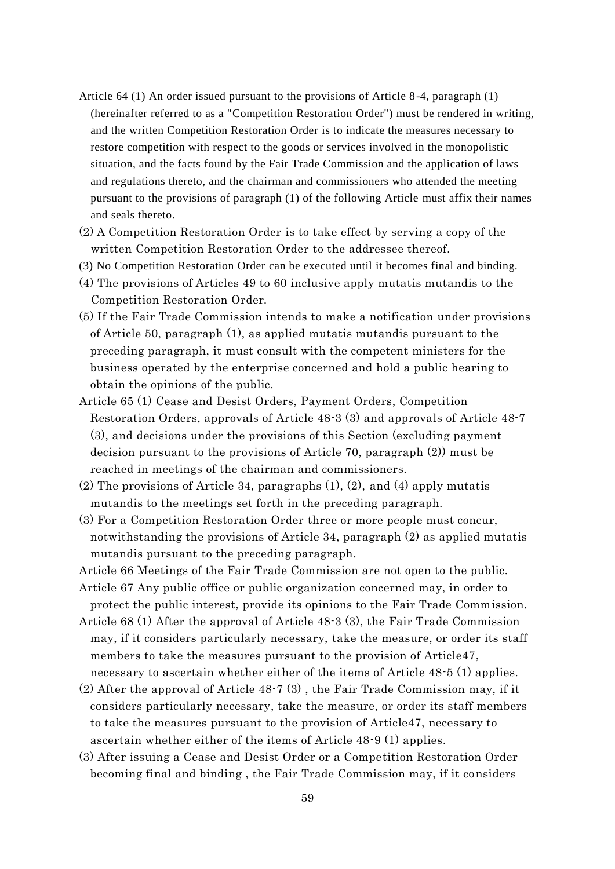- Article 64 (1) An order issued pursuant to the provisions of Article 8-4, paragraph (1) (hereinafter referred to as a "Competition Restoration Order") must be rendered in writing, and the written Competition Restoration Order is to indicate the measures necessary to restore competition with respect to the goods or services involved in the monopolistic situation, and the facts found by the Fair Trade Commission and the application of laws and regulations thereto, and the chairman and commissioners who attended the meeting pursuant to the provisions of paragraph (1) of the following Article must affix their names and seals thereto.
- (2) A Competition Restoration Order is to take effect by serving a copy of the written Competition Restoration Order to the addressee thereof.
- (3) No Competition Restoration Order can be executed until it becomes final and binding.
- (4) The provisions of Articles 49 to 60 inclusive apply mutatis mutandis to the Competition Restoration Order.
- (5) If the Fair Trade Commission intends to make a notification under provisions of Article 50, paragraph (1), as applied mutatis mutandis pursuant to the preceding paragraph, it must consult with the competent ministers for the business operated by the enterprise concerned and hold a public hearing to obtain the opinions of the public.
- Article 65 (1) Cease and Desist Orders, Payment Orders, Competition Restoration Orders, approvals of Article 48-3 (3) and approvals of Article 48-7 (3), and decisions under the provisions of this Section (excluding payment decision pursuant to the provisions of Article 70, paragraph (2)) must be reached in meetings of the chairman and commissioners.
- (2) The provisions of Article 34, paragraphs  $(1)$ ,  $(2)$ , and  $(4)$  apply mutatis mutandis to the meetings set forth in the preceding paragraph.
- (3) For a Competition Restoration Order three or more people must concur, notwithstanding the provisions of Article 34, paragraph (2) as applied mutatis mutandis pursuant to the preceding paragraph.
- Article 66 Meetings of the Fair Trade Commission are not open to the public.
- Article 67 Any public office or public organization concerned may, in order to protect the public interest, provide its opinions to the Fair Trade Commission.
- Article 68 (1) After the approval of Article 48-3 (3), the Fair Trade Commission may, if it considers particularly necessary, take the measure, or order its staff members to take the measures pursuant to the provision of Article47, necessary to ascertain whether either of the items of Article 48-5 (1) applies.
- (2) After the approval of Article 48-7 (3) , the Fair Trade Commission may, if it considers particularly necessary, take the measure, or order its staff members to take the measures pursuant to the provision of Article47, necessary to ascertain whether either of the items of Article 48-9 (1) applies.
- (3) After issuing a Cease and Desist Order or a Competition Restoration Order becoming final and binding , the Fair Trade Commission may, if it considers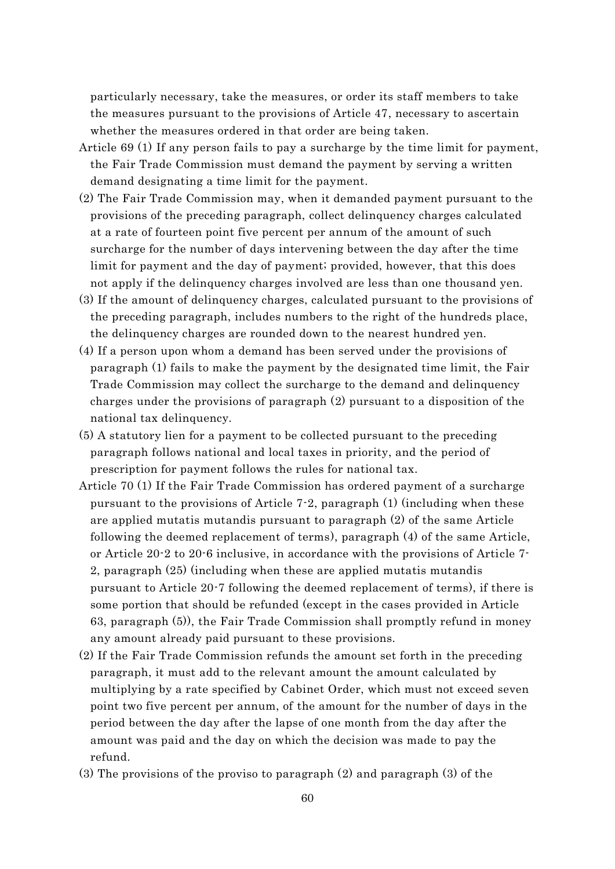particularly necessary, take the measures, or order its staff members to take the measures pursuant to the provisions of Article 47, necessary to ascertain whether the measures ordered in that order are being taken.

- Article 69 (1) If any person fails to pay a surcharge by the time limit for payment, the Fair Trade Commission must demand the payment by serving a written demand designating a time limit for the payment.
- (2) The Fair Trade Commission may, when it demanded payment pursuant to the provisions of the preceding paragraph, collect delinquency charges calculated at a rate of fourteen point five percent per annum of the amount of such surcharge for the number of days intervening between the day after the time limit for payment and the day of payment; provided, however, that this does not apply if the delinquency charges involved are less than one thousand yen.
- (3) If the amount of delinquency charges, calculated pursuant to the provisions of the preceding paragraph, includes numbers to the right of the hundreds place, the delinquency charges are rounded down to the nearest hundred yen.
- (4) If a person upon whom a demand has been served under the provisions of paragraph (1) fails to make the payment by the designated time limit, the Fair Trade Commission may collect the surcharge to the demand and delinquency charges under the provisions of paragraph (2) pursuant to a disposition of the national tax delinquency.
- (5) A statutory lien for a payment to be collected pursuant to the preceding paragraph follows national and local taxes in priority, and the period of prescription for payment follows the rules for national tax.
- Article 70 (1) If the Fair Trade Commission has ordered payment of a surcharge pursuant to the provisions of Article 7-2, paragraph (1) (including when these are applied mutatis mutandis pursuant to paragraph (2) of the same Article following the deemed replacement of terms), paragraph (4) of the same Article, or Article 20-2 to 20-6 inclusive, in accordance with the provisions of Article 7- 2, paragraph (25) (including when these are applied mutatis mutandis pursuant to Article 20-7 following the deemed replacement of terms), if there is some portion that should be refunded (except in the cases provided in Article 63, paragraph (5)), the Fair Trade Commission shall promptly refund in money any amount already paid pursuant to these provisions.
- (2) If the Fair Trade Commission refunds the amount set forth in the preceding paragraph, it must add to the relevant amount the amount calculated by multiplying by a rate specified by Cabinet Order, which must not exceed seven point two five percent per annum, of the amount for the number of days in the period between the day after the lapse of one month from the day after the amount was paid and the day on which the decision was made to pay the refund.
- (3) The provisions of the proviso to paragraph (2) and paragraph (3) of the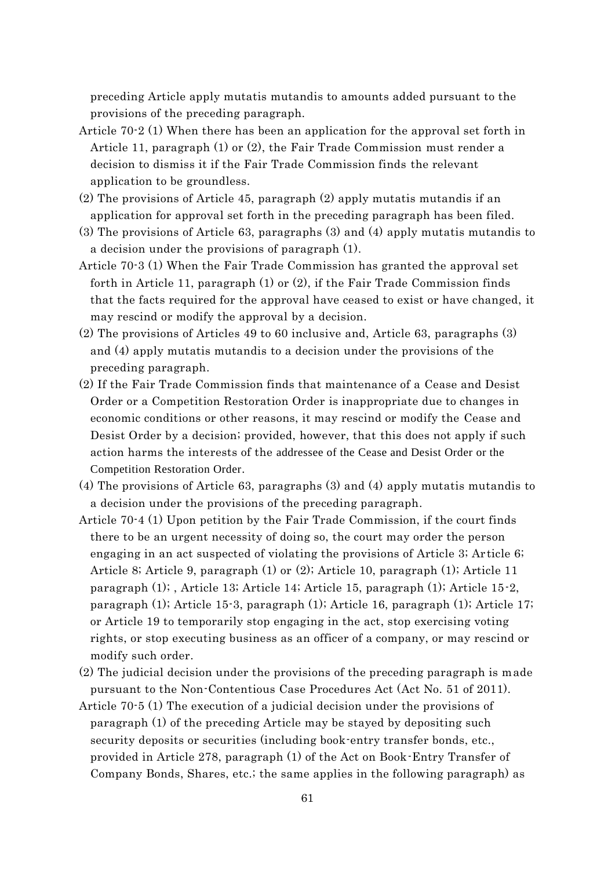preceding Article apply mutatis mutandis to amounts added pursuant to the provisions of the preceding paragraph.

- Article 70-2 (1) When there has been an application for the approval set forth in Article 11, paragraph (1) or (2), the Fair Trade Commission must render a decision to dismiss it if the Fair Trade Commission finds the relevant application to be groundless.
- (2) The provisions of Article 45, paragraph (2) apply mutatis mutandis if an application for approval set forth in the preceding paragraph has been filed.
- (3) The provisions of Article 63, paragraphs (3) and (4) apply mutatis mutandis to a decision under the provisions of paragraph (1).
- Article 70-3 (1) When the Fair Trade Commission has granted the approval set forth in Article 11, paragraph (1) or (2), if the Fair Trade Commission finds that the facts required for the approval have ceased to exist or have changed, it may rescind or modify the approval by a decision.
- (2) The provisions of Articles 49 to 60 inclusive and, Article 63, paragraphs (3) and (4) apply mutatis mutandis to a decision under the provisions of the preceding paragraph.
- (2) If the Fair Trade Commission finds that maintenance of a Cease and Desist Order or a Competition Restoration Order is inappropriate due to changes in economic conditions or other reasons, it may rescind or modify the Cease and Desist Order by a decision; provided, however, that this does not apply if such action harms the interests of the addressee of the Cease and Desist Order or the Competition Restoration Order.
- (4) The provisions of Article 63, paragraphs (3) and (4) apply mutatis mutandis to a decision under the provisions of the preceding paragraph.
- Article 70-4 (1) Upon petition by the Fair Trade Commission, if the court finds there to be an urgent necessity of doing so, the court may order the person engaging in an act suspected of violating the provisions of Article 3; Ar ticle 6; Article 8; Article 9, paragraph (1) or (2); Article 10, paragraph (1); Article 11 paragraph (1); , Article 13; Article 14; Article 15, paragraph (1); Article 15-2, paragraph (1); Article 15-3, paragraph (1); Article 16, paragraph (1); Article 17; or Article 19 to temporarily stop engaging in the act, stop exercising voting rights, or stop executing business as an officer of a company, or may rescind or modify such order.
- (2) The judicial decision under the provisions of the preceding paragraph is made pursuant to the Non-Contentious Case Procedures Act (Act No. 51 of 2011).
- Article 70-5 (1) The execution of a judicial decision under the provisions of paragraph (1) of the preceding Article may be stayed by depositing such security deposits or securities (including book-entry transfer bonds, etc., provided in Article 278, paragraph (1) of the Act on Book-Entry Transfer of Company Bonds, Shares, etc.; the same applies in the following paragraph) as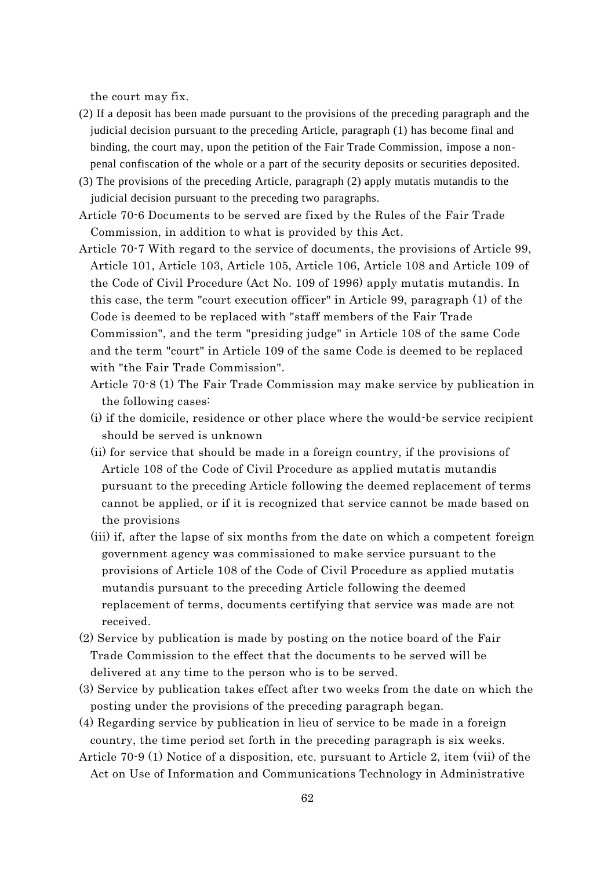the court may fix.

- (2) If a deposit has been made pursuant to the provisions of the preceding paragraph and the judicial decision pursuant to the preceding Article, paragraph (1) has become final and binding, the court may, upon the petition of the Fair Trade Commission, impose a nonpenal confiscation of the whole or a part of the security deposits or securities deposited.
- (3) The provisions of the preceding Article, paragraph (2) apply mutatis mutandis to the judicial decision pursuant to the preceding two paragraphs.
- Article 70-6 Documents to be served are fixed by the Rules of the Fair Trade Commission, in addition to what is provided by this Act.
- Article 70-7 With regard to the service of documents, the provisions of Article 99, Article 101, Article 103, Article 105, Article 106, Article 108 and Article 109 of the Code of Civil Procedure (Act No. 109 of 1996) apply mutatis mutandis. In this case, the term "court execution officer" in Article 99, paragraph (1) of the Code is deemed to be replaced with "staff members of the Fair Trade Commission", and the term "presiding judge" in Article 108 of the same Code and the term "court" in Article 109 of the same Code is deemed to be replaced with "the Fair Trade Commission".
	- Article 70-8 (1) The Fair Trade Commission may make service by publication in the following cases:
	- (i) if the domicile, residence or other place where the would-be service recipient should be served is unknown
	- (ii) for service that should be made in a foreign country, if the provisions of Article 108 of the Code of Civil Procedure as applied mutatis mutandis pursuant to the preceding Article following the deemed replacement of terms cannot be applied, or if it is recognized that service cannot be made based on the provisions
	- (iii) if, after the lapse of six months from the date on which a competent foreign government agency was commissioned to make service pursuant to the provisions of Article 108 of the Code of Civil Procedure as applied mutatis mutandis pursuant to the preceding Article following the deemed replacement of terms, documents certifying that service was made are not received.
- (2) Service by publication is made by posting on the notice board of the Fair Trade Commission to the effect that the documents to be served will be delivered at any time to the person who is to be served.
- (3) Service by publication takes effect after two weeks from the date on which the posting under the provisions of the preceding paragraph began.
- (4) Regarding service by publication in lieu of service to be made in a foreign country, the time period set forth in the preceding paragraph is six weeks.
- Article 70-9 (1) Notice of a disposition, etc. pursuant to Article 2, item (vii) of the Act on Use of Information and Communications Technology in Administrative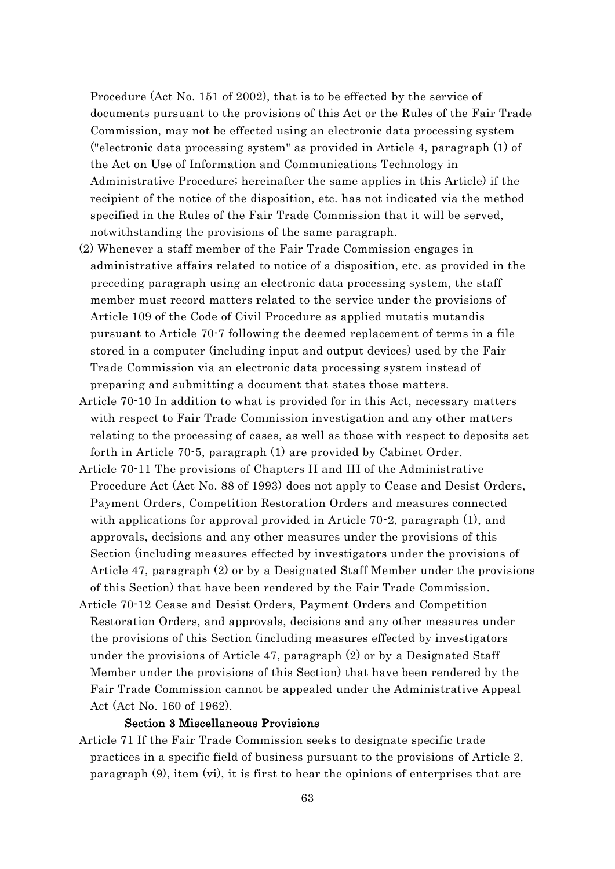Procedure (Act No. 151 of 2002), that is to be effected by the service of documents pursuant to the provisions of this Act or the Rules of the Fair Trade Commission, may not be effected using an electronic data processing system ("electronic data processing system" as provided in Article 4, paragraph (1) of the Act on Use of Information and Communications Technology in Administrative Procedure; hereinafter the same applies in this Article) if the recipient of the notice of the disposition, etc. has not indicated via the method specified in the Rules of the Fair Trade Commission that it will be served, notwithstanding the provisions of the same paragraph.

- (2) Whenever a staff member of the Fair Trade Commission engages in administrative affairs related to notice of a disposition, etc. as provided in the preceding paragraph using an electronic data processing system, the staff member must record matters related to the service under the provisions of Article 109 of the Code of Civil Procedure as applied mutatis mutandis pursuant to Article 70-7 following the deemed replacement of terms in a file stored in a computer (including input and output devices) used by the Fair Trade Commission via an electronic data processing system instead of preparing and submitting a document that states those matters.
- Article 70-10 In addition to what is provided for in this Act, necessary matters with respect to Fair Trade Commission investigation and any other matters relating to the processing of cases, as well as those with respect to deposits set forth in Article 70-5, paragraph (1) are provided by Cabinet Order.
- Article 70-11 The provisions of Chapters II and III of the Administrative Procedure Act (Act No. 88 of 1993) does not apply to Cease and Desist Orders, Payment Orders, Competition Restoration Orders and measures connected with applications for approval provided in Article 70.2, paragraph (1), and approvals, decisions and any other measures under the provisions of this Section (including measures effected by investigators under the provisions of Article 47, paragraph (2) or by a Designated Staff Member under the provisions of this Section) that have been rendered by the Fair Trade Commission.
- Article 70-12 Cease and Desist Orders, Payment Orders and Competition Restoration Orders, and approvals, decisions and any other measures under the provisions of this Section (including measures effected by investigators under the provisions of Article 47, paragraph (2) or by a Designated Staff Member under the provisions of this Section) that have been rendered by the Fair Trade Commission cannot be appealed under the Administrative Appeal Act (Act No. 160 of 1962).

### Section 3 Miscellaneous Provisions

Article 71 If the Fair Trade Commission seeks to designate specific trade practices in a specific field of business pursuant to the provisions of Article 2, paragraph (9), item (vi), it is first to hear the opinions of enterprises that are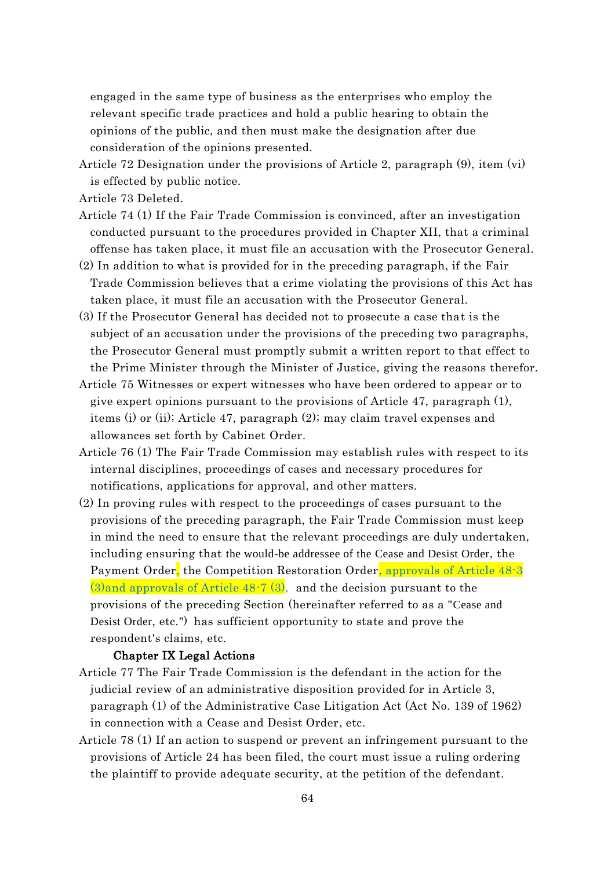engaged in the same type of business as the enterprises who employ the relevant specific trade practices and hold a public hearing to obtain the opinions of the public, and then must make the designation after due consideration of the opinions presented.

- Article 72 Designation under the provisions of Article 2, paragraph (9), item (vi) is effected by public notice.
- Article 73 Deleted.
- Article 74 (1) If the Fair Trade Commission is convinced, after an investigation conducted pursuant to the procedures provided in Chapter XII, that a criminal offense has taken place, it must file an accusation with the Prosecutor General.
- (2) In addition to what is provided for in the preceding paragraph, if the Fair Trade Commission believes that a crime violating the provisions of this Act has taken place, it must file an accusation with the Prosecutor General.
- (3) If the Prosecutor General has decided not to prosecute a case that is the subject of an accusation under the provisions of the preceding two paragraphs, the Prosecutor General must promptly submit a written report to that effect to the Prime Minister through the Minister of Justice, giving the reasons therefor.
- Article 75 Witnesses or expert witnesses who have been ordered to appear or to give expert opinions pursuant to the provisions of Article 47, paragraph (1), items (i) or (ii); Article 47, paragraph (2); may claim travel expenses and allowances set forth by Cabinet Order.
- Article 76 (1) The Fair Trade Commission may establish rules with respect to its internal disciplines, proceedings of cases and necessary procedures for notifications, applications for approval, and other matters.
- (2) In proving rules with respect to the proceedings of cases pursuant to the provisions of the preceding paragraph, the Fair Trade Commission must keep in mind the need to ensure that the relevant proceedings are duly undertaken, including ensuring that the would-be addressee of the Cease and Desist Order, the Payment Order, the Competition Restoration Order, approvals of Article 48-3  $(3)$ and approvals of Article 48-7  $(3)$ , and the decision pursuant to the provisions of the preceding Section (hereinafter referred to as a "Cease and Desist Order, etc.") has sufficient opportunity to state and prove the respondent's claims, etc.

### Chapter IX Legal Actions

- Article 77 The Fair Trade Commission is the defendant in the action for the judicial review of an administrative disposition provided for in Article 3, paragraph (1) of the Administrative Case Litigation Act (Act No. 139 of 1962) in connection with a Cease and Desist Order, etc.
- Article 78 (1) If an action to suspend or prevent an infringement pursuant to the provisions of Article 24 has been filed, the court must issue a ruling ordering the plaintiff to provide adequate security, at the petition of the defendant.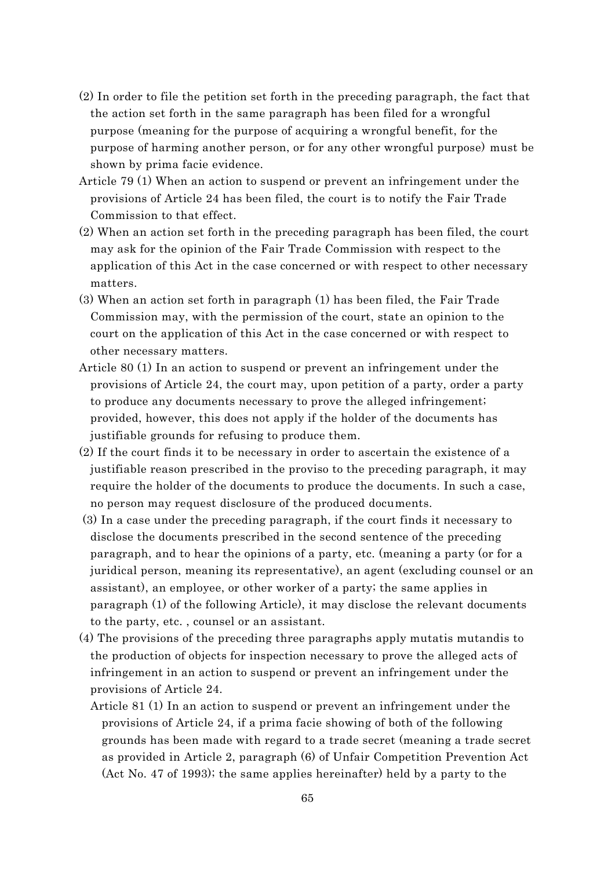- (2) In order to file the petition set forth in the preceding paragraph, the fact that the action set forth in the same paragraph has been filed for a wrongful purpose (meaning for the purpose of acquiring a wrongful benefit, for the purpose of harming another person, or for any other wrongful purpose) must be shown by prima facie evidence.
- Article 79 (1) When an action to suspend or prevent an infringement under the provisions of Article 24 has been filed, the court is to notify the Fair Trade Commission to that effect.
- (2) When an action set forth in the preceding paragraph has been filed, the court may ask for the opinion of the Fair Trade Commission with respect to the application of this Act in the case concerned or with respect to other necessary matters.
- (3) When an action set forth in paragraph (1) has been filed, the Fair Trade Commission may, with the permission of the court, state an opinion to the court on the application of this Act in the case concerned or with respect to other necessary matters.
- Article 80 (1) In an action to suspend or prevent an infringement under the provisions of Article 24, the court may, upon petition of a party, order a party to produce any documents necessary to prove the alleged infringement; provided, however, this does not apply if the holder of the documents has justifiable grounds for refusing to produce them.
- (2) If the court finds it to be necessary in order to ascertain the existence of a justifiable reason prescribed in the proviso to the preceding paragraph, it may require the holder of the documents to produce the documents. In such a case, no person may request disclosure of the produced documents.
- (3) In a case under the preceding paragraph, if the court finds it necessary to disclose the documents prescribed in the second sentence of the preceding paragraph, and to hear the opinions of a party, etc. (meaning a party (or for a juridical person, meaning its representative), an agent (excluding counsel or an assistant), an employee, or other worker of a party; the same applies in paragraph (1) of the following Article), it may disclose the relevant documents to the party, etc. , counsel or an assistant.
- (4) The provisions of the preceding three paragraphs apply mutatis mutandis to the production of objects for inspection necessary to prove the alleged acts of infringement in an action to suspend or prevent an infringement under the provisions of Article 24.
	- Article 81 (1) In an action to suspend or prevent an infringement under the provisions of Article 24, if a prima facie showing of both of the following grounds has been made with regard to a trade secret (meaning a trade secret as provided in Article 2, paragraph (6) of Unfair Competition Prevention Act (Act No. 47 of 1993); the same applies hereinafter) held by a party to the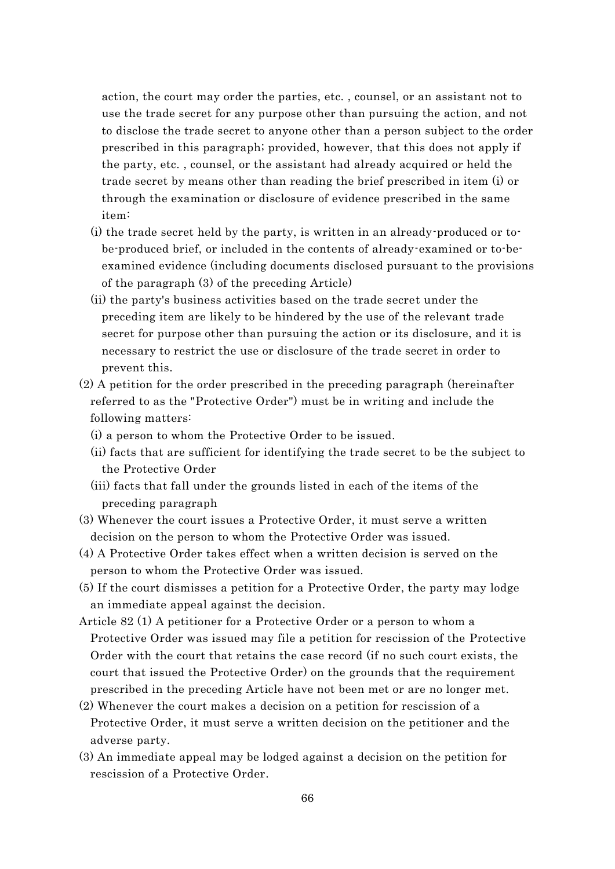action, the court may order the parties, etc. , counsel, or an assistant not to use the trade secret for any purpose other than pursuing the action, and not to disclose the trade secret to anyone other than a person subject to the order prescribed in this paragraph; provided, however, that this does not apply if the party, etc. , counsel, or the assistant had already acquired or held the trade secret by means other than reading the brief prescribed in item (i) or through the examination or disclosure of evidence prescribed in the same item:

- (i) the trade secret held by the party, is written in an already-produced or tobe-produced brief, or included in the contents of already-examined or to-beexamined evidence (including documents disclosed pursuant to the provisions of the paragraph (3) of the preceding Article)
- (ii) the party's business activities based on the trade secret under the preceding item are likely to be hindered by the use of the relevant trade secret for purpose other than pursuing the action or its disclosure, and it is necessary to restrict the use or disclosure of the trade secret in order to prevent this.
- (2) A petition for the order prescribed in the preceding paragraph (hereinafter referred to as the "Protective Order") must be in writing and include the following matters:
	- (i) a person to whom the Protective Order to be issued.
	- (ii) facts that are sufficient for identifying the trade secret to be the subject to the Protective Order
	- (iii) facts that fall under the grounds listed in each of the items of the preceding paragraph
- (3) Whenever the court issues a Protective Order, it must serve a written decision on the person to whom the Protective Order was issued.
- (4) A Protective Order takes effect when a written decision is served on the person to whom the Protective Order was issued.
- (5) If the court dismisses a petition for a Protective Order, the party may lodge an immediate appeal against the decision.
- Article 82 (1) A petitioner for a Protective Order or a person to whom a Protective Order was issued may file a petition for rescission of the Protective Order with the court that retains the case record (if no such court exists, the court that issued the Protective Order) on the grounds that the requirement prescribed in the preceding Article have not been met or are no longer met.
- (2) Whenever the court makes a decision on a petition for rescission of a Protective Order, it must serve a written decision on the petitioner and the adverse party.
- (3) An immediate appeal may be lodged against a decision on the petition for rescission of a Protective Order.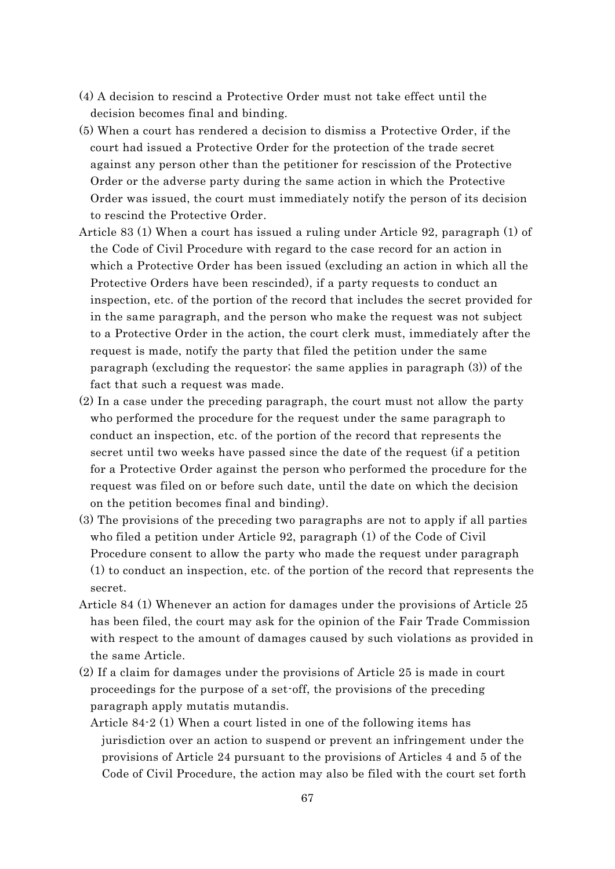- (4) A decision to rescind a Protective Order must not take effect until the decision becomes final and binding.
- (5) When a court has rendered a decision to dismiss a Protective Order, if the court had issued a Protective Order for the protection of the trade secret against any person other than the petitioner for rescission of the Protective Order or the adverse party during the same action in which the Protective Order was issued, the court must immediately notify the person of its decision to rescind the Protective Order.
- Article 83 (1) When a court has issued a ruling under Article 92, paragraph (1) of the Code of Civil Procedure with regard to the case record for an action in which a Protective Order has been issued (excluding an action in which all the Protective Orders have been rescinded), if a party requests to conduct an inspection, etc. of the portion of the record that includes the secret provided for in the same paragraph, and the person who make the request was not subject to a Protective Order in the action, the court clerk must, immediately after the request is made, notify the party that filed the petition under the same paragraph (excluding the requestor; the same applies in paragraph (3)) of the fact that such a request was made.
- (2) In a case under the preceding paragraph, the court must not allow the party who performed the procedure for the request under the same paragraph to conduct an inspection, etc. of the portion of the record that represents the secret until two weeks have passed since the date of the request (if a petition for a Protective Order against the person who performed the procedure for the request was filed on or before such date, until the date on which the decision on the petition becomes final and binding).
- (3) The provisions of the preceding two paragraphs are not to apply if all parties who filed a petition under Article 92, paragraph (1) of the Code of Civil Procedure consent to allow the party who made the request under paragraph (1) to conduct an inspection, etc. of the portion of the record that represents the secret.
- Article 84 (1) Whenever an action for damages under the provisions of Article 25 has been filed, the court may ask for the opinion of the Fair Trade Commission with respect to the amount of damages caused by such violations as provided in the same Article.
- (2) If a claim for damages under the provisions of Article 25 is made in court proceedings for the purpose of a set-off, the provisions of the preceding paragraph apply mutatis mutandis.
	- Article 84-2 (1) When a court listed in one of the following items has jurisdiction over an action to suspend or prevent an infringement under the provisions of Article 24 pursuant to the provisions of Articles 4 and 5 of the Code of Civil Procedure, the action may also be filed with the court set forth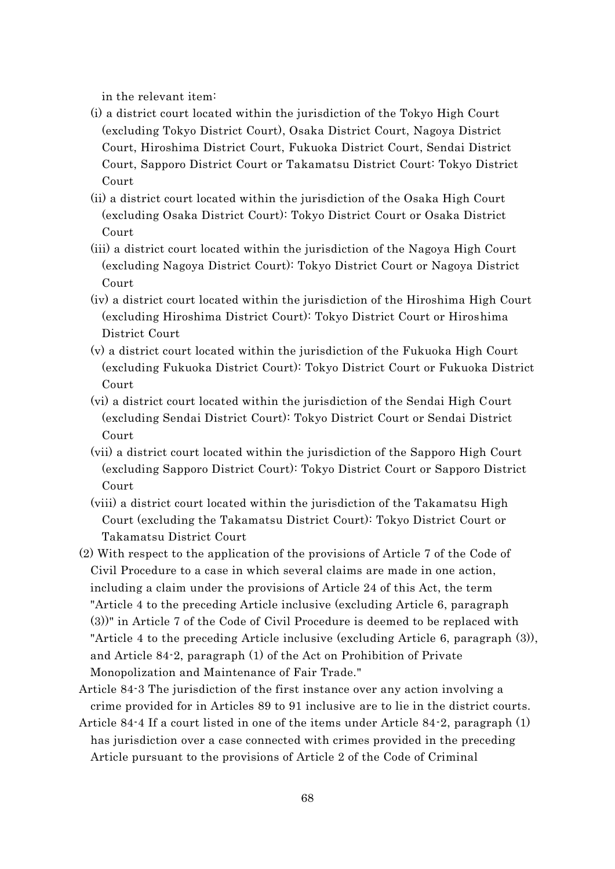in the relevant item:

- (i) a district court located within the jurisdiction of the Tokyo High Court (excluding Tokyo District Court), Osaka District Court, Nagoya District Court, Hiroshima District Court, Fukuoka District Court, Sendai District Court, Sapporo District Court or Takamatsu District Court: Tokyo District Court
- (ii) a district court located within the jurisdiction of the Osaka High Court (excluding Osaka District Court): Tokyo District Court or Osaka District Court
- (iii) a district court located within the jurisdiction of the Nagoya High Court (excluding Nagoya District Court): Tokyo District Court or Nagoya District Court
- (iv) a district court located within the jurisdiction of the Hiroshima High Court (excluding Hiroshima District Court): Tokyo District Court or Hiroshima District Court
- (v) a district court located within the jurisdiction of the Fukuoka High Court (excluding Fukuoka District Court): Tokyo District Court or Fukuoka District Court
- (vi) a district court located within the jurisdiction of the Sendai High Court (excluding Sendai District Court): Tokyo District Court or Sendai District Court
- (vii) a district court located within the jurisdiction of the Sapporo High Court (excluding Sapporo District Court): Tokyo District Court or Sapporo District Court
- (viii) a district court located within the jurisdiction of the Takamatsu High Court (excluding the Takamatsu District Court): Tokyo District Court or Takamatsu District Court
- (2) With respect to the application of the provisions of Article 7 of the Code of Civil Procedure to a case in which several claims are made in one action, including a claim under the provisions of Article 24 of this Act, the term "Article 4 to the preceding Article inclusive (excluding Article 6, paragraph (3))" in Article 7 of the Code of Civil Procedure is deemed to be replaced with "Article 4 to the preceding Article inclusive (excluding Article 6, paragraph (3)), and Article 84-2, paragraph (1) of the Act on Prohibition of Private Monopolization and Maintenance of Fair Trade."
- Article 84-3 The jurisdiction of the first instance over any action involving a crime provided for in Articles 89 to 91 inclusive are to lie in the district courts.
- Article 84-4 If a court listed in one of the items under Article 84-2, paragraph (1) has jurisdiction over a case connected with crimes provided in the preceding Article pursuant to the provisions of Article 2 of the Code of Criminal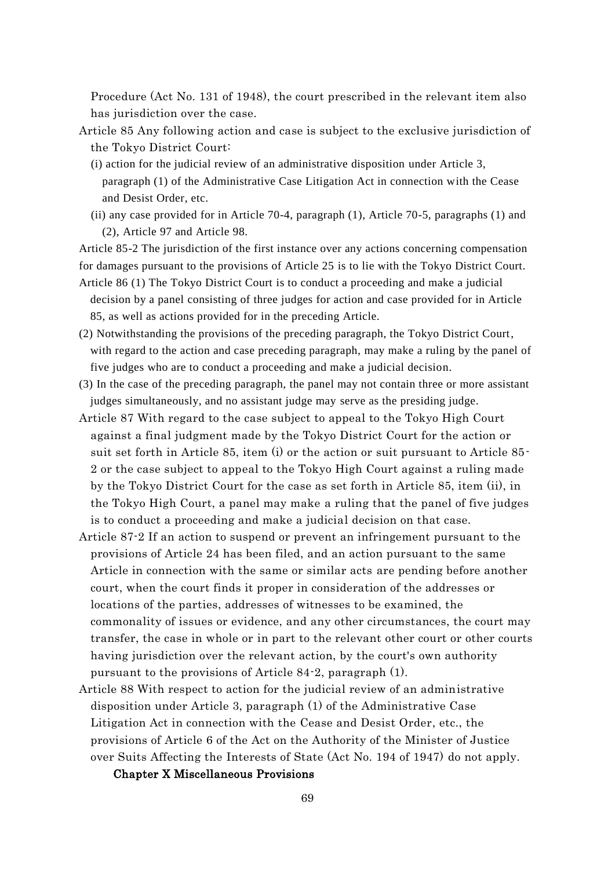Procedure (Act No. 131 of 1948), the court prescribed in the relevant item also has jurisdiction over the case.

- Article 85 Any following action and case is subject to the exclusive jurisdiction of the Tokyo District Court:
	- (i) action for the judicial review of an administrative disposition under Article 3, paragraph (1) of the Administrative Case Litigation Act in connection with the Cease and Desist Order, etc.
	- (ii) any case provided for in Article 70-4, paragraph (1), Article 70-5, paragraphs (1) and (2), Article 97 and Article 98.

Article 85-2 The jurisdiction of the first instance over any actions concerning compensation for damages pursuant to the provisions of Article 25 is to lie with the Tokyo District Court.

- Article 86 (1) The Tokyo District Court is to conduct a proceeding and make a judicial decision by a panel consisting of three judges for action and case provided for in Article 85, as well as actions provided for in the preceding Article.
- (2) Notwithstanding the provisions of the preceding paragraph, the Tokyo District Court, with regard to the action and case preceding paragraph, may make a ruling by the panel of five judges who are to conduct a proceeding and make a judicial decision.
- (3) In the case of the preceding paragraph, the panel may not contain three or more assistant judges simultaneously, and no assistant judge may serve as the presiding judge.
- Article 87 With regard to the case subject to appeal to the Tokyo High Court against a final judgment made by the Tokyo District Court for the action or suit set forth in Article 85, item (i) or the action or suit pursuant to Article 85- 2 or the case subject to appeal to the Tokyo High Court against a ruling made by the Tokyo District Court for the case as set forth in Article 85, item (ii), in the Tokyo High Court, a panel may make a ruling that the panel of five judges is to conduct a proceeding and make a judicial decision on that case.
- Article 87-2 If an action to suspend or prevent an infringement pursuant to the provisions of Article 24 has been filed, and an action pursuant to the same Article in connection with the same or similar acts are pending before another court, when the court finds it proper in consideration of the addresses or locations of the parties, addresses of witnesses to be examined, the commonality of issues or evidence, and any other circumstances, the court may transfer, the case in whole or in part to the relevant other court or other courts having jurisdiction over the relevant action, by the court's own authority pursuant to the provisions of Article 84-2, paragraph (1).
- Article 88 With respect to action for the judicial review of an administrative disposition under Article 3, paragraph (1) of the Administrative Case Litigation Act in connection with the Cease and Desist Order, etc., the provisions of Article 6 of the Act on the Authority of the Minister of Justice over Suits Affecting the Interests of State (Act No. 194 of 1947) do not apply.

## Chapter X Miscellaneous Provisions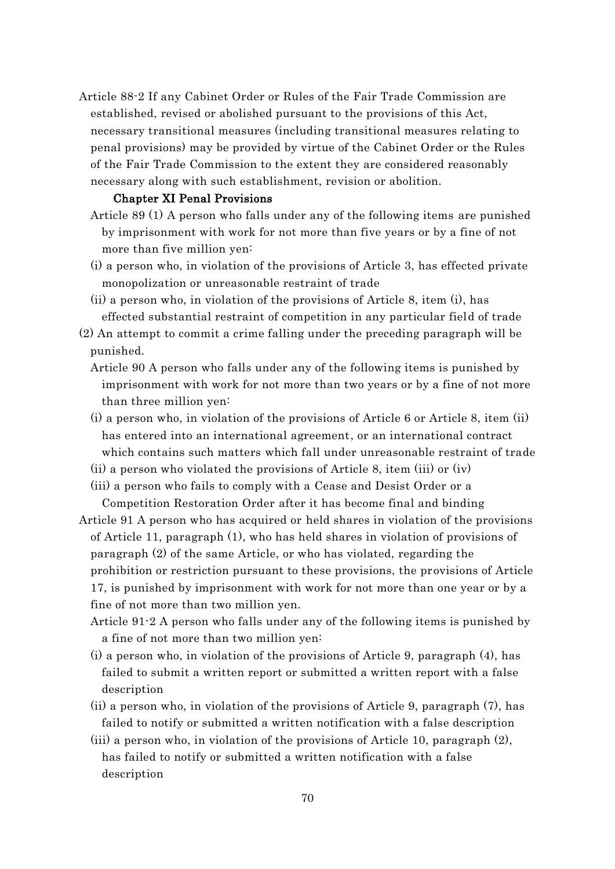Article 88-2 If any Cabinet Order or Rules of the Fair Trade Commission are established, revised or abolished pursuant to the provisions of this Act, necessary transitional measures (including transitional measures relating to penal provisions) may be provided by virtue of the Cabinet Order or the Rules of the Fair Trade Commission to the extent they are considered reasonably necessary along with such establishment, revision or abolition.

#### Chapter XI Penal Provisions

- Article 89 (1) A person who falls under any of the following items are punished by imprisonment with work for not more than five years or by a fine of not more than five million yen:
- (i) a person who, in violation of the provisions of Article 3, has effected private monopolization or unreasonable restraint of trade
- (ii) a person who, in violation of the provisions of Article 8, item (i), has effected substantial restraint of competition in any particular field of trade
- (2) An attempt to commit a crime falling under the preceding paragraph will be punished.
	- Article 90 A person who falls under any of the following items is punished by imprisonment with work for not more than two years or by a fine of not more than three million yen:
	- (i) a person who, in violation of the provisions of Article 6 or Article 8, item (ii) has entered into an international agreement, or an international contract which contains such matters which fall under unreasonable restraint of trade
	- (ii) a person who violated the provisions of Article 8, item (iii) or (iv)
	- (iii) a person who fails to comply with a Cease and Desist Order or a Competition Restoration Order after it has become final and binding
- Article 91 A person who has acquired or held shares in violation of the provisions of Article 11, paragraph (1), who has held shares in violation of provisions of paragraph (2) of the same Article, or who has violated, regarding the prohibition or restriction pursuant to these provisions, the provisions of Article 17, is punished by imprisonment with work for not more than one year or by a fine of not more than two million yen.
	- Article 91-2 A person who falls under any of the following items is punished by a fine of not more than two million yen:
	- (i) a person who, in violation of the provisions of Article 9, paragraph (4), has failed to submit a written report or submitted a written report with a false description
	- (ii) a person who, in violation of the provisions of Article 9, paragraph (7), has failed to notify or submitted a written notification with a false description
	- (iii) a person who, in violation of the provisions of Article 10, paragraph (2), has failed to notify or submitted a written notification with a false description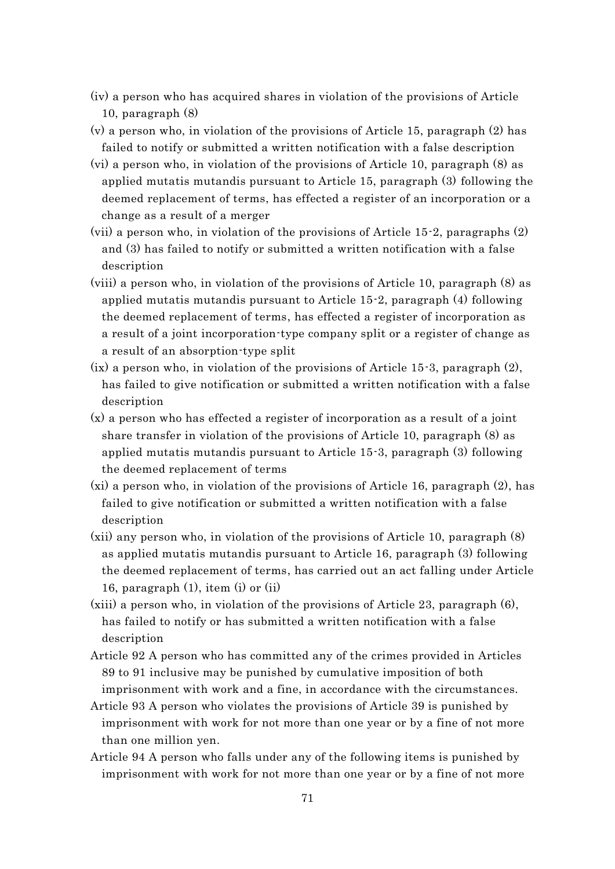- (iv) a person who has acquired shares in violation of the provisions of Article 10, paragraph (8)
- (v) a person who, in violation of the provisions of Article 15, paragraph (2) has failed to notify or submitted a written notification with a false description
- (vi) a person who, in violation of the provisions of Article 10, paragraph (8) as applied mutatis mutandis pursuant to Article 15, paragraph (3) following the deemed replacement of terms, has effected a register of an incorporation or a change as a result of a merger
- (vii) a person who, in violation of the provisions of Article 15-2, paragraphs (2) and (3) has failed to notify or submitted a written notification with a false description
- (viii) a person who, in violation of the provisions of Article 10, paragraph (8) as applied mutatis mutandis pursuant to Article 15-2, paragraph (4) following the deemed replacement of terms, has effected a register of incorporation as a result of a joint incorporation-type company split or a register of change as a result of an absorption-type split
- $(ix)$  a person who, in violation of the provisions of Article 15-3, paragraph  $(2)$ , has failed to give notification or submitted a written notification with a false description
- (x) a person who has effected a register of incorporation as a result of a joint share transfer in violation of the provisions of Article 10, paragraph (8) as applied mutatis mutandis pursuant to Article 15-3, paragraph (3) following the deemed replacement of terms
- (xi) a person who, in violation of the provisions of Article 16, paragraph (2), has failed to give notification or submitted a written notification with a false description
- (xii) any person who, in violation of the provisions of Article 10, paragraph (8) as applied mutatis mutandis pursuant to Article 16, paragraph (3) following the deemed replacement of terms, has carried out an act falling under Article 16, paragraph (1), item (i) or (ii)
- (xiii) a person who, in violation of the provisions of Article 23, paragraph (6), has failed to notify or has submitted a written notification with a false description
- Article 92 A person who has committed any of the crimes provided in Articles 89 to 91 inclusive may be punished by cumulative imposition of both imprisonment with work and a fine, in accordance with the circumstances.
- Article 93 A person who violates the provisions of Article 39 is punished by imprisonment with work for not more than one year or by a fine of not more than one million yen.
- Article 94 A person who falls under any of the following items is punished by imprisonment with work for not more than one year or by a fine of not more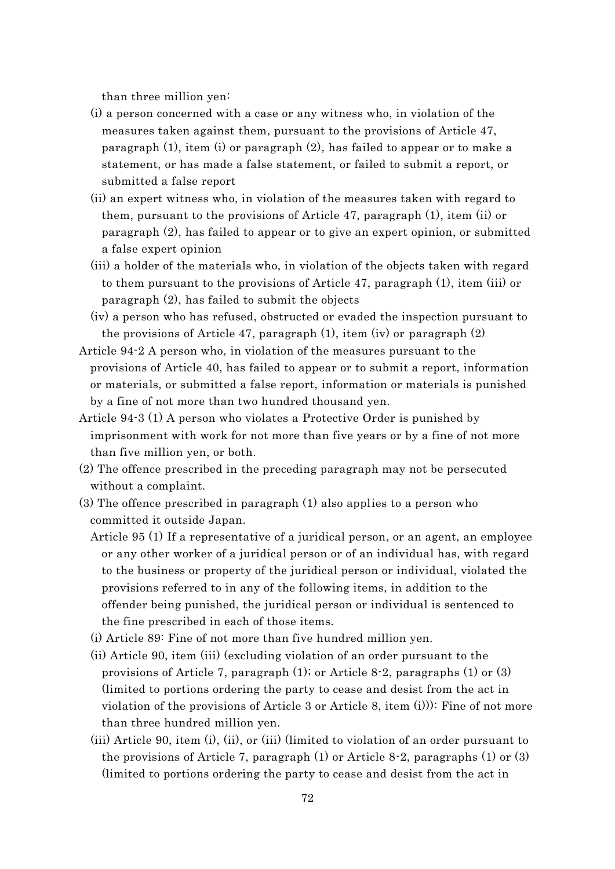than three million yen:

- (i) a person concerned with a case or any witness who, in violation of the measures taken against them, pursuant to the provisions of Article 47, paragraph (1), item (i) or paragraph (2), has failed to appear or to make a statement, or has made a false statement, or failed to submit a report, or submitted a false report
- (ii) an expert witness who, in violation of the measures taken with regard to them, pursuant to the provisions of Article 47, paragraph (1), item (ii) or paragraph (2), has failed to appear or to give an expert opinion, or submitted a false expert opinion
- (iii) a holder of the materials who, in violation of the objects taken with regard to them pursuant to the provisions of Article 47, paragraph (1), item (iii) or paragraph (2), has failed to submit the objects
- (iv) a person who has refused, obstructed or evaded the inspection pursuant to the provisions of Article 47, paragraph (1), item (iv) or paragraph (2)
- Article 94-2 A person who, in violation of the measures pursuant to the provisions of Article 40, has failed to appear or to submit a report, information or materials, or submitted a false report, information or materials is punished by a fine of not more than two hundred thousand yen.
- Article 94-3 (1) A person who violates a Protective Order is punished by imprisonment with work for not more than five years or by a fine of not more than five million yen, or both.
- (2) The offence prescribed in the preceding paragraph may not be persecuted without a complaint.
- (3) The offence prescribed in paragraph (1) also applies to a person who committed it outside Japan.
	- Article 95 (1) If a representative of a juridical person, or an agent, an employee or any other worker of a juridical person or of an individual has, with regard to the business or property of the juridical person or individual, violated the provisions referred to in any of the following items, in addition to the offender being punished, the juridical person or individual is sentenced to the fine prescribed in each of those items.
	- (i) Article 89: Fine of not more than five hundred million yen.
	- (ii) Article 90, item (iii) (excluding violation of an order pursuant to the provisions of Article 7, paragraph (1); or Article 8-2, paragraphs (1) or (3) (limited to portions ordering the party to cease and desist from the act in violation of the provisions of Article 3 or Article 8, item (i))): Fine of not more than three hundred million yen.
	- (iii) Article 90, item (i), (ii), or (iii) (limited to violation of an order pursuant to the provisions of Article 7, paragraph  $(1)$  or Article 8-2, paragraphs  $(1)$  or  $(3)$ (limited to portions ordering the party to cease and desist from the act in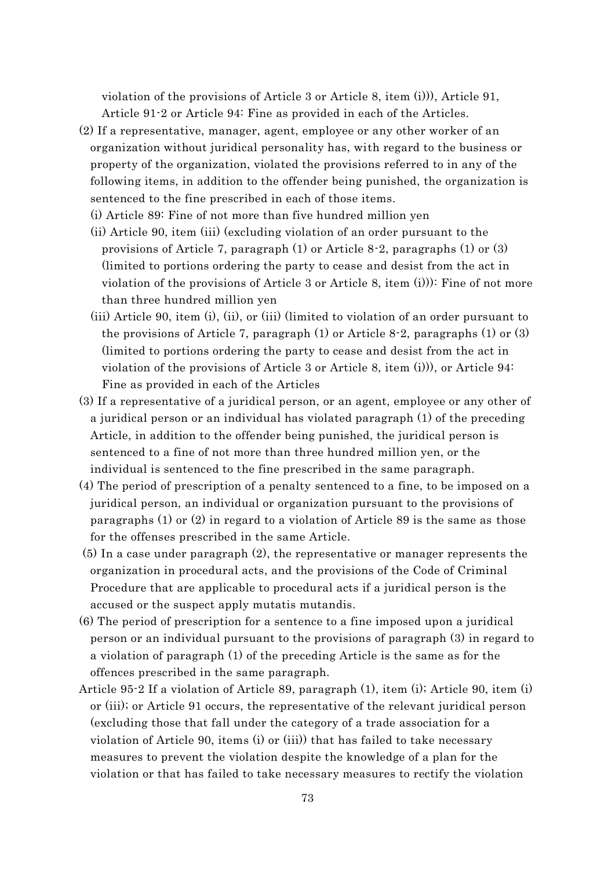violation of the provisions of Article 3 or Article 8, item (i))), Article 91, Article 91-2 or Article 94: Fine as provided in each of the Articles.

- (2) If a representative, manager, agent, employee or any other worker of an organization without juridical personality has, with regard to the business or property of the organization, violated the provisions referred to in any of the following items, in addition to the offender being punished, the organization is sentenced to the fine prescribed in each of those items.
	- (i) Article 89: Fine of not more than five hundred million yen
	- (ii) Article 90, item (iii) (excluding violation of an order pursuant to the provisions of Article 7, paragraph  $(1)$  or Article 8-2, paragraphs  $(1)$  or  $(3)$ (limited to portions ordering the party to cease and desist from the act in violation of the provisions of Article 3 or Article 8, item (i))): Fine of not more than three hundred million yen
	- (iii) Article 90, item (i), (ii), or (iii) (limited to violation of an order pursuant to the provisions of Article 7, paragraph (1) or Article 8-2, paragraphs (1) or (3) (limited to portions ordering the party to cease and desist from the act in violation of the provisions of Article 3 or Article 8, item (i))), or Article 94: Fine as provided in each of the Articles
- (3) If a representative of a juridical person, or an agent, employee or any other of a juridical person or an individual has violated paragraph (1) of the preceding Article, in addition to the offender being punished, the juridical person is sentenced to a fine of not more than three hundred million yen, or the individual is sentenced to the fine prescribed in the same paragraph.
- (4) The period of prescription of a penalty sentenced to a fine, to be imposed on a juridical person, an individual or organization pursuant to the provisions of paragraphs (1) or (2) in regard to a violation of Article 89 is the same as those for the offenses prescribed in the same Article.
- (5) In a case under paragraph (2), the representative or manager represents the organization in procedural acts, and the provisions of the Code of Criminal Procedure that are applicable to procedural acts if a juridical person is the accused or the suspect apply mutatis mutandis.
- (6) The period of prescription for a sentence to a fine imposed upon a juridical person or an individual pursuant to the provisions of paragraph (3) in regard to a violation of paragraph (1) of the preceding Article is the same as for the offences prescribed in the same paragraph.
- Article 95-2 If a violation of Article 89, paragraph (1), item (i); Article 90, item (i) or (iii); or Article 91 occurs, the representative of the relevant juridical person (excluding those that fall under the category of a trade association for a violation of Article 90, items (i) or (iii)) that has failed to take necessary measures to prevent the violation despite the knowledge of a plan for the violation or that has failed to take necessary measures to rectify the violation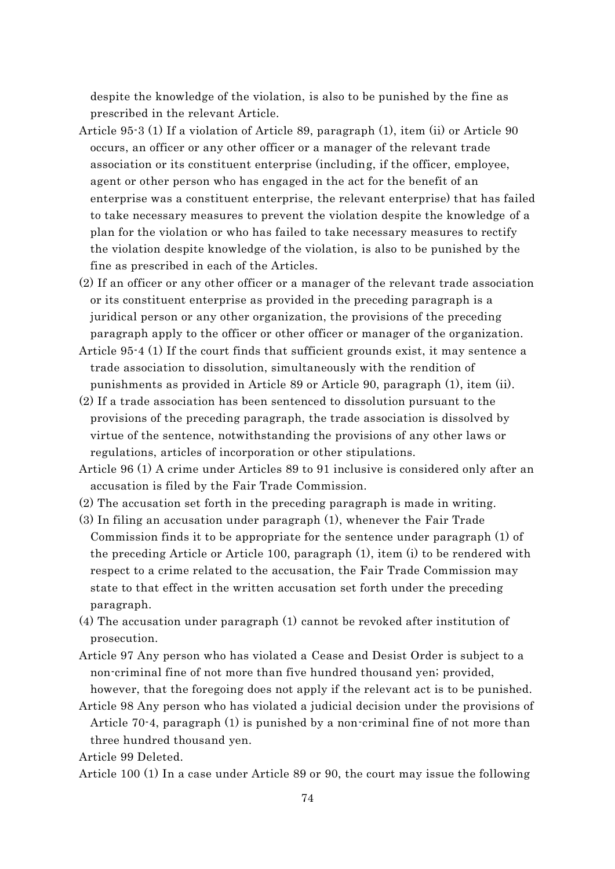despite the knowledge of the violation, is also to be punished by the fine as prescribed in the relevant Article.

- Article 95-3 (1) If a violation of Article 89, paragraph (1), item (ii) or Article 90 occurs, an officer or any other officer or a manager of the relevant trade association or its constituent enterprise (including, if the officer, employee, agent or other person who has engaged in the act for the benefit of an enterprise was a constituent enterprise, the relevant enterprise) that has failed to take necessary measures to prevent the violation despite the knowledge of a plan for the violation or who has failed to take necessary measures to rectify the violation despite knowledge of the violation, is also to be punished by the fine as prescribed in each of the Articles.
- (2) If an officer or any other officer or a manager of the relevant trade association or its constituent enterprise as provided in the preceding paragraph is a juridical person or any other organization, the provisions of the preceding paragraph apply to the officer or other officer or manager of the organization.
- Article 95-4 (1) If the court finds that sufficient grounds exist, it may sentence a trade association to dissolution, simultaneously with the rendition of punishments as provided in Article 89 or Article 90, paragraph (1), item (ii).
- (2) If a trade association has been sentenced to dissolution pursuant to the provisions of the preceding paragraph, the trade association is dissolved by virtue of the sentence, notwithstanding the provisions of any other laws or regulations, articles of incorporation or other stipulations.
- Article 96 (1) A crime under Articles 89 to 91 inclusive is considered only after an accusation is filed by the Fair Trade Commission.
- (2) The accusation set forth in the preceding paragraph is made in writing.
- (3) In filing an accusation under paragraph (1), whenever the Fair Trade Commission finds it to be appropriate for the sentence under paragraph (1) of the preceding Article or Article 100, paragraph (1), item (i) to be rendered with respect to a crime related to the accusation, the Fair Trade Commission may state to that effect in the written accusation set forth under the preceding paragraph.
- (4) The accusation under paragraph (1) cannot be revoked after institution of prosecution.
- Article 97 Any person who has violated a Cease and Desist Order is subject to a non-criminal fine of not more than five hundred thousand yen; provided, however, that the foregoing does not apply if the relevant act is to be punished.
- Article 98 Any person who has violated a judicial decision under the provisions of Article 70-4, paragraph (1) is punished by a non-criminal fine of not more than three hundred thousand yen.

Article 99 Deleted.

Article 100 (1) In a case under Article 89 or 90, the court may issue the following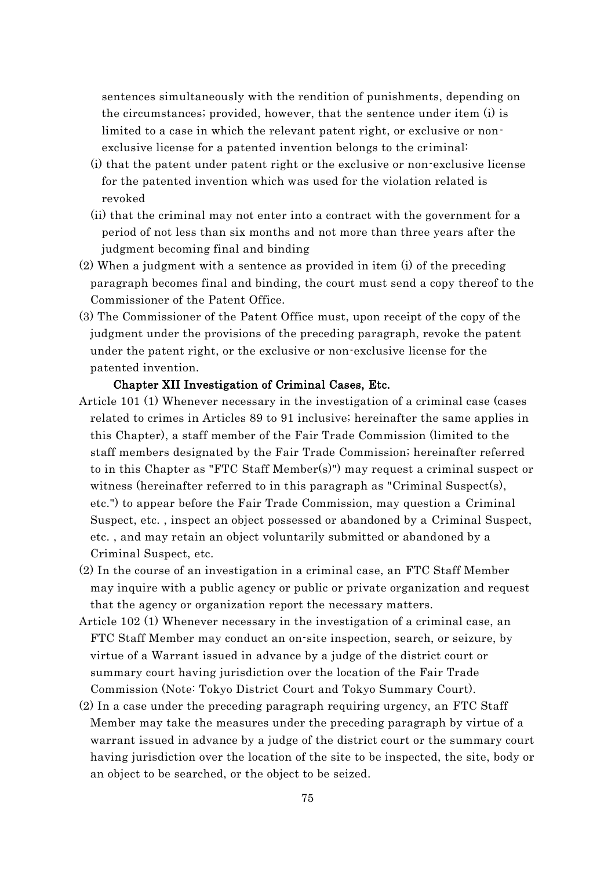sentences simultaneously with the rendition of punishments, depending on the circumstances; provided, however, that the sentence under item (i) is limited to a case in which the relevant patent right, or exclusive or nonexclusive license for a patented invention belongs to the criminal:

- (i) that the patent under patent right or the exclusive or non-exclusive license for the patented invention which was used for the violation related is revoked
- (ii) that the criminal may not enter into a contract with the government for a period of not less than six months and not more than three years after the judgment becoming final and binding
- (2) When a judgment with a sentence as provided in item (i) of the preceding paragraph becomes final and binding, the court must send a copy thereof to the Commissioner of the Patent Office.
- (3) The Commissioner of the Patent Office must, upon receipt of the copy of the judgment under the provisions of the preceding paragraph, revoke the patent under the patent right, or the exclusive or non-exclusive license for the patented invention.

## Chapter XII Investigation of Criminal Cases, Etc.

- Article 101 (1) Whenever necessary in the investigation of a criminal case (cases related to crimes in Articles 89 to 91 inclusive; hereinafter the same applies in this Chapter), a staff member of the Fair Trade Commission (limited to the staff members designated by the Fair Trade Commission; hereinafter referred to in this Chapter as "FTC Staff Member(s)") may request a criminal suspect or witness (hereinafter referred to in this paragraph as "Criminal Suspect(s), etc.") to appear before the Fair Trade Commission, may question a Criminal Suspect, etc. , inspect an object possessed or abandoned by a Criminal Suspect, etc. , and may retain an object voluntarily submitted or abandoned by a Criminal Suspect, etc.
- (2) In the course of an investigation in a criminal case, an FTC Staff Member may inquire with a public agency or public or private organization and request that the agency or organization report the necessary matters.
- Article 102 (1) Whenever necessary in the investigation of a criminal case, an FTC Staff Member may conduct an on-site inspection, search, or seizure, by virtue of a Warrant issued in advance by a judge of the district court or summary court having jurisdiction over the location of the Fair Trade Commission (Note: Tokyo District Court and Tokyo Summary Court).
- (2) In a case under the preceding paragraph requiring urgency, an FTC Staff Member may take the measures under the preceding paragraph by virtue of a warrant issued in advance by a judge of the district court or the summary court having jurisdiction over the location of the site to be inspected, the site, body or an object to be searched, or the object to be seized.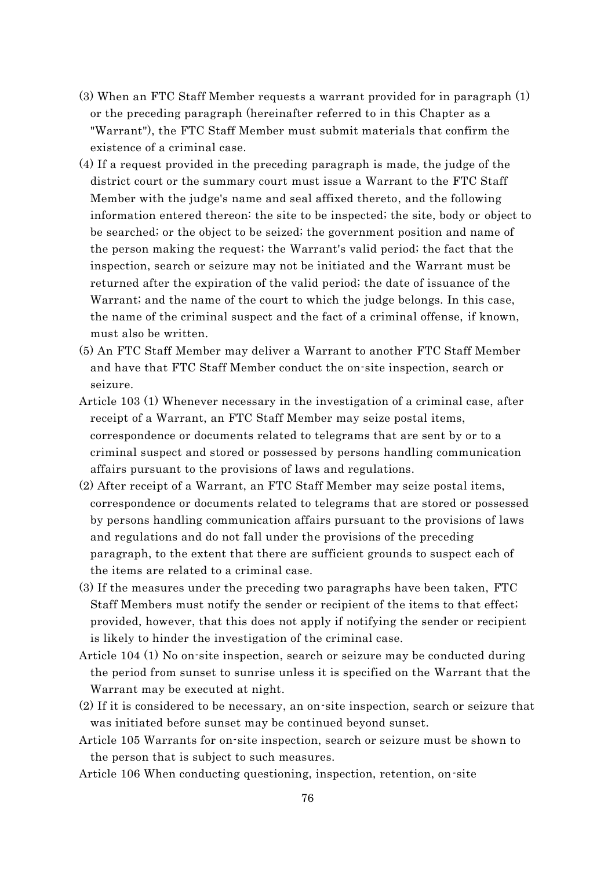- (3) When an FTC Staff Member requests a warrant provided for in paragraph (1) or the preceding paragraph (hereinafter referred to in this Chapter as a "Warrant"), the FTC Staff Member must submit materials that confirm the existence of a criminal case.
- (4) If a request provided in the preceding paragraph is made, the judge of the district court or the summary court must issue a Warrant to the FTC Staff Member with the judge's name and seal affixed thereto, and the following information entered thereon: the site to be inspected; the site, body or object to be searched; or the object to be seized; the government position and name of the person making the request; the Warrant's valid period; the fact that the inspection, search or seizure may not be initiated and the Warrant must be returned after the expiration of the valid period; the date of issuance of the Warrant; and the name of the court to which the judge belongs. In this case, the name of the criminal suspect and the fact of a criminal offense, if known, must also be written.
- (5) An FTC Staff Member may deliver a Warrant to another FTC Staff Member and have that FTC Staff Member conduct the on-site inspection, search or seizure.
- Article 103 (1) Whenever necessary in the investigation of a criminal case, after receipt of a Warrant, an FTC Staff Member may seize postal items, correspondence or documents related to telegrams that are sent by or to a criminal suspect and stored or possessed by persons handling communication affairs pursuant to the provisions of laws and regulations.
- (2) After receipt of a Warrant, an FTC Staff Member may seize postal items, correspondence or documents related to telegrams that are stored or possessed by persons handling communication affairs pursuant to the provisions of laws and regulations and do not fall under the provisions of the preceding paragraph, to the extent that there are sufficient grounds to suspect each of the items are related to a criminal case.
- (3) If the measures under the preceding two paragraphs have been taken, FTC Staff Members must notify the sender or recipient of the items to that effect; provided, however, that this does not apply if notifying the sender or recipient is likely to hinder the investigation of the criminal case.
- Article 104 (1) No on-site inspection, search or seizure may be conducted during the period from sunset to sunrise unless it is specified on the Warrant that the Warrant may be executed at night.
- (2) If it is considered to be necessary, an on-site inspection, search or seizure that was initiated before sunset may be continued beyond sunset.
- Article 105 Warrants for on-site inspection, search or seizure must be shown to the person that is subject to such measures.
- Article 106 When conducting questioning, inspection, retention, on-site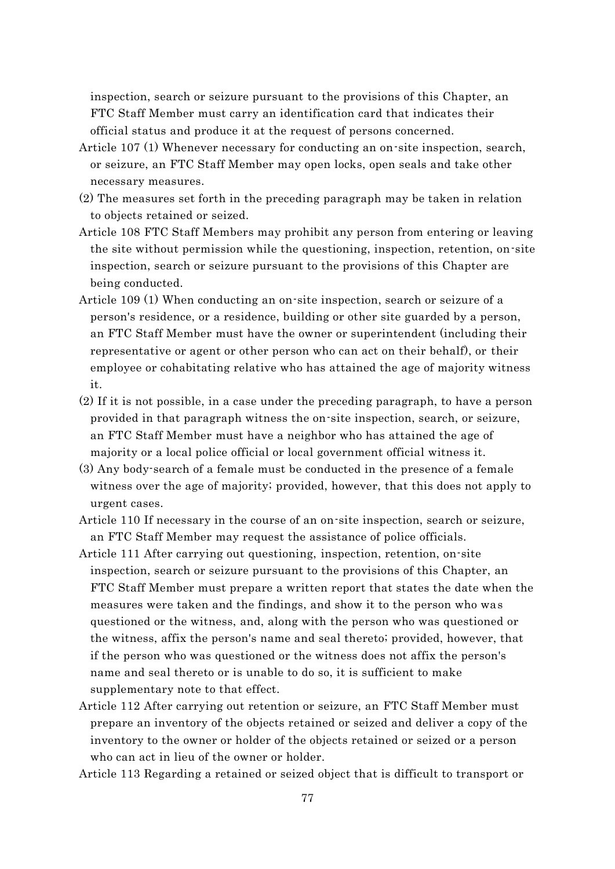inspection, search or seizure pursuant to the provisions of this Chapter, an FTC Staff Member must carry an identification card that indicates their official status and produce it at the request of persons concerned.

- Article 107 (1) Whenever necessary for conducting an on-site inspection, search, or seizure, an FTC Staff Member may open locks, open seals and take other necessary measures.
- (2) The measures set forth in the preceding paragraph may be taken in relation to objects retained or seized.
- Article 108 FTC Staff Members may prohibit any person from entering or leaving the site without permission while the questioning, inspection, retention, on-site inspection, search or seizure pursuant to the provisions of this Chapter are being conducted.
- Article 109 (1) When conducting an on-site inspection, search or seizure of a person's residence, or a residence, building or other site guarded by a person, an FTC Staff Member must have the owner or superintendent (including their representative or agent or other person who can act on their behalf), or their employee or cohabitating relative who has attained the age of majority witness it.
- (2) If it is not possible, in a case under the preceding paragraph, to have a person provided in that paragraph witness the on-site inspection, search, or seizure, an FTC Staff Member must have a neighbor who has attained the age of majority or a local police official or local government official witness it.
- (3) Any body-search of a female must be conducted in the presence of a female witness over the age of majority; provided, however, that this does not apply to urgent cases.
- Article 110 If necessary in the course of an on-site inspection, search or seizure, an FTC Staff Member may request the assistance of police officials.
- Article 111 After carrying out questioning, inspection, retention, on-site inspection, search or seizure pursuant to the provisions of this Chapter, an FTC Staff Member must prepare a written report that states the date when the measures were taken and the findings, and show it to the person who was questioned or the witness, and, along with the person who was questioned or the witness, affix the person's name and seal thereto; provided, however, that if the person who was questioned or the witness does not affix the person's name and seal thereto or is unable to do so, it is sufficient to make supplementary note to that effect.
- Article 112 After carrying out retention or seizure, an FTC Staff Member must prepare an inventory of the objects retained or seized and deliver a copy of the inventory to the owner or holder of the objects retained or seized or a person who can act in lieu of the owner or holder.
- Article 113 Regarding a retained or seized object that is difficult to transport or